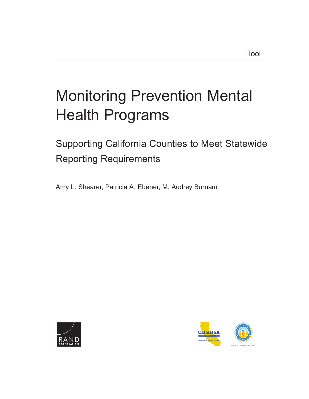# [Monitoring Prevention Mental](https://www.rand.org/pubs/tools/TL307.html)  Health Programs

# Supporting California Counties to Meet Statewide Reporting Requirements

Amy L. Shearer, Patricia A. Ebener, M. Audrey Burnam



C O R P O R P O R A T O N P O R P O R P O N P O R P O R P O R P O R P O R P O R P O R P O R P O R P O R P O R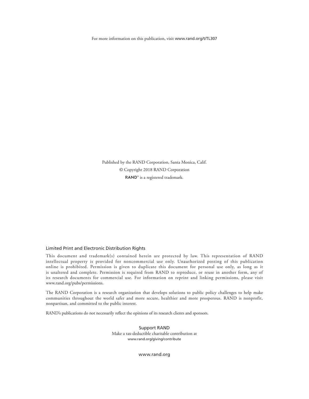For more information on this publication, visit [www.rand.org/t/TL307](http://www.rand.org/t/TL307)

Published by the RAND Corporation, Santa Monica, Calif. © Copyright 2018 RAND Corporation RAND<sup>®</sup> is a registered trademark.

#### Limited Print and Electronic Distribution Rights

This document and trademark(s) contained herein are protected by law. This representation of RAND intellectual property is provided for noncommercial use only. Unauthorized posting of this publication online is prohibited. Permission is given to duplicate this document for personal use only, as long as it is unaltered and complete. Permission is required from RAND to reproduce, or reuse in another form, any of its research documents for commercial use. For information on reprint and linking permissions, please visit [www.rand.org/pubs/permissions.](http://www.rand.org/pubs/permissions)

The RAND Corporation is a research organization that develops solutions to public policy challenges to help make communities throughout the world safer and more secure, healthier and more prosperous. RAND is nonprofit, nonpartisan, and committed to the public interest.

RAND's publications do not necessarily reflect the opinions of its research clients and sponsors.

Support RAND Make a tax-deductible charitable contribution at [www.rand.org/giving/contribute](http://www.rand.org/giving/contribute)

[www.rand.org](http://www.rand.org)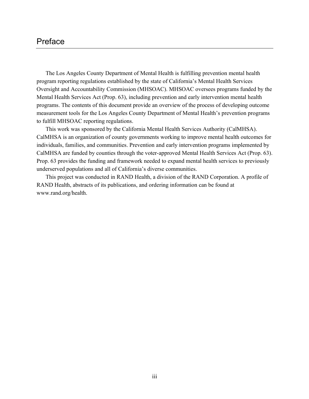# Preface

The Los Angeles County Department of Mental Health is fulfilling prevention mental health program reporting regulations established by the state of California's Mental Health Services Oversight and Accountability Commission (MHSOAC). MHSOAC oversees programs funded by the Mental Health Services Act (Prop. 63), including prevention and early intervention mental health programs. The contents of this document provide an overview of the process of developing outcome measurement tools for the Los Angeles County Department of Mental Health's prevention programs to fulfill MHSOAC reporting regulations.

This work was sponsored by the California Mental Health Services Authority (CalMHSA). CalMHSA is an organization of county governments working to improve mental health outcomes for individuals, families, and communities. Prevention and early intervention programs implemented by CalMHSA are funded by counties through the voter-approved Mental Health Services Act (Prop. 63). Prop. 63 provides the funding and framework needed to expand mental health services to previously underserved populations and all of California's diverse communities.

This project was conducted in RAND Health, a division of the RAND Corporation. A profile of RAND Health, abstracts of its publications, and ordering information can be found at [www.rand.org/health.](http://www.rand.org/health)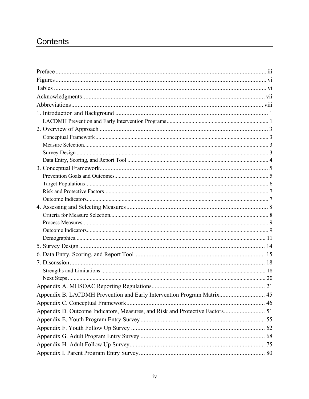# Contents

| Appendix B. LACDMH Prevention and Early Intervention Program Matrix 45 |  |
|------------------------------------------------------------------------|--|
|                                                                        |  |
|                                                                        |  |
|                                                                        |  |
|                                                                        |  |
|                                                                        |  |
|                                                                        |  |
|                                                                        |  |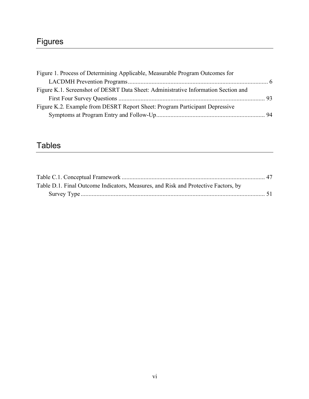# Figures

| Figure 1. Process of Determining Applicable, Measurable Program Outcomes for       |  |
|------------------------------------------------------------------------------------|--|
|                                                                                    |  |
| Figure K.1. Screenshot of DESRT Data Sheet: Administrative Information Section and |  |
|                                                                                    |  |
| Figure K.2. Example from DESRT Report Sheet: Program Participant Depressive        |  |
|                                                                                    |  |

# Tables

| Table D.1. Final Outcome Indicators, Measures, and Risk and Protective Factors, by |  |
|------------------------------------------------------------------------------------|--|
|                                                                                    |  |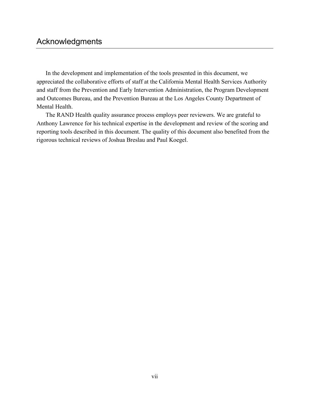# Acknowledgments

In the development and implementation of the tools presented in this document, we appreciated the collaborative efforts of staff at the California Mental Health Services Authority and staff from the Prevention and Early Intervention Administration, the Program Development and Outcomes Bureau, and the Prevention Bureau at the Los Angeles County Department of Mental Health.

The RAND Health quality assurance process employs peer reviewers. We are grateful to Anthony Lawrence for his technical expertise in the development and review of the scoring and reporting tools described in this document. The quality of this document also benefited from the rigorous technical reviews of Joshua Breslau and Paul Koegel.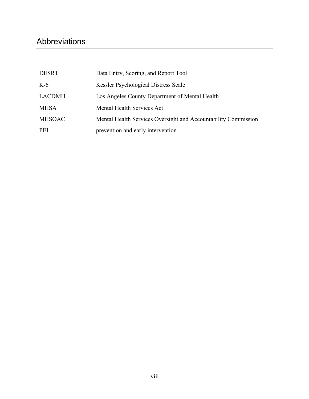# Abbreviations

| <b>DESRT</b>  | Data Entry, Scoring, and Report Tool                           |
|---------------|----------------------------------------------------------------|
| $K-6$         | Kessler Psychological Distress Scale                           |
| <b>LACDMH</b> | Los Angeles County Department of Mental Health                 |
| <b>MHSA</b>   | Mental Health Services Act                                     |
| <b>MHSOAC</b> | Mental Health Services Oversight and Accountability Commission |
| <b>PEI</b>    | prevention and early intervention                              |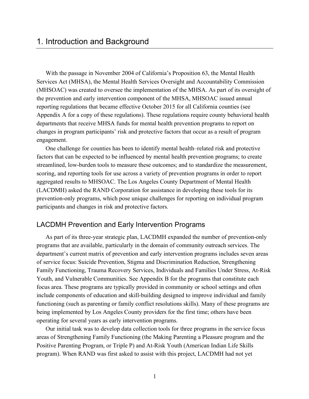With the passage in November 2004 of California's Proposition 63, the Mental Health Services Act (MHSA), the Mental Health Services Oversight and Accountability Commission (MHSOAC) was created to oversee the implementation of the MHSA. As part of its oversight of the prevention and early intervention component of the MHSA, MHSOAC issued annual reporting regulations that became effective October 2015 for all California counties (see Appendix A for a copy of these regulations). These regulations require county behavioral health departments that receive MHSA funds for mental health prevention programs to report on changes in program participants' risk and protective factors that occur as a result of program engagement.

One challenge for counties has been to identify mental health–related risk and protective factors that can be expected to be influenced by mental health prevention programs; to create streamlined, low-burden tools to measure these outcomes; and to standardize the measurement, scoring, and reporting tools for use across a variety of prevention programs in order to report aggregated results to MHSOAC. The Los Angeles County Department of Mental Health (LACDMH) asked the RAND Corporation for assistance in developing these tools for its prevention-only programs, which pose unique challenges for reporting on individual program participants and changes in risk and protective factors.

# LACDMH Prevention and Early Intervention Programs

As part of its three-year strategic plan, LACDMH expanded the number of prevention-only programs that are available, particularly in the domain of community outreach services. The department's current matrix of prevention and early intervention programs includes seven areas of service focus: Suicide Prevention, Stigma and Discrimination Reduction, Strengthening Family Functioning, Trauma Recovery Services, Individuals and Families Under Stress, At-Risk Youth, and Vulnerable Communities. See Appendix B for the programs that constitute each focus area. These programs are typically provided in community or school settings and often include components of education and skill-building designed to improve individual and family functioning (such as parenting or family conflict resolutions skills). Many of these programs are being implemented by Los Angeles County providers for the first time; others have been operating for several years as early intervention programs.

Our initial task was to develop data collection tools for three programs in the service focus areas of Strengthening Family Functioning (the Making Parenting a Pleasure program and the Positive Parenting Program, or Triple P) and At-Risk Youth (American Indian Life Skills program). When RAND was first asked to assist with this project, LACDMH had not yet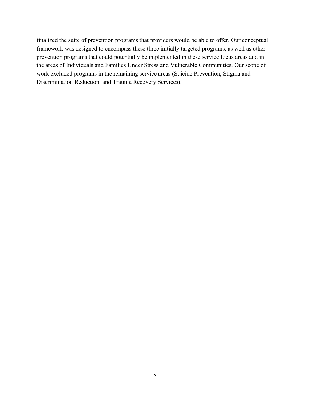finalized the suite of prevention programs that providers would be able to offer. Our conceptual framework was designed to encompass these three initially targeted programs, as well as other prevention programs that could potentially be implemented in these service focus areas and in the areas of Individuals and Families Under Stress and Vulnerable Communities. Our scope of work excluded programs in the remaining service areas (Suicide Prevention, Stigma and Discrimination Reduction, and Trauma Recovery Services).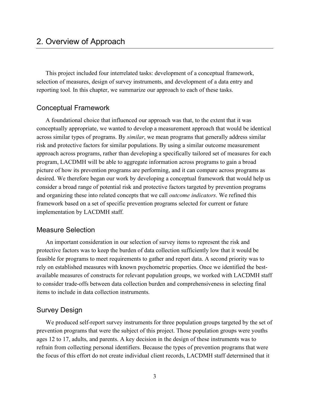This project included four interrelated tasks: development of a conceptual framework, selection of measures, design of survey instruments, and development of a data entry and reporting tool*.* In this chapter, we summarize our approach to each of these tasks.

# Conceptual Framework

A foundational choice that influenced our approach was that, to the extent that it was conceptually appropriate, we wanted to develop a measurement approach that would be identical across similar types of programs. By *similar*, we mean programs that generally address similar risk and protective factors for similar populations. By using a similar outcome measurement approach across programs, rather than developing a specifically tailored set of measures for each program, LACDMH will be able to aggregate information across programs to gain a broad picture of how its prevention programs are performing, and it can compare across programs as desired. We therefore began our work by developing a conceptual framework that would help us consider a broad range of potential risk and protective factors targeted by prevention programs and organizing these into related concepts that we call *outcome indicators*. We refined this framework based on a set of specific prevention programs selected for current or future implementation by LACDMH staff.

# Measure Selection

An important consideration in our selection of survey items to represent the risk and protective factors was to keep the burden of data collection sufficiently low that it would be feasible for programs to meet requirements to gather and report data. A second priority was to rely on established measures with known psychometric properties. Once we identified the bestavailable measures of constructs for relevant population groups, we worked with LACDMH staff to consider trade-offs between data collection burden and comprehensiveness in selecting final items to include in data collection instruments.

# Survey Design

We produced self-report survey instruments for three population groups targeted by the set of prevention programs that were the subject of this project. Those population groups were youths ages 12 to 17, adults, and parents. A key decision in the design of these instruments was to refrain from collecting personal identifiers. Because the types of prevention programs that were the focus of this effort do not create individual client records, LACDMH staff determined that it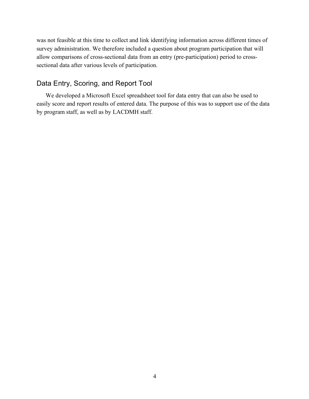was not feasible at this time to collect and link identifying information across different times of survey administration. We therefore included a question about program participation that will allow comparisons of cross-sectional data from an entry (pre-participation) period to crosssectional data after various levels of participation.

# Data Entry, Scoring, and Report Tool

We developed a Microsoft Excel spreadsheet tool for data entry that can also be used to easily score and report results of entered data. The purpose of this was to support use of the data by program staff, as well as by LACDMH staff.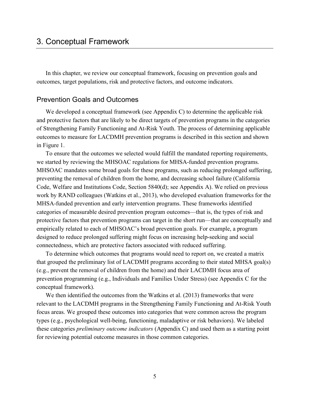In this chapter, we review our conceptual framework, focusing on prevention goals and outcomes, target populations, risk and protective factors, and outcome indicators.

# Prevention Goals and Outcomes

We developed a conceptual framework (see Appendix C) to determine the applicable risk and protective factors that are likely to be direct targets of prevention programs in the categories of Strengthening Family Functioning and At-Risk Youth. The process of determining applicable outcomes to measure for LACDMH prevention programs is described in this section and shown in Figure 1.

To ensure that the outcomes we selected would fulfill the mandated reporting requirements, we started by reviewing the MHSOAC regulations for MHSA-funded prevention programs. MHSOAC mandates some broad goals for these programs, such as reducing prolonged suffering, preventing the removal of children from the home, and decreasing school failure (California Code, Welfare and Institutions Code, Section 5840(d); see Appendix A). We relied on previous work by RAND colleagues (Watkins et al., 2013), who developed evaluation frameworks for the MHSA-funded prevention and early intervention programs. These frameworks identified categories of measurable desired prevention program outcomes—that is, the types of risk and protective factors that prevention programs can target in the short run—that are conceptually and empirically related to each of MHSOAC's broad prevention goals. For example, a program designed to reduce prolonged suffering might focus on increasing help-seeking and social connectedness, which are protective factors associated with reduced suffering.

To determine which outcomes that programs would need to report on, we created a matrix that grouped the preliminary list of LACDMH programs according to their stated MHSA goal(s) (e.g., prevent the removal of children from the home) and their LACDMH focus area of prevention programming (e.g., Individuals and Families Under Stress) (see Appendix C for the conceptual framework).

We then identified the outcomes from the Watkins et al. (2013) frameworks that were relevant to the LACDMH programs in the Strengthening Family Functioning and At-Risk Youth focus areas. We grouped these outcomes into categories that were common across the program types (e.g., psychological well-being, functioning, maladaptive or risk behaviors). We labeled these categories *preliminary outcome indicators* (Appendix C) and used them as a starting point for reviewing potential outcome measures in those common categories.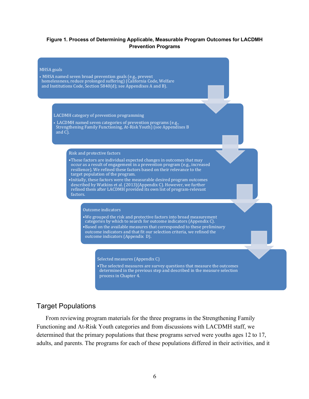#### **Figure 1. Process of Determining Applicable, Measurable Program Outcomes for LACDMH Prevention Programs**

#### **MHSA** goals

• MHSA named seven broad prevention goals (e.g., prevent homelessness, reduce prolonged suffering) (California Code, Welfare and Institutions Code, Section 5840(d); see Appendixes A and B).

#### LACDMH category of prevention programming

• LACDMH named seven categories of prevention programs (e.g., Strengthening Family Functioning, At-Risk Youth) (see Appendixes B and  $C$ ).

#### Risk and protective factors

- •These factors are individual expected changes in outcomes that may occur as a result of engagement in a prevention program (e.g., increased resilience). We refined these factors based on their relevance to the target population of the program.
- •Initially, these factors were the measurable desired program outcomes described by Watkins et al. (2013)(Appendix C). However, we further refined them after LACDMH provided its own list of program-relevant factors.

#### **Outcome** indicators

• We grouped the risk and protective factors into broad measurement categories by which to search for outcome indicators (Appendix C). • Based on the available measures that corresponded to these preliminary outcome indicators and that fit our selection criteria, we refined the outcome indicators (Appendix D).

#### Selected measures (Appendix C)

• The selected measures are survey questions that measure the outcomes determined in the previous step and described in the measure selection process in Chapter 4.

# Target Populations

From reviewing program materials for the three programs in the Strengthening Family Functioning and At-Risk Youth categories and from discussions with LACDMH staff, we determined that the primary populations that these programs served were youths ages 12 to 17, adults, and parents. The programs for each of these populations differed in their activities, and it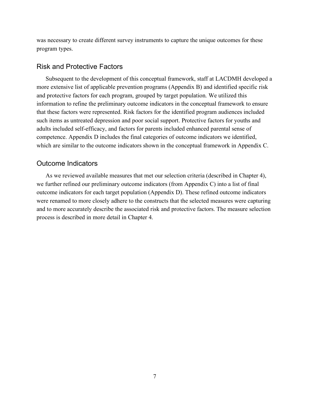was necessary to create different survey instruments to capture the unique outcomes for these program types.

# Risk and Protective Factors

Subsequent to the development of this conceptual framework, staff at LACDMH developed a more extensive list of applicable prevention programs (Appendix B) and identified specific risk and protective factors for each program, grouped by target population. We utilized this information to refine the preliminary outcome indicators in the conceptual framework to ensure that these factors were represented. Risk factors for the identified program audiences included such items as untreated depression and poor social support. Protective factors for youths and adults included self-efficacy, and factors for parents included enhanced parental sense of competence. Appendix D includes the final categories of outcome indicators we identified, which are similar to the outcome indicators shown in the conceptual framework in Appendix C.

# Outcome Indicators

As we reviewed available measures that met our selection criteria (described in Chapter 4), we further refined our preliminary outcome indicators (from Appendix C) into a list of final outcome indicators for each target population (Appendix D). These refined outcome indicators were renamed to more closely adhere to the constructs that the selected measures were capturing and to more accurately describe the associated risk and protective factors. The measure selection process is described in more detail in Chapter 4.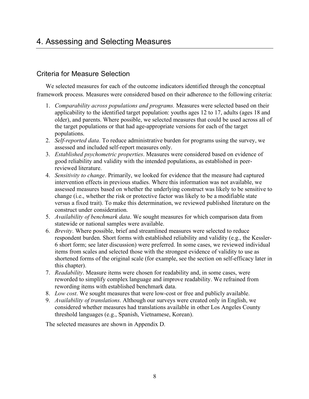# 4. Assessing and Selecting Measures

# Criteria for Measure Selection

We selected measures for each of the outcome indicators identified through the conceptual framework process. Measures were considered based on their adherence to the following criteria:

- 1. *Comparability across populations and programs.* Measures were selected based on their applicability to the identified target population: youths ages 12 to 17, adults (ages 18 and older), and parents. Where possible, we selected measures that could be used across all of the target populations or that had age-appropriate versions for each of the target populations.
- 2. *Self-reported data*. To reduce administrative burden for programs using the survey, we assessed and included self-report measures only.
- 3. *Established psychometric properties*. Measures were considered based on evidence of good reliability and validity with the intended populations, as established in peerreviewed literature.
- 4. *Sensitivity to change*. Primarily, we looked for evidence that the measure had captured intervention effects in previous studies. Where this information was not available, we assessed measures based on whether the underlying construct was likely to be sensitive to change (i.e., whether the risk or protective factor was likely to be a modifiable state versus a fixed trait). To make this determination, we reviewed published literature on the construct under consideration.
- 5. *Availability of benchmark data*. We sought measures for which comparison data from statewide or national samples were available.
- 6. *Brevity*. Where possible, brief and streamlined measures were selected to reduce respondent burden. Short forms with established reliability and validity (e.g., the Kessler-6 short form; see later discussion) were preferred. In some cases, we reviewed individual items from scales and selected those with the strongest evidence of validity to use as shortened forms of the original scale (for example, see the section on self-efficacy later in this chapter).
- 7. *Readability*. Measure items were chosen for readability and, in some cases, were reworded to simplify complex language and improve readability. We refrained from rewording items with established benchmark data.
- 8. *Low cost*. We sought measures that were low-cost or free and publicly available.
- 9. *Availability of translations*. Although our surveys were created only in English, we considered whether measures had translations available in other Los Angeles County threshold languages (e.g., Spanish, Vietnamese, Korean).

The selected measures are shown in Appendix D.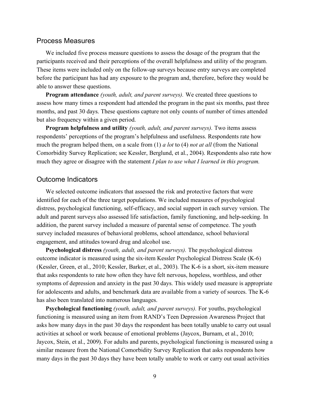# Process Measures

We included five process measure questions to assess the dosage of the program that the participants received and their perceptions of the overall helpfulness and utility of the program. These items were included only on the follow-up surveys because entry surveys are completed before the participant has had any exposure to the program and, therefore, before they would be able to answer these questions.

**Program attendance** *(youth, adult, and parent surveys).* We created three questions to assess how many times a respondent had attended the program in the past six months, past three months, and past 30 days. These questions capture not only counts of number of times attended but also frequency within a given period.

**Program helpfulness and utility** *(youth, adult, and parent surveys).* Two items assess respondents' perceptions of the program's helpfulness and usefulness. Respondents rate how much the program helped them, on a scale from (1) *a lot* to (4) *not at all* (from the National Comorbidity Survey Replication; see Kessler, Berglund, et al., 2004). Respondents also rate how much they agree or disagree with the statement *I plan to use what I learned in this program.* 

# Outcome Indicators

We selected outcome indicators that assessed the risk and protective factors that were identified for each of the three target populations. We included measures of psychological distress, psychological functioning, self-efficacy, and social support in each survey version. The adult and parent surveys also assessed life satisfaction, family functioning, and help-seeking. In addition, the parent survey included a measure of parental sense of competence. The youth survey included measures of behavioral problems, school attendance, school behavioral engagement, and attitudes toward drug and alcohol use.

**Psychological distress** *(youth, adult, and parent surveys).* The psychological distress outcome indicator is measured using the six-item Kessler Psychological Distress Scale (K-6) (Kessler, Green, et al., 2010; Kessler, Barker, et al., 2003). The K-6 is a short, six-item measure that asks respondents to rate how often they have felt nervous, hopeless, worthless, and other symptoms of depression and anxiety in the past 30 days. This widely used measure is appropriate for adolescents and adults, and benchmark data are available from a variety of sources. The K-6 has also been translated into numerous languages.

**Psychological functioning** *(youth, adult, and parent surveys).* For youths, psychological functioning is measured using an item from RAND's Teen Depression Awareness Project that asks how many days in the past 30 days the respondent has been totally unable to carry out usual activities at school or work because of emotional problems (Jaycox, Burnam, et al., 2010; Jaycox, Stein, et al., 2009). For adults and parents, psychological functioning is measured using a similar measure from the National Comorbidity Survey Replication that asks respondents how many days in the past 30 days they have been totally unable to work or carry out usual activities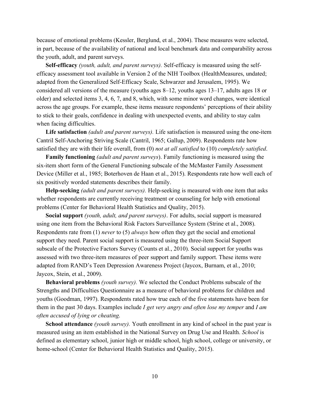because of emotional problems (Kessler, Berglund, et al., 2004). These measures were selected, in part, because of the availability of national and local benchmark data and comparability across the youth, adult, and parent surveys.

**Self-efficacy** *(youth, adult, and parent surveys).* Self-efficacy is measured using the selfefficacy assessment tool available in Version 2 of the NIH Toolbox (HealthMeasures, undated; adapted from the Generalized Self-Efficacy Scale, Schwarzer and Jerusalem, 1995). We considered all versions of the measure (youths ages 8–12, youths ages 13–17, adults ages 18 or older) and selected items 3, 4, 6, 7, and 8, which, with some minor word changes, were identical across the age groups. For example, these items measure respondents' perceptions of their ability to stick to their goals, confidence in dealing with unexpected events, and ability to stay calm when facing difficulties.

**Life satisfaction** *(adult and parent surveys).* Life satisfaction is measured using the one-item Cantril Self-Anchoring Striving Scale (Cantril, 1965; Gallup, 2009). Respondents rate how satisfied they are with their life overall, from (0) *not at all satisfied* to (10) *completely satisfied*.

**Family functioning** *(adult and parent surveys*). Family functioning is measured using the six-item short form of the General Functioning subscale of the McMaster Family Assessment Device (Miller et al., 1985; Boterhoven de Haan et al., 2015). Respondents rate how well each of six positively worded statements describes their family.

**Help-seeking** *(adult and parent surveys).* Help-seeking is measured with one item that asks whether respondents are currently receiving treatment or counseling for help with emotional problems (Center for Behavioral Health Statistics and Quality, 2015).

**Social support** *(youth, adult, and parent surveys)*. For adults, social support is measured using one item from the Behavioral Risk Factors Surveillance System (Strine et al., 2008). Respondents rate from (1) *never* to (5) *always* how often they get the social and emotional support they need. Parent social support is measured using the three-item Social Support subscale of the Protective Factors Survey (Counts et al., 2010). Social support for youths was assessed with two three-item measures of peer support and family support. These items were adapted from RAND's Teen Depression Awareness Project (Jaycox, Burnam, et al., 2010; Jaycox, Stein, et al., 2009).

**Behavioral problems** *(youth survey).* We selected the Conduct Problems subscale of the Strengths and Difficulties Questionnaire as a measure of behavioral problems for children and youths (Goodman, 1997). Respondents rated how true each of the five statements have been for them in the past 30 days. Examples include *I get very angry and often lose my temper* and *I am often accused of lying or cheating*.

**School attendance** *(youth survey).* Youth enrollment in any kind of school in the past year is measured using an item established in the National Survey on Drug Use and Health. *School* is defined as elementary school, junior high or middle school, high school, college or university, or home-school (Center for Behavioral Health Statistics and Quality, 2015).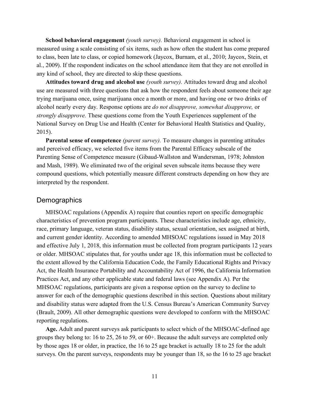**School behavioral engagement** *(youth survey).* Behavioral engagement in school is measured using a scale consisting of six items, such as how often the student has come prepared to class, been late to class, or copied homework (Jaycox, Burnam, et al., 2010; Jaycox, Stein, et al., 2009). If the respondent indicates on the school attendance item that they are not enrolled in any kind of school, they are directed to skip these questions.

**Attitudes toward drug and alcohol use** *(youth survey).* Attitudes toward drug and alcohol use are measured with three questions that ask how the respondent feels about someone their age trying marijuana once, using marijuana once a month or more, and having one or two drinks of alcohol nearly every day. Response options are *do not disapprove, somewhat disapprove,* or *strongly disapprove.* These questions come from the Youth Experiences supplement of the National Survey on Drug Use and Health (Center for Behavioral Health Statistics and Quality, 2015).

**Parental sense of competence** *(parent survey).* To measure changes in parenting attitudes and perceived efficacy, we selected five items from the Parental Efficacy subscale of the Parenting Sense of Competence measure (Gibaud-Wallston and Wandersman, 1978; Johnston and Mash, 1989). We eliminated two of the original seven subscale items because they were compound questions, which potentially measure different constructs depending on how they are interpreted by the respondent.

# **Demographics**

MHSOAC regulations (Appendix A) require that counties report on specific demographic characteristics of prevention program participants. These characteristics include age, ethnicity, race, primary language, veteran status, disability status, sexual orientation, sex assigned at birth, and current gender identity. According to amended MHSOAC regulations issued in May 2018 and effective July 1, 2018, this information must be collected from program participants 12 years or older. MHSOAC stipulates that, for youths under age 18, this information must be collected to the extent allowed by the California Education Code, the Family Educational Rights and Privacy Act, the Health Insurance Portability and Accountability Act of 1996, the California Information Practices Act, and any other applicable state and federal laws (see Appendix A). Per the MHSOAC regulations, participants are given a response option on the survey to decline to answer for each of the demographic questions described in this section. Questions about military and disability status were adapted from the U.S. Census Bureau's American Community Survey (Brault, 2009). All other demographic questions were developed to conform with the MHSOAC reporting regulations.

**Age.** Adult and parent surveys ask participants to select which of the MHSOAC-defined age groups they belong to: 16 to 25, 26 to 59, or 60+. Because the adult surveys are completed only by those ages 18 or older, in practice, the 16 to 25 age bracket is actually 18 to 25 for the adult surveys. On the parent surveys, respondents may be younger than 18, so the 16 to 25 age bracket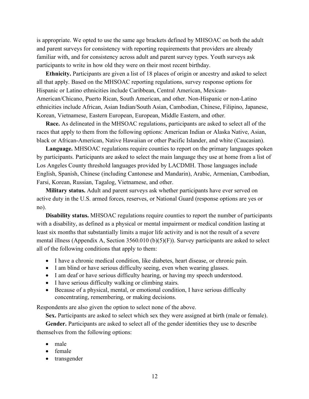is appropriate. We opted to use the same age brackets defined by MHSOAC on both the adult and parent surveys for consistency with reporting requirements that providers are already familiar with, and for consistency across adult and parent survey types. Youth surveys ask participants to write in how old they were on their most recent birthday.

**Ethnicity.** Participants are given a list of 18 places of origin or ancestry and asked to select all that apply. Based on the MHSOAC reporting regulations, survey response options for Hispanic or Latino ethnicities include Caribbean, Central American, Mexican-American/Chicano, Puerto Rican, South American, and other. Non-Hispanic or non-Latino ethnicities include African, Asian Indian/South Asian, Cambodian, Chinese, Filipino, Japanese, Korean, Vietnamese, Eastern European, European, Middle Eastern, and other.

**Race.** As delineated in the MHSOAC regulations, participants are asked to select all of the races that apply to them from the following options: American Indian or Alaska Native, Asian, black or African-American, Native Hawaiian or other Pacific Islander, and white (Caucasian).

**Language.** MHSOAC regulations require counties to report on the primary languages spoken by participants. Participants are asked to select the main language they use at home from a list of Los Angeles County threshold languages provided by LACDMH. Those languages include English, Spanish, Chinese (including Cantonese and Mandarin), Arabic, Armenian, Cambodian, Farsi, Korean, Russian, Tagalog, Vietnamese, and other.

**Military status.** Adult and parent surveys ask whether participants have ever served on active duty in the U.S. armed forces, reserves, or National Guard (response options are yes or no).

**Disability status.** MHSOAC regulations require counties to report the number of participants with a disability, as defined as a physical or mental impairment or medical condition lasting at least six months that substantially limits a major life activity and is not the result of a severe mental illness (Appendix A, Section 3560.010 (b)(5)(F)). Survey participants are asked to select all of the following conditions that apply to them:

- I have a chronic medical condition, like diabetes, heart disease, or chronic pain.
- I am blind or have serious difficulty seeing, even when wearing glasses.
- I am deaf or have serious difficulty hearing, or having my speech understood.
- I have serious difficulty walking or climbing stairs.
- Because of a physical, mental, or emotional condition, I have serious difficulty concentrating, remembering, or making decisions.

Respondents are also given the option to select none of the above.

**Sex.** Participants are asked to select which sex they were assigned at birth (male or female).

**Gender.** Participants are asked to select all of the gender identities they use to describe themselves from the following options:

- male
- female
- transgender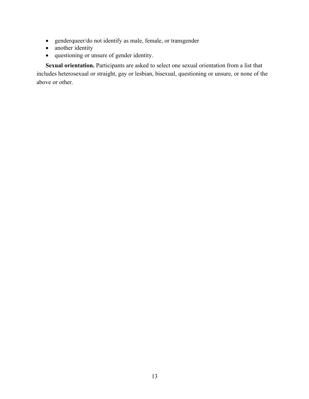- genderqueer/do not identify as male, female, or transgender
- another identity
- questioning or unsure of gender identity.

**Sexual orientation.** Participants are asked to select one sexual orientation from a list that includes heterosexual or straight, gay or lesbian, bisexual, questioning or unsure, or none of the above or other.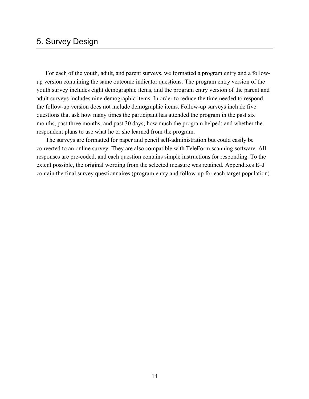# 5. Survey Design

For each of the youth, adult, and parent surveys, we formatted a program entry and a followup version containing the same outcome indicator questions. The program entry version of the youth survey includes eight demographic items, and the program entry version of the parent and adult surveys includes nine demographic items. In order to reduce the time needed to respond, the follow-up version does not include demographic items. Follow-up surveys include five questions that ask how many times the participant has attended the program in the past six months, past three months, and past 30 days; how much the program helped; and whether the respondent plans to use what he or she learned from the program.

The surveys are formatted for paper and pencil self-administration but could easily be converted to an online survey. They are also compatible with TeleForm scanning software. All responses are pre-coded, and each question contains simple instructions for responding. To the extent possible, the original wording from the selected measure was retained. Appendixes E–J contain the final survey questionnaires (program entry and follow-up for each target population).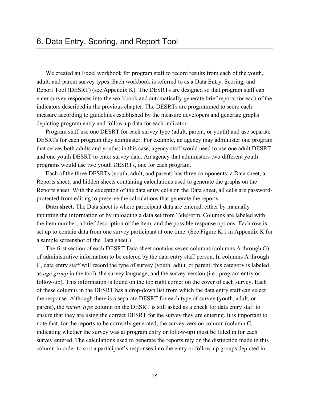We created an Excel workbook for program staff to record results from each of the youth, adult, and parent survey types. Each workbook is referred to as a Data Entry, Scoring, and Report Tool (DESRT) (see Appendix K). The DESRTs are designed so that program staff can enter survey responses into the workbook and automatically generate brief reports for each of the indicators described in the previous chapter. The DESRTs are programmed to score each measure according to guidelines established by the measure developers and generate graphs depicting program entry and follow-up data for each indicator.

Program staff use one DESRT for each survey type (adult, parent, or youth) and use separate DESRTs for each program they administer. For example, an agency may administer one program that serves both adults and youths; in this case, agency staff would need to use one adult DESRT and one youth DESRT to enter survey data. An agency that administers two different youth programs would use two youth DESRTs, one for each program.

Each of the three DESRTs (youth, adult, and parent) has three components: a Data sheet, a Reports sheet, and hidden sheets containing calculations used to generate the graphs on the Reports sheet. With the exception of the data entry cells on the Data sheet, all cells are passwordprotected from editing to preserve the calculations that generate the reports.

**Data sheet.** The Data sheet is where participant data are entered, either by manually inputting the information or by uploading a data set from TeleForm. Columns are labeled with the item number, a brief description of the item, and the possible response options. Each row is set up to contain data from one survey participant at one time. (See Figure K.1 in Appendix K for a sample screenshot of the Data sheet.)

The first section of each DESRT Data sheet contains seven columns (columns A through G) of administrative information to be entered by the data entry staff person. In columns A through C, data entry staff will record the type of survey (youth, adult, or parent; this category is labeled as *age group* in the tool), the survey language, and the survey version (i.e., program entry or follow-up). This information is found on the top right corner on the cover of each survey. Each of these columns in the DESRT has a drop-down list from which the data entry staff can select the response. Although there is a separate DESRT for each type of survey (youth, adult, or parent), the *survey type* column on the DESRT is still asked as a check for data entry staff to ensure that they are using the correct DESRT for the survey they are entering. It is important to note that, for the reports to be correctly generated, the survey version column (column C, indicating whether the survey was at program entry or follow-up) must be filled in for each survey entered. The calculations used to generate the reports rely on the distinction made in this column in order to sort a participant's responses into the entry or follow-up groups depicted in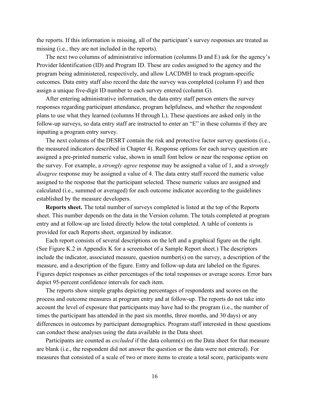the reports. If this information is missing, all of the participant's survey responses are treated as missing (i.e., they are not included in the reports).

The next two columns of administrative information (columns D and E) ask for the agency's Provider Identification (ID) and Program ID. These are codes assigned to the agency and the program being administered, respectively, and allow LACDMH to track program-specific outcomes. Data entry staff also record the date the survey was completed (column F) and then assign a unique five-digit ID number to each survey entered (column G).

After entering administrative information, the data entry staff person enters the survey responses regarding participant attendance, program helpfulness, and whether the respondent plans to use what they learned (columns H through L). These questions are asked only in the follow-up surveys, so data entry staff are instructed to enter an "E" in these columns if they are inputting a program entry survey.

The next columns of the DESRT contain the risk and protective factor survey questions (i.e., the measured indicators described in Chapter 4). Response options for each survey question are assigned a pre-printed numeric value, shown in small font below or near the response option on the survey. For example, a *strongly agree* response may be assigned a value of 1, and a *strongly disagree* response may be assigned a value of 4. The data entry staff record the numeric value assigned to the response that the participant selected. These numeric values are assigned and calculated (i.e., summed or averaged) for each outcome indicator according to the guidelines established by the measure developers.

**Reports sheet.** The total number of surveys completed is listed at the top of the Reports sheet. This number depends on the data in the Version column. The totals completed at program entry and at follow-up are listed directly below the total completed. A table of contents is provided for each Reports sheet, organized by indicator.

Each report consists of several descriptions on the left and a graphical figure on the right. (See Figure K.2 in Appendix K for a screenshot of a Sample Report sheet.) The descriptors include the indicator, associated measure, question number(s) on the survey, a description of the measure, and a description of the figure. Entry and follow-up data are labeled on the figures. Figures depict responses as either percentages of the total responses or average scores. Error bars depict 95-percent confidence intervals for each item.

The reports show simple graphs depicting percentages of respondents and scores on the process and outcome measures at program entry and at follow-up. The reports do not take into account the level of exposure that participants may have had to the program (i.e., the number of times the participant has attended in the past six months, three months, and 30 days) or any differences in outcomes by participant demographics. Program staff interested in these questions can conduct these analyses using the data available in the Data sheet.

Participants are counted as *excluded* if the data column(s) on the Data sheet for that measure are blank (i.e., the respondent did not answer the question or the data were not entered). For measures that consisted of a scale of two or more items to create a total score, participants were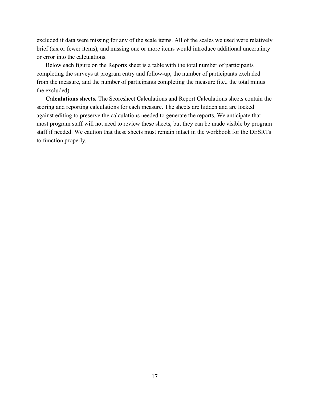excluded if data were missing for any of the scale items. All of the scales we used were relatively brief (six or fewer items), and missing one or more items would introduce additional uncertainty or error into the calculations.

Below each figure on the Reports sheet is a table with the total number of participants completing the surveys at program entry and follow-up, the number of participants excluded from the measure, and the number of participants completing the measure (i.e., the total minus the excluded).

**Calculations sheets.** The Scoresheet Calculations and Report Calculations sheets contain the scoring and reporting calculations for each measure. The sheets are hidden and are locked against editing to preserve the calculations needed to generate the reports. We anticipate that most program staff will not need to review these sheets, but they can be made visible by program staff if needed. We caution that these sheets must remain intact in the workbook for the DESRTs to function properly.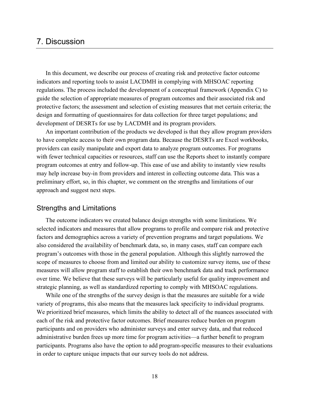# 7. Discussion

In this document, we describe our process of creating risk and protective factor outcome indicators and reporting tools to assist LACDMH in complying with MHSOAC reporting regulations. The process included the development of a conceptual framework (Appendix C) to guide the selection of appropriate measures of program outcomes and their associated risk and protective factors; the assessment and selection of existing measures that met certain criteria; the design and formatting of questionnaires for data collection for three target populations; and development of DESRTs for use by LACDMH and its program providers.

An important contribution of the products we developed is that they allow program providers to have complete access to their own program data. Because the DESRTs are Excel workbooks, providers can easily manipulate and export data to analyze program outcomes. For programs with fewer technical capacities or resources, staff can use the Reports sheet to instantly compare program outcomes at entry and follow-up. This ease of use and ability to instantly view results may help increase buy-in from providers and interest in collecting outcome data. This was a preliminary effort, so, in this chapter, we comment on the strengths and limitations of our approach and suggest next steps.

# Strengths and Limitations

The outcome indicators we created balance design strengths with some limitations. We selected indicators and measures that allow programs to profile and compare risk and protective factors and demographics across a variety of prevention programs and target populations. We also considered the availability of benchmark data, so, in many cases, staff can compare each program's outcomes with those in the general population. Although this slightly narrowed the scope of measures to choose from and limited our ability to customize survey items, use of these measures will allow program staff to establish their own benchmark data and track performance over time. We believe that these surveys will be particularly useful for quality improvement and strategic planning, as well as standardized reporting to comply with MHSOAC regulations.

While one of the strengths of the survey design is that the measures are suitable for a wide variety of programs, this also means that the measures lack specificity to individual programs. We prioritized brief measures, which limits the ability to detect all of the nuances associated with each of the risk and protective factor outcomes. Brief measures reduce burden on program participants and on providers who administer surveys and enter survey data, and that reduced administrative burden frees up more time for program activities—a further benefit to program participants. Programs also have the option to add program-specific measures to their evaluations in order to capture unique impacts that our survey tools do not address.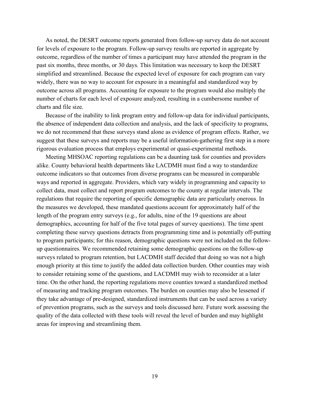As noted, the DESRT outcome reports generated from follow-up survey data do not account for levels of exposure to the program. Follow-up survey results are reported in aggregate by outcome, regardless of the number of times a participant may have attended the program in the past six months, three months, or 30 days. This limitation was necessary to keep the DESRT simplified and streamlined. Because the expected level of exposure for each program can vary widely, there was no way to account for exposure in a meaningful and standardized way by outcome across all programs. Accounting for exposure to the program would also multiply the number of charts for each level of exposure analyzed, resulting in a cumbersome number of charts and file size.

Because of the inability to link program entry and follow-up data for individual participants, the absence of independent data collection and analysis, and the lack of specificity to programs, we do not recommend that these surveys stand alone as evidence of program effects. Rather, we suggest that these surveys and reports may be a useful information-gathering first step in a more rigorous evaluation process that employs experimental or quasi-experimental methods.

Meeting MHSOAC reporting regulations can be a daunting task for counties and providers alike. County behavioral health departments like LACDMH must find a way to standardize outcome indicators so that outcomes from diverse programs can be measured in comparable ways and reported in aggregate. Providers, which vary widely in programming and capacity to collect data, must collect and report program outcomes to the county at regular intervals. The regulations that require the reporting of specific demographic data are particularly onerous. In the measures we developed, these mandated questions account for approximately half of the length of the program entry surveys (e.g., for adults, nine of the 19 questions are about demographics, accounting for half of the five total pages of survey questions). The time spent completing these survey questions detracts from programming time and is potentially off-putting to program participants; for this reason, demographic questions were not included on the followup questionnaires. We recommended retaining some demographic questions on the follow-up surveys related to program retention, but LACDMH staff decided that doing so was not a high enough priority at this time to justify the added data collection burden. Other counties may wish to consider retaining some of the questions, and LACDMH may wish to reconsider at a later time. On the other hand, the reporting regulations move counties toward a standardized method of measuring and tracking program outcomes. The burden on counties may also be lessened if they take advantage of pre-designed, standardized instruments that can be used across a variety of prevention programs, such as the surveys and tools discussed here. Future work assessing the quality of the data collected with these tools will reveal the level of burden and may highlight areas for improving and streamlining them.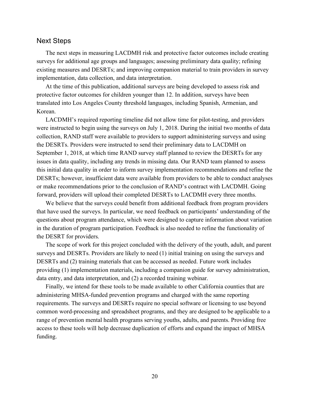# Next Steps

The next steps in measuring LACDMH risk and protective factor outcomes include creating surveys for additional age groups and languages; assessing preliminary data quality; refining existing measures and DESRTs; and improving companion material to train providers in survey implementation, data collection, and data interpretation.

At the time of this publication, additional surveys are being developed to assess risk and protective factor outcomes for children younger than 12. In addition, surveys have been translated into Los Angeles County threshold languages, including Spanish, Armenian, and Korean.

LACDMH's required reporting timeline did not allow time for pilot-testing, and providers were instructed to begin using the surveys on July 1, 2018. During the initial two months of data collection, RAND staff were available to providers to support administering surveys and using the DESRTs. Providers were instructed to send their preliminary data to LACDMH on September 1, 2018, at which time RAND survey staff planned to review the DESRTs for any issues in data quality, including any trends in missing data. Our RAND team planned to assess this initial data quality in order to inform survey implementation recommendations and refine the DESRTs; however, insufficient data were available from providers to be able to conduct analyses or make recommendations prior to the conclusion of RAND's contract with LACDMH. Going forward, providers will upload their completed DESRTs to LACDMH every three months.

We believe that the surveys could benefit from additional feedback from program providers that have used the surveys. In particular, we need feedback on participants' understanding of the questions about program attendance, which were designed to capture information about variation in the duration of program participation. Feedback is also needed to refine the functionality of the DESRT for providers.

The scope of work for this project concluded with the delivery of the youth, adult, and parent surveys and DESRTs. Providers are likely to need (1) initial training on using the surveys and DESRTs and (2) training materials that can be accessed as needed. Future work includes providing (1) implementation materials, including a companion guide for survey administration, data entry, and data interpretation, and (2) a recorded training webinar.

Finally, we intend for these tools to be made available to other California counties that are administering MHSA-funded prevention programs and charged with the same reporting requirements. The surveys and DESRTs require no special software or licensing to use beyond common word-processing and spreadsheet programs, and they are designed to be applicable to a range of prevention mental health programs serving youths, adults, and parents. Providing free access to these tools will help decrease duplication of efforts and expand the impact of MHSA funding.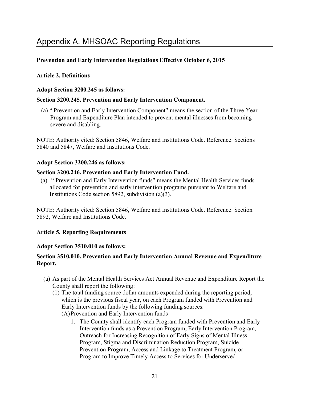# Appendix A. MHSOAC Reporting Regulations

# **Prevention and Early Intervention Regulations Effective October 6, 2015**

# **Article 2. Definitions**

# **Adopt Section 3200.245 as follows:**

# **Section 3200.245. Prevention and Early Intervention Component.**

(a) " Prevention and Early Intervention Component" means the section of the Three-Year Program and Expenditure Plan intended to prevent mental illnesses from becoming severe and disabling.

NOTE: Authority cited: Section 5846, Welfare and Institutions Code. Reference: Sections 5840 and 5847, Welfare and Institutions Code.

# **Adopt Section 3200.246 as follows:**

# **Section 3200.246. Prevention and Early Intervention Fund.**

(a) " Prevention and Early Intervention funds" means the Mental Health Services funds allocated for prevention and early intervention programs pursuant to Welfare and Institutions Code section 5892, subdivision (a)(3).

NOTE: Authority cited: Section 5846, Welfare and Institutions Code. Reference: Section 5892, Welfare and Institutions Code.

# **Article 5. Reporting Requirements**

### **Adopt Section 3510.010 as follows:**

# **Section 3510.010. Prevention and Early Intervention Annual Revenue and Expenditure Report.**

- (a) As part of the Mental Health Services Act Annual Revenue and Expenditure Report the County shall report the following:
	- (1) The total funding source dollar amounts expended during the reporting period, which is the previous fiscal year, on each Program funded with Prevention and Early Intervention funds by the following funding sources: (A)Prevention and Early Intervention funds
		- 1. The County shall identify each Program funded with Prevention and Early Intervention funds as a Prevention Program, Early Intervention Program, Outreach for Increasing Recognition of Early Signs of Mental Illness Program, Stigma and Discrimination Reduction Program, Suicide Prevention Program, Access and Linkage to Treatment Program, or Program to Improve Timely Access to Services for Underserved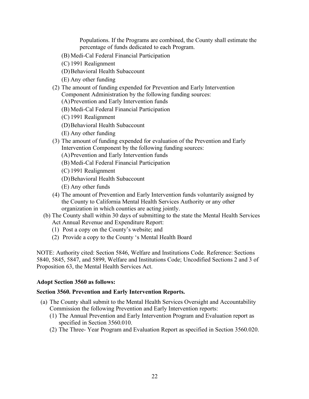Populations. If the Programs are combined, the County shall estimate the percentage of funds dedicated to each Program.

- (B) Medi-Cal Federal Financial Participation
- (C) 1991 Realignment
- (D)Behavioral Health Subaccount
- (E) Any other funding
- (2) The amount of funding expended for Prevention and Early Intervention Component Administration by the following funding sources:
	- (A)Prevention and Early Intervention funds
	- (B) Medi-Cal Federal Financial Participation
	- (C) 1991 Realignment
	- (D)Behavioral Health Subaccount
	- (E) Any other funding
- (3) The amount of funding expended for evaluation of the Prevention and Early Intervention Component by the following funding sources:
	- (A)Prevention and Early Intervention funds
	- (B) Medi-Cal Federal Financial Participation
	- (C) 1991 Realignment
	- (D)Behavioral Health Subaccount
	- (E) Any other funds
- (4) The amount of Prevention and Early Intervention funds voluntarily assigned by the County to California Mental Health Services Authority or any other organization in which counties are acting jointly.
- (b) The County shall within 30 days of submitting to the state the Mental Health Services Act Annual Revenue and Expenditure Report:
	- (1) Post a copy on the County's website; and
	- (2) Provide a copy to the County 's Mental Health Board

NOTE: Authority cited: Section 5846, Welfare and Institutions Code. Reference: Sections 5840, 5845, 5847, and 5899, Welfare and Institutions Code; Uncodified Sections 2 and 3 of Proposition 63, the Mental Health Services Act.

### **Adopt Section 3560 as follows:**

### **Section 3560. Prevention and Early Intervention Reports.**

- (a) The County shall submit to the Mental Health Services Oversight and Accountability Commission the following Prevention and Early Intervention reports:
	- (1) The Annual Prevention and Early Intervention Program and Evaluation report as specified in Section 3560.010.
	- (2) The Three- Year Program and Evaluation Report as specified in Section 3560.020.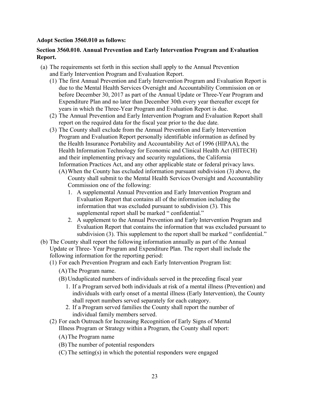# **Adopt Section 3560.010 as follows:**

# **Section 3560.010. Annual Prevention and Early Intervention Program and Evaluation Report.**

- (a) The requirements set forth in this section shall apply to the Annual Prevention and Early Intervention Program and Evaluation Report.
	- (1) The first Annual Prevention and Early Intervention Program and Evaluation Report is due to the Mental Health Services Oversight and Accountability Commission on or before December 30, 2017 as part of the Annual Update or Three-Year Program and Expenditure Plan and no later than December 30th every year thereafter except for years in which the Three-Year Program and Evaluation Report is due.
	- (2) The Annual Prevention and Early Intervention Program and Evaluation Report shall report on the required data for the fiscal year prior to the due date.
	- (3) The County shall exclude from the Annual Prevention and Early Intervention Program and Evaluation Report personally identifiable information as defined by the Health Insurance Portability and Accountability Act of 1996 (HIPAA), the Health Information Technology for Economic and Clinical Health Act (HITECH) and their implementing privacy and security regulations, the California Information Practices Act, and any other applicable state or federal privacy laws.
		- (A)When the County has excluded information pursuant subdivision (3) above, the County shall submit to the Mental Health Services Oversight and Accountability Commission one of the following:
			- 1. A supplemental Annual Prevention and Early Intervention Program and Evaluation Report that contains all of the information including the information that was excluded pursuant to subdivision (3). This supplemental report shall be marked "confidential."
			- 2. A supplement to the Annual Prevention and Early Intervention Program and Evaluation Report that contains the information that was excluded pursuant to subdivision (3). This supplement to the report shall be marked " confidential."
- (b) The County shall report the following information annually as part of the Annual Update or Three- Year Program and Expenditure Plan. The report shall include the following information for the reporting period:
	- (1) For each Prevention Program and each Early Intervention Program list:
		- (A)The Program name.
		- (B) Unduplicated numbers of individuals served in the preceding fiscal year
			- 1. If a Program served both individuals at risk of a mental illness (Prevention) and individuals with early onset of a mental illness (Early Intervention), the County shall report numbers served separately for each category.
			- 2. If a Program served families the County shall report the number of individual family members served.
	- (2) For each Outreach for Increasing Recognition of Early Signs of Mental Illness Program or Strategy within a Program, the County shall report:
		- (A)The Program name
		- (B) The number of potential responders
		- (C) The setting(s) in which the potential responders were engaged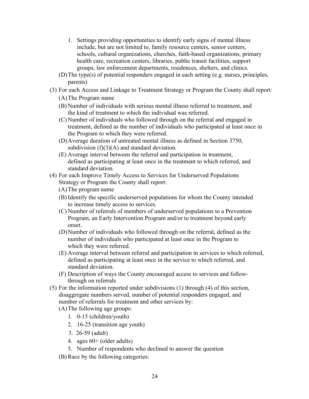- 1. Settings providing opportunities to identify early signs of mental illness include, but are not limited to, family resource centers, senior centers, schools, cultural organizations, churches, faith-based organizations, primary health care, recreation centers, libraries, public transit facilities, support groups, law enforcement departments, residences, shelters, and clinics.
- (D)The type(s) of potential responders engaged in each setting (e.g. nurses, principles, parents)
- (3) For each Access and Linkage to Treatment Strategy or Program the County shall report: (A)The Program name
	- (B) Number of individuals with serious mental illness referred to treatment, and the kind of treatment to which the individual was referred.
	- (C) Number of individuals who followed through on the referral and engaged in treatment, defined as the number of individuals who participated at least once in the Program to which they were referred.
	- (D)Average duration of untreated mental illness as defined in Section 3750, subdivision  $(f)(3)(A)$  and standard deviation.
	- (E) Average interval between the referral and participation in treatment, defined as participating at least once in the treatment to which referred, and standard deviation.
- (4) For each Improve Timely Access to Services for Underserved Populations Strategy or Program the County shall report:
	- (A)The program name
	- (B) Identify the specific underserved populations for whom the County intended to increase timely access to services.
	- (C) Number of referrals of members of underserved populations to a Prevention Program, an Early Intervention Program and/or to treatment beyond early onset.
	- (D)Number of individuals who followed through on the referral, defined as the number of individuals who participated at least once in the Program to which they were referred.
	- (E) Average interval between referral and participation in services to which referred, defined as participating at least once in the service to which referred, and standard deviation.
	- (F) Description of ways the County encouraged access to services and followthrough on referrals
- (5) For the information reported under subdivisions (1) through (4) of this section, disaggregate numbers served, number of potential responders engaged, and number of referrals for treatment and other services by:

(A)The following age groups:

- 1. 0-15 (children/youth)
- 2. 16-25 (transition age youth)
- 3. 26-59 (adult)
- 4. ages 60+ (older adults)
- 5. Number of respondents who declined to answer the question
- (B) Race by the following categories: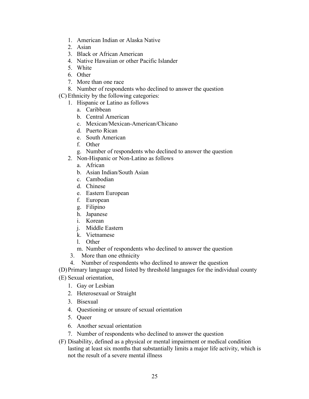- 1. American Indian or Alaska Native
- 2. Asian
- 3. Black or African American
- 4. Native Hawaiian or other Pacific Islander
- 5. White
- 6. Other
- 7. More than one race
- 8. Number of respondents who declined to answer the question
- (C) Ethnicity by the following categories:
	- 1. Hispanic or Latino as follows
		- a. Caribbean
		- b. Central American
		- c. Mexican/Mexican-American/Chicano
		- d. Puerto Rican
		- e. South American
		- f. Other
		- g. Number of respondents who declined to answer the question
	- 2. Non-Hispanic or Non-Latino as follows
		- a. African
		- b. Asian Indian/South Asian
		- c. Cambodian
		- d. Chinese
		- e. Eastern European
		- f. European
		- g. Filipino
		- h. Japanese
		- i. Korean
		- j. Middle Eastern
		- k. Vietnamese
		- l. Other
		- m. Number of respondents who declined to answer the question
	- 3. More than one ethnicity
	- 4. Number of respondents who declined to answer the question
- (D)Primary language used listed by threshold languages for the individual county
- (E) Sexual orientation,
	- 1. Gay or Lesbian
	- 2. Heterosexual or Straight
	- 3. Bisexual
	- 4. Questioning or unsure of sexual orientation
	- 5. Queer
	- 6. Another sexual orientation
	- 7. Number of respondents who declined to answer the question
- (F) Disability, defined as a physical or mental impairment or medical condition lasting at least six months that substantially limits a major life activity, which is not the result of a severe mental illness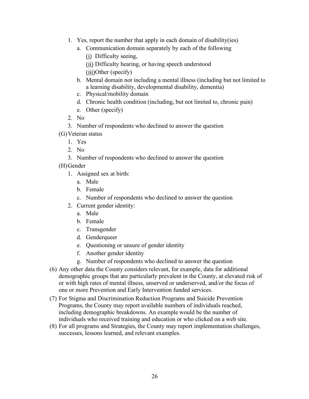- 1. Yes, report the number that apply in each domain of disability(ies)
	- a. Communication domain separately by each of the following (i) Difficulty seeing, (ii) Difficulty hearing, or having speech understood

(iii)Other (specify)

- b. Mental domain not including a mental illness (including but not limited to a learning disability, developmental disability, dementia)
- c. Physical/mobility domain
- d. Chronic health condition (including, but not limited to, chronic pain)
- e. Other (specify)
- 2. No
- 3. Number of respondents who declined to answer the question
- (G)Veteran status
	- 1. Yes
	- 2. No
	- 3. Number of respondents who declined to answer the question
- (H)Gender
	- 1. Assigned sex at birth:
		- a. Male
		- b. Female
		- c. Number of respondents who declined to answer the question
	- 2. Current gender identity:
		- a. Male
		- b. Female
		- c. Transgender
		- d. Genderqueer
		- e. Questioning or unsure of gender identity
		- f. Another gender identity
		- g. Number of respondents who declined to answer the question
- (6) Any other data the County considers relevant, for example, data for additional demographic groups that are particularly prevalent in the County, at elevated risk of or with high rates of mental illness, unserved or underserved, and/or the focus of one or more Prevention and Early Intervention funded services.
- (7) For Stigma and Discrimination Reduction Programs and Suicide Prevention Programs, the County may report available numbers of individuals reached, including demographic breakdowns. An example would be the number of individuals who received training and education or who clicked on a web site.
- (8) For all programs and Strategies, the County may report implementation challenges, successes, lessons learned, and relevant examples.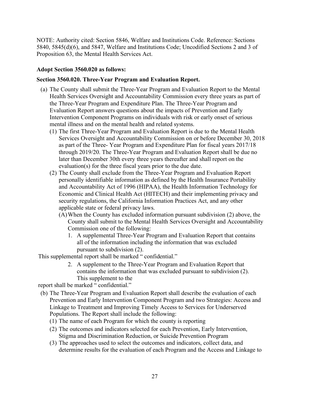NOTE: Authority cited: Section 5846, Welfare and Institutions Code. Reference: Sections 5840, 5845(d)(6), and 5847, Welfare and Institutions Code; Uncodified Sections 2 and 3 of Proposition 63, the Mental Health Services Act.

# **Adopt Section 3560.020 as follows:**

# **Section 3560.020. Three-Year Program and Evaluation Report.**

- (a) The County shall submit the Three-Year Program and Evaluation Report to the Mental Health Services Oversight and Accountability Commission every three years as part of the Three-Year Program and Expenditure Plan. The Three-Year Program and Evaluation Report answers questions about the impacts of Prevention and Early Intervention Component Programs on individuals with risk or early onset of serious mental illness and on the mental health and related systems.
	- (1) The first Three-Year Program and Evaluation Report is due to the Mental Health Services Oversight and Accountability Commission on or before December 30, 2018 as part of the Three- Year Program and Expenditure Plan for fiscal years 2017/18 through 2019/20. The Three-Year Program and Evaluation Report shall be due no later than December 30th every three years thereafter and shall report on the evaluation(s) for the three fiscal years prior to the due date.
	- (2) The County shall exclude from the Three-Year Program and Evaluation Report personally identifiable information as defined by the Health Insurance Portability and Accountability Act of 1996 (HIPAA), the Health Information Technology for Economic and Clinical Health Act (HITECH) and their implementing privacy and security regulations, the California Information Practices Act, and any other applicable state or federal privacy laws.
		- (A)When the County has excluded information pursuant subdivision (2) above, the County shall submit to the Mental Health Services Oversight and Accountability Commission one of the following:
			- 1. A supplemental Three-Year Program and Evaluation Report that contains all of the information including the information that was excluded pursuant to subdivision (2).

This supplemental report shall be marked " confidential."

2. A supplement to the Three-Year Program and Evaluation Report that contains the information that was excluded pursuant to subdivision (2). This supplement to the

report shall be marked " confidential."

- (b) The Three-Year Program and Evaluation Report shall describe the evaluation of each Prevention and Early Intervention Component Program and two Strategies: Access and Linkage to Treatment and Improving Timely Access to Services for Underserved Populations. The Report shall include the following:
	- (1) The name of each Program for which the county is reporting
	- (2) The outcomes and indicators selected for each Prevention, Early Intervention, Stigma and Discrimination Reduction, or Suicide Prevention Program
	- (3) The approaches used to select the outcomes and indicators, collect data, and determine results for the evaluation of each Program and the Access and Linkage to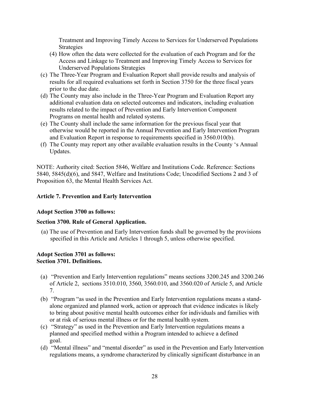Treatment and Improving Timely Access to Services for Underserved Populations Strategies

- (4) How often the data were collected for the evaluation of each Program and for the Access and Linkage to Treatment and Improving Timely Access to Services for Underserved Populations Strategies
- (c) The Three-Year Program and Evaluation Report shall provide results and analysis of results for all required evaluations set forth in Section 3750 for the three fiscal years prior to the due date.
- (d) The County may also include in the Three-Year Program and Evaluation Report any additional evaluation data on selected outcomes and indicators, including evaluation results related to the impact of Prevention and Early Intervention Component Programs on mental health and related systems.
- (e) The County shall include the same information for the previous fiscal year that otherwise would be reported in the Annual Prevention and Early Intervention Program and Evaluation Report in response to requirements specified in 3560.010(b).
- (f) The County may report any other available evaluation results in the County 's Annual Updates.

NOTE: Authority cited: Section 5846, Welfare and Institutions Code. Reference: Sections 5840, 5845(d)(6), and 5847, Welfare and Institutions Code; Uncodified Sections 2 and 3 of Proposition 63, the Mental Health Services Act.

# **Article 7. Prevention and Early Intervention**

### **Adopt Section 3700 as follows:**

### **Section 3700. Rule of General Application.**

(a) The use of Prevention and Early Intervention funds shall be governed by the provisions specified in this Article and Articles 1 through 5, unless otherwise specified.

#### **Adopt Section 3701 as follows: Section 3701. Definitions.**

- (a) "Prevention and Early Intervention regulations" means sections 3200.245 and 3200.246 of Article 2, sections 3510.010, 3560, 3560.010, and 3560.020 of Article 5, and Article 7.
- (b) "Program "as used in the Prevention and Early Intervention regulations means a standalone organized and planned work, action or approach that evidence indicates is likely to bring about positive mental health outcomes either for individuals and families with or at risk of serious mental illness or for the mental health system.
- (c) "Strategy" as used in the Prevention and Early Intervention regulations means a planned and specified method within a Program intended to achieve a defined goal.
- (d) "Mental illness" and "mental disorder" as used in the Prevention and Early Intervention regulations means, a syndrome characterized by clinically significant disturbance in an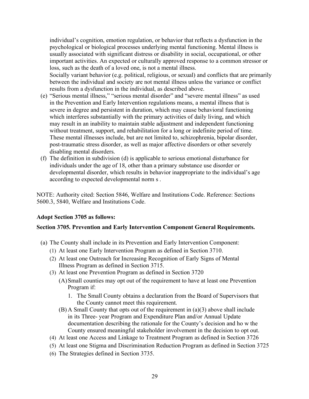individual's cognition, emotion regulation, or behavior that reflects a dysfunction in the psychological or biological processes underlying mental functioning. Mental illness is usually associated with significant distress or disability in social, occupational, or other important activities. An expected or culturally approved response to a common stressor or loss, such as the death of a loved one, is not a mental illness. Socially variant behavior (e.g. political, religious, or sexual) and conflicts that are primarily between the individual and society are not mental illness unless the variance or conflict results from a dysfunction in the individual, as described above.

- (e) "Serious mental illness," "serious mental disorder" and "severe mental illness" as used in the Prevention and Early Intervention regulations means, a mental illness that is severe in degree and persistent in duration, which may cause behavioral functioning which interferes substantially with the primary activities of daily living, and which may result in an inability to maintain stable adjustment and independent functioning without treatment, support, and rehabilitation for a long or indefinite period of time. These mental illnesses include, but are not limited to, schizophrenia, bipolar disorder, post-traumatic stress disorder, as well as major affective disorders or other severely disabling mental disorders.
- (f) The definition in subdivision (d) is applicable to serious emotional disturbance for individuals under the age of 18, other than a primary substance use disorder or developmental disorder, which results in behavior inappropriate to the individual's age according to expected developmental norm s .

NOTE: Authority cited: Section 5846, Welfare and Institutions Code. Reference: Sections 5600.3, 5840, Welfare and Institutions Code.

#### **Adopt Section 3705 as follows:**

#### **Section 3705. Prevention and Early Intervention Component General Requirements.**

- (a) The County shall include in its Prevention and Early Intervention Component:
	- (1) At least one Early Intervention Program as defined in Section 3710.
	- (2) At least one Outreach for Increasing Recognition of Early Signs of Mental Illness Program as defined in Section 3715.
	- (3) At least one Prevention Program as defined in Section 3720
		- (A)Small counties may opt out of the requirement to have at least one Prevention Program if:
			- 1. The Small County obtains a declaration from the Board of Supervisors that the County cannot meet this requirement.
		- (B) A Small County that opts out of the requirement in (a)(3) above shall include in its Three- year Program and Expenditure Plan and/or Annual Update documentation describing the rationale for the County's decision and ho w the County ensured meaningful stakeholder involvement in the decision to opt out.
	- (4) At least one Access and Linkage to Treatment Program as defined in Section 3726
	- (5) At least one Stigma and Discrimination Reduction Program as defined in Section 3725
	- (6) The Strategies defined in Section 3735.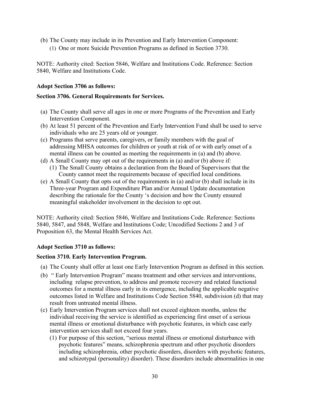- (b) The County may include in its Prevention and Early Intervention Component:
	- (1) One or more Suicide Prevention Programs as defined in Section 3730.

NOTE: Authority cited: Section 5846, Welfare and Institutions Code. Reference: Section 5840, Welfare and Institutions Code.

#### **Adopt Section 3706 as follows:**

#### **Section 3706. General Requirements for Services.**

- (a) The County shall serve all ages in one or more Programs of the Prevention and Early Intervention Component.
- (b) At least 51 percent of the Prevention and Early Intervention Fund shall be used to serve individuals who are 25 years old or younger.
- (c) Programs that serve parents, caregivers, or family members with the goal of addressing MHSA outcomes for children or youth at risk of or with early onset of a mental illness can be counted as meeting the requirements in (a) and (b) above.
- (d) A Small County may opt out of the requirements in (a) and/or (b) above if:
	- (1) The Small County obtains a declaration from the Board of Supervisors that the County cannot meet the requirements because of specified local conditions.
- (e) A Small County that opts out of the requirements in (a) and/or (b) shall include in its Three-year Program and Expenditure Plan and/or Annual Update documentation describing the rationale for the County 's decision and how the County ensured meaningful stakeholder involvement in the decision to opt out.

NOTE: Authority cited: Section 5846, Welfare and Institutions Code. Reference: Sections 5840, 5847, and 5848, Welfare and Institutions Code; Uncodified Sections 2 and 3 of Proposition 63, the Mental Health Services Act.

### **Adopt Section 3710 as follows:**

#### **Section 3710. Early Intervention Program.**

- (a) The County shall offer at least one Early Intervention Program as defined in this section.
- (b) " Early Intervention Program" means treatment and other services and interventions, including relapse prevention, to address and promote recovery and related functional outcomes for a mental illness early in its emergence, including the applicable negative outcomes listed in Welfare and Institutions Code Section 5840, subdivision (d) that may result from untreated mental illness.
- (c) Early Intervention Program services shall not exceed eighteen months, unless the individual receiving the service is identified as experiencing first onset of a serious mental illness or emotional disturbance with psychotic features, in which case early intervention services shall not exceed four years.
	- (1) For purpose of this section, "serious mental illness or emotional disturbance with psychotic features" means, schizophrenia spectrum and other psychotic disorders including schizophrenia, other psychotic disorders, disorders with psychotic features, and schizotypal (personality) disorder). These disorders include abnormalities in one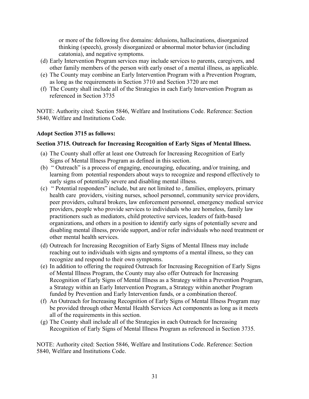or more of the following five domains: delusions, hallucinations, disorganized thinking (speech), grossly disorganized or abnormal motor behavior (including catatonia), and negative symptoms.

- (d) Early Intervention Program services may include services to parents, caregivers, and other family members of the person with early onset of a mental illness, as applicable.
- (e) The County may combine an Early Intervention Program with a Prevention Program, as long as the requirements in Section 3710 and Section 3720 are met
- (f) The County shall include all of the Strategies in each Early Intervention Program as referenced in Section 3735

NOTE: Authority cited: Section 5846, Welfare and Institutions Code. Reference: Section 5840, Welfare and Institutions Code.

#### **Adopt Section 3715 as follows:**

#### **Section 3715. Outreach for Increasing Recognition of Early Signs of Mental Illness.**

- (a) The County shall offer at least one Outreach for Increasing Recognition of Early Signs of Mental Illness Program as defined in this section.
- (b) " Outreach" is a process of engaging, encouraging, educating, and/or training, and learning from potential responders about ways to recognize and respond effectively to early signs of potentially severe and disabling mental illness.
- (c) " Potential responders" include, but are not limited to , families, employers, primary health care providers, visiting nurses, school personnel, community service providers, peer providers, cultural brokers, law enforcement personnel, emergency medical service providers, people who provide services to individuals who are homeless, family law practitioners such as mediators, child protective services, leaders of faith-based organizations, and others in a position to identify early signs of potentially severe and disabling mental illness, provide support, and/or refer individuals who need treatment or other mental health services.
- (d) Outreach for Increasing Recognition of Early Signs of Mental Illness may include reaching out to individuals with signs and symptoms of a mental illness, so they can recognize and respond to their own symptoms.
- (e) In addition to offering the required Outreach for Increasing Recognition of Early Signs of Mental Illness Program, the County may also offer Outreach for Increasing Recognition of Early Signs of Mental Illness as a Strategy within a Prevention Program, a Strategy within an Early Intervention Program, a Strategy within another Program funded by Prevention and Early Intervention funds, or a combination thereof.
- (f) An Outreach for Increasing Recognition of Early Signs of Mental Illness Program may be provided through other Mental Health Services Act components as long as it meets all of the requirements in this section.
- (g) The County shall include all of the Strategies in each Outreach for Increasing Recognition of Early Signs of Mental Illness Program as referenced in Section 3735.

NOTE: Authority cited: Section 5846, Welfare and Institutions Code. Reference: Section 5840, Welfare and Institutions Code.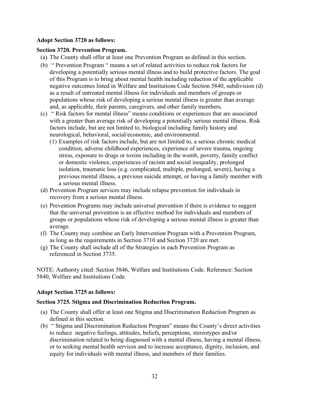#### **Adopt Section 3720 as follows:**

#### **Section 3720. Prevention Program.**

- (a) The County shall offer at least one Prevention Program as defined in this section.
- (b) " Prevention Program " means a set of related activities to reduce risk factors for developing a potentially serious mental illness and to build protective factors. The goal of this Program is to bring about mental health including reduction of the applicable negative outcomes listed in Welfare and Institutions Code Section 5840, subdivision (d) as a result of untreated mental illness for individuals and members of groups or populations whose risk of developing a serious mental illness is greater than average and, as applicable, their parents, caregivers, and other family members.
- (c) " Risk factors for mental illness" means conditions or experiences that are associated with a greater than average risk of developing a potentially serious mental illness. Risk factors include, but are not limited to, biological including family history and neurological, behavioral, social/economic, and environmental.
	- (1) Examples of risk factors include, but are not limited to, a serious chronic medical condition, adverse childhood experiences, experience of severe trauma, ongoing stress, exposure to drugs or toxins including in the womb, poverty, family conflict or domestic violence, experiences of racism and social inequality, prolonged isolation, traumatic loss (e.g. complicated, multiple, prolonged, severe), having a previous mental illness, a previous suicide attempt, or having a family member with a serious mental illness.
- (d) Prevention Program services may include relapse prevention for individuals in recovery from a serious mental illness.
- (e) Prevention Programs may include universal prevention if there is evidence to suggest that the universal prevention is an effective method for individuals and members of groups or populations whose risk of developing a serious mental illness is greater than average.
- (f) The County may combine an Early Intervention Program with a Prevention Program, as long as the requirements in Section 3710 and Section 3720 are met.
- (g) The County shall include all of the Strategies in each Prevention Program as referenced in Section 3735.

NOTE: Authority cited: Section 5846, Welfare and Institutions Code. Reference: Section 5840, Welfare and Institutions Code.

#### **Adopt Section 3725 as follows:**

#### **Section 3725. Stigma and Discrimination Reduction Program.**

- (a) The County shall offer at least one Stigma and Discrimination Reduction Program as defined in this section.
- (b) " Stigma and Discrimination Reduction Program" means the County's direct activities to reduce negative feelings, attitudes, beliefs, perceptions, stereotypes and/or discrimination related to being diagnosed with a mental illness, having a mental illness, or to seeking mental health services and to increase acceptance, dignity, inclusion, and equity for individuals with mental illness, and members of their families.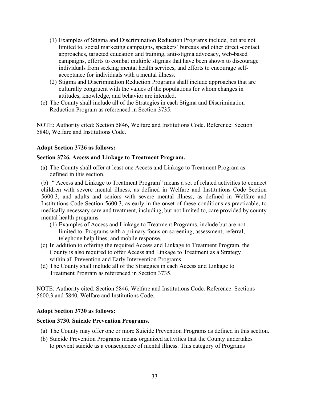- (1) Examples of Stigma and Discrimination Reduction Programs include, but are not limited to, social marketing campaigns, speakers' bureaus and other direct -contact approaches, targeted education and training, anti-stigma advocacy, web-based campaigns, efforts to combat multiple stigmas that have been shown to discourage individuals from seeking mental health services, and efforts to encourage selfacceptance for individuals with a mental illness.
- (2) Stigma and Discrimination Reduction Programs shall include approaches that are culturally congruent with the values of the populations for whom changes in attitudes, knowledge, and behavior are intended.
- (c) The County shall include all of the Strategies in each Stigma and Discrimination Reduction Program as referenced in Section 3735.

NOTE: Authority cited: Section 5846, Welfare and Institutions Code. Reference: Section 5840, Welfare and Institutions Code.

#### **Adopt Section 3726 as follows:**

#### **Section 3726. Access and Linkage to Treatment Program.**

(a) The County shall offer at least one Access and Linkage to Treatment Program as defined in this section.

(b) " Access and Linkage to Treatment Program" means a set of related activities to connect children with severe mental illness, as defined in Welfare and Institutions Code Section 5600.3, and adults and seniors with severe mental illness, as defined in Welfare and Institutions Code Section 5600.3, as early in the onset of these conditions as practicable, to medically necessary care and treatment, including, but not limited to, care provided by county mental health programs.

- (1) Examples of Access and Linkage to Treatment Programs, include but are not limited to, Programs with a primary focus on screening, assessment, referral, telephone help lines, and mobile response.
- (c) In addition to offering the required Access and Linkage to Treatment Program, the County is also required to offer Access and Linkage to Treatment as a Strategy within all Prevention and Early Intervention Programs.
- (d) The County shall include all of the Strategies in each Access and Linkage to Treatment Program as referenced in Section 3735.

NOTE: Authority cited: Section 5846, Welfare and Institutions Code. Reference: Sections 5600.3 and 5840, Welfare and Institutions Code.

#### **Adopt Section 3730 as follows:**

#### **Section 3730. Suicide Prevention Programs.**

- (a) The County may offer one or more Suicide Prevention Programs as defined in this section.
- (b) Suicide Prevention Programs means organized activities that the County undertakes to prevent suicide as a consequence of mental illness. This category of Programs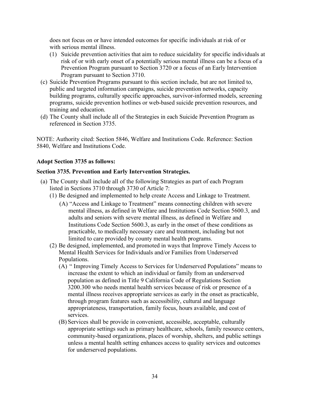does not focus on or have intended outcomes for specific individuals at risk of or with serious mental illness.

- (1) Suicide prevention activities that aim to reduce suicidality for specific individuals at risk of or with early onset of a potentially serious mental illness can be a focus of a Prevention Program pursuant to Section 3720 or a focus of an Early Intervention Program pursuant to Section 3710.
- (c) Suicide Prevention Programs pursuant to this section include, but are not limited to, public and targeted information campaigns, suicide prevention networks, capacity building programs, culturally specific approaches, survivor-informed models, screening programs, suicide prevention hotlines or web-based suicide prevention resources, and training and education.
- (d) The County shall include all of the Strategies in each Suicide Prevention Program as referenced in Section 3735.

NOTE: Authority cited: Section 5846, Welfare and Institutions Code. Reference: Section 5840, Welfare and Institutions Code.

#### **Adopt Section 3735 as follows:**

#### **Section 3735. Prevention and Early Intervention Strategies.**

- (a) The County shall include all of the following Strategies as part of each Program listed in Sections 3710 through 3730 of Article 7:
	- (1) Be designed and implemented to help create Access and Linkage to Treatment.
		- (A) "Access and Linkage to Treatment" means connecting children with severe mental illness, as defined in Welfare and Institutions Code Section 5600.3, and adults and seniors with severe mental illness, as defined in Welfare and Institutions Code Section 5600.3, as early in the onset of these conditions as practicable, to medically necessary care and treatment, including but not limited to care provided by county mental health programs.
	- (2) Be designed, implemented, and promoted in ways that Improve Timely Access to Mental Health Services for Individuals and/or Families from Underserved Populations.
		- (A) " Improving Timely Access to Services for Underserved Populations" means to increase the extent to which an individual or family from an underserved population as defined in Title 9 California Code of Regulations Section 3200.300 who needs mental health services because of risk or presence of a mental illness receives appropriate services as early in the onset as practicable, through program features such as accessibility, cultural and language appropriateness, transportation, family focus, hours available, and cost of services.
		- (B) Services shall be provide in convenient, accessible, acceptable, culturally appropriate settings such as primary healthcare, schools, family resource centers, community-based organizations, places of worship, shelters, and public settings unless a mental health setting enhances access to quality services and outcomes for underserved populations.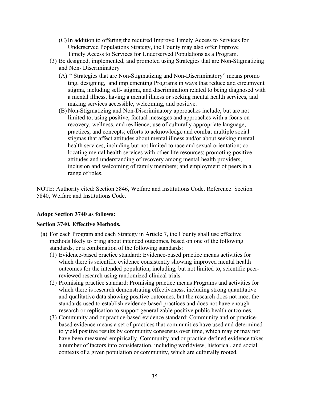- (C) In addition to offering the required Improve Timely Access to Services for Underserved Populations Strategy, the County may also offer Improve Timely Access to Services for Underserved Populations as a Program.
- (3) Be designed, implemented, and promoted using Strategies that are Non-Stigmatizing and Non- Discriminatory
	- (A) " Strategies that are Non-Stigmatizing and Non-Discriminatory" means promo ting, designing, and implementing Programs in ways that reduce and circumvent stigma, including self- stigma, and discrimination related to being diagnosed with a mental illness, having a mental illness or seeking mental health services, and making services accessible, welcoming, and positive.
	- (B) Non-Stigmatizing and Non-Discriminatory approaches include, but are not limited to, using positive, factual messages and approaches with a focus on recovery, wellness, and resilience; use of culturally appropriate language, practices, and concepts; efforts to acknowledge and combat multiple social stigmas that affect attitudes about mental illness and/or about seeking mental health services, including but not limited to race and sexual orientation; colocating mental health services with other life resources; promoting positive attitudes and understanding of recovery among mental health providers; inclusion and welcoming of family members; and employment of peers in a range of roles.

NOTE: Authority cited: Section 5846, Welfare and Institutions Code. Reference: Section 5840, Welfare and Institutions Code.

#### **Adopt Section 3740 as follows:**

#### **Section 3740. Effective Methods.**

- (a) For each Program and each Strategy in Article 7, the County shall use effective methods likely to bring about intended outcomes, based on one of the following standards, or a combination of the following standards:
	- (1) Evidence-based practice standard: Evidence-based practice means activities for which there is scientific evidence consistently showing improved mental health outcomes for the intended population, including, but not limited to, scientific peerreviewed research using randomized clinical trials.
	- (2) Promising practice standard: Promising practice means Programs and activities for which there is research demonstrating effectiveness, including strong quantitative and qualitative data showing positive outcomes, but the research does not meet the standards used to establish evidence-based practices and does not have enough research or replication to support generalizable positive public health outcomes.
	- (3) Community and or practice-based evidence standard: Community and or practicebased evidence means a set of practices that communities have used and determined to yield positive results by community consensus over time, which may or may not have been measured empirically. Community and or practice-defined evidence takes a number of factors into consideration, including worldview, historical, and social contexts of a given population or community, which are culturally rooted.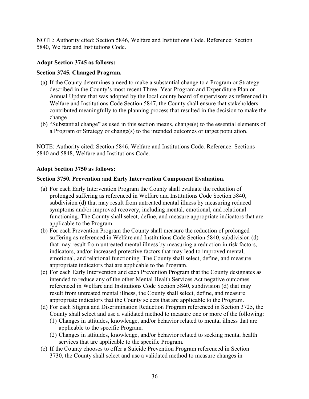NOTE: Authority cited: Section 5846, Welfare and Institutions Code. Reference: Section 5840, Welfare and Institutions Code.

#### **Adopt Section 3745 as follows:**

#### **Section 3745. Changed Program.**

- (a) If the County determines a need to make a substantial change to a Program or Strategy described in the County's most recent Three -Year Program and Expenditure Plan or Annual Update that was adopted by the local county board of supervisors as referenced in Welfare and Institutions Code Section 5847, the County shall ensure that stakeholders contributed meaningfully to the planning process that resulted in the decision to make the change
- (b) "Substantial change" as used in this section means, change(s) to the essential elements of a Program or Strategy or change(s) to the intended outcomes or target population.

NOTE: Authority cited: Section 5846, Welfare and Institutions Code. Reference: Sections 5840 and 5848, Welfare and Institutions Code.

#### **Adopt Section 3750 as follows:**

#### **Section 3750. Prevention and Early Intervention Component Evaluation.**

- (a) For each Early Intervention Program the County shall evaluate the reduction of prolonged suffering as referenced in Welfare and Institutions Code Section 5840, subdivision (d) that may result from untreated mental illness by measuring reduced symptoms and/or improved recovery, including mental, emotional, and relational functioning. The County shall select, define, and measure appropriate indicators that are applicable to the Program.
- (b) For each Prevention Program the County shall measure the reduction of prolonged suffering as referenced in Welfare and Institutions Code Section 5840, subdivision (d) that may result from untreated mental illness by measuring a reduction in risk factors, indicators, and/or increased protective factors that may lead to improved mental, emotional, and relational functioning. The County shall select, define, and measure appropriate indicators that are applicable to the Program.
- (c) For each Early Intervention and each Prevention Program that the County designates as intended to reduce any of the other Mental Health Services Act negative outcomes referenced in Welfare and Institutions Code Section 5840, subdivision (d) that may result from untreated mental illness, the County shall select, define, and measure appropriate indicators that the County selects that are applicable to the Program.
- (d) For each Stigma and Discrimination Reduction Program referenced in Section 3725, the County shall select and use a validated method to measure one or more of the following:
	- (1) Changes in attitudes, knowledge, and/or behavior related to mental illness that are applicable to the specific Program.
	- (2) Changes in attitudes, knowledge, and/or behavior related to seeking mental health services that are applicable to the specific Program.
- (e) If the County chooses to offer a Suicide Prevention Program referenced in Section 3730, the County shall select and use a validated method to measure changes in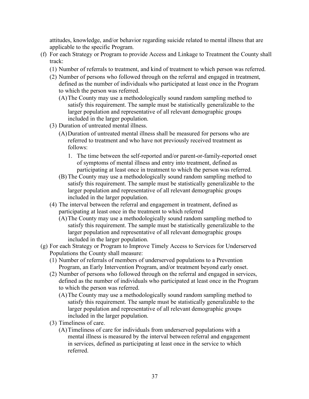attitudes, knowledge, and/or behavior regarding suicide related to mental illness that are applicable to the specific Program.

- (f) For each Strategy or Program to provide Access and Linkage to Treatment the County shall track:
	- (1) Number of referrals to treatment, and kind of treatment to which person was referred.
	- (2) Number of persons who followed through on the referral and engaged in treatment, defined as the number of individuals who participated at least once in the Program to which the person was referred.
		- (A)The County may use a methodologically sound random sampling method to satisfy this requirement. The sample must be statistically generalizable to the larger population and representative of all relevant demographic groups included in the larger population.
	- (3) Duration of untreated mental illness.
		- (A)Duration of untreated mental illness shall be measured for persons who are referred to treatment and who have not previously received treatment as follows:
			- 1. The time between the self-reported and/or parent-or-family-reported onset of symptoms of mental illness and entry into treatment, defined as participating at least once in treatment to which the person was referred.
		- (B) The County may use a methodologically sound random sampling method to satisfy this requirement. The sample must be statistically generalizable to the larger population and representative of all relevant demographic groups included in the larger population.
	- (4) The interval between the referral and engagement in treatment, defined as participating at least once in the treatment to which referred
		- (A)The County may use a methodologically sound random sampling method to satisfy this requirement. The sample must be statistically generalizable to the larger population and representative of all relevant demographic groups included in the larger population.
- (g) For each Strategy or Program to Improve Timely Access to Services for Underserved Populations the County shall measure:
	- (1) Number of referrals of members of underserved populations to a Prevention Program, an Early Intervention Program, and/or treatment beyond early onset.
	- (2) Number of persons who followed through on the referral and engaged in services, defined as the number of individuals who participated at least once in the Program to which the person was referred.
		- (A)The County may use a methodologically sound random sampling method to satisfy this requirement. The sample must be statistically generalizable to the larger population and representative of all relevant demographic groups included in the larger population.
	- (3) Timeliness of care.
		- (A)Timeliness of care for individuals from underserved populations with a mental illness is measured by the interval between referral and engagement in services, defined as participating at least once in the service to which referred.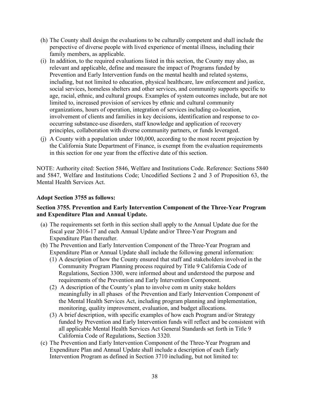- (h) The County shall design the evaluations to be culturally competent and shall include the perspective of diverse people with lived experience of mental illness, including their family members, as applicable.
- (i) In addition, to the required evaluations listed in this section, the County may also, as relevant and applicable, define and measure the impact of Programs funded by Prevention and Early Intervention funds on the mental health and related systems, including, but not limited to education, physical healthcare, law enforcement and justice, social services, homeless shelters and other services, and community supports specific to age, racial, ethnic, and cultural groups. Examples of system outcomes include, but are not limited to, increased provision of services by ethnic and cultural community organizations, hours of operation, integration of services including co-location, involvement of clients and families in key decisions, identification and response to cooccurring substance-use disorders, staff knowledge and application of recovery principles, collaboration with diverse community partners, or funds leveraged.
- (j) A County with a population under 100,000, according to the most recent projection by the California State Department of Finance, is exempt from the evaluation requirements in this section for one year from the effective date of this section.

NOTE: Authority cited: Section 5846, Welfare and Institutions Code. Reference: Sections 5840 and 5847, Welfare and Institutions Code; Uncodified Sections 2 and 3 of Proposition 63, the Mental Health Services Act.

#### **Adopt Section 3755 as follows:**

#### **Section 3755. Prevention and Early Intervention Component of the Three-Year Program and Expenditure Plan and Annual Update.**

- (a) The requirements set forth in this section shall apply to the Annual Update due for the fiscal year 2016-17 and each Annual Update and/or Three-Year Program and Expenditure Plan thereafter.
- (b) The Prevention and Early Intervention Component of the Three-Year Program and Expenditure Plan or Annual Update shall include the following general information:
	- (1) A description of how the County ensured that staff and stakeholders involved in the Community Program Planning process required by Title 9 California Code of Regulations, Section 3300, were informed about and understood the purpose and requirements of the Prevention and Early Intervention Component.
	- (2) A description of the County's plan to involve com m unity stake holders meaningfully in all phases of the Prevention and Early Intervention Component of the Mental Health Services Act, including program planning and implementation, monitoring, quality improvement, evaluation, and budget allocations.
	- (3) A brief description, with specific examples of how each Program and/or Strategy funded by Prevention and Early Intervention funds will reflect and be consistent with all applicable Mental Health Services Act General Standards set forth in Title 9 California Code of Regulations, Section 3320.
- (c) The Prevention and Early Intervention Component of the Three-Year Program and Expenditure Plan and Annual Update shall include a description of each Early Intervention Program as defined in Section 3710 including, but not limited to: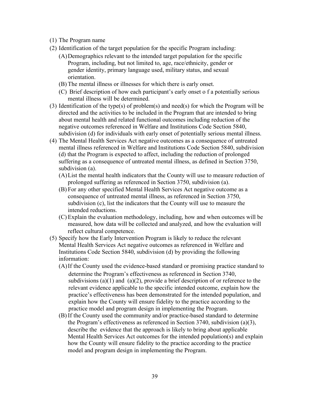- (1) The Program name
- (2) Identification of the target population for the specific Program including:
	- (A)Demographics relevant to the intended target population for the specific Program, including, but not limited to, age, race/ethnicity, gender or gender identity, primary language used, military status, and sexual orientation.
	- (B) The mental illness or illnesses for which there is early onset.
	- (C) Brief description of how each participant's early onset o f a potentially serious mental illness will be determined.
- (3) Identification of the type(s) of problem(s) and need(s) for which the Program will be directed and the activities to be included in the Program that are intended to bring about mental health and related functional outcomes including reduction of the negative outcomes referenced in Welfare and Institutions Code Section 5840, subdivision (d) for individuals with early onset of potentially serious mental illness.
- (4) The Mental Health Services Act negative outcomes as a consequence of untreated mental illness referenced in Welfare and Institutions Code Section 5840, subdivision (d) that the Program is expected to affect, including the reduction of prolonged suffering as a consequence of untreated mental illness, as defined in Section 3750, subdivision (a).
	- (A)List the mental health indicators that the County will use to measure reduction of prolonged suffering as referenced in Section 3750, subdivision (a).
	- (B) For any other specified Mental Health Services Act negative outcome as a consequence of untreated mental illness, as referenced in Section 3750, subdivision (c), list the indicators that the County will use to measure the intended reductions.
	- (C) Explain the evaluation methodology, including, how and when outcomes will be measured, how data will be collected and analyzed, and how the evaluation will reflect cultural competence.
- (5) Specify how the Early Intervention Program is likely to reduce the relevant Mental Health Services Act negative outcomes as referenced in Welfare and Institutions Code Section 5840, subdivision (d) by providing the following information:
	- (A)If the County used the evidence-based standard or promising practice standard to determine the Program's effectiveness as referenced in Section 3740, subdivisions (a)(1) and (a)(2), provide a brief description of or reference to the relevant evidence applicable to the specific intended outcome, explain how the practice's effectiveness has been demonstrated for the intended population, and explain how the County will ensure fidelity to the practice according to the practice model and program design in implementing the Program.
	- (B) If the County used the community and/or practice-based standard to determine the Program's effectiveness as referenced in Section 3740, subdivision (a)(3), describe the evidence that the approach is likely to bring about applicable Mental Health Services Act outcomes for the intended population(s) and explain how the County will ensure fidelity to the practice according to the practice model and program design in implementing the Program.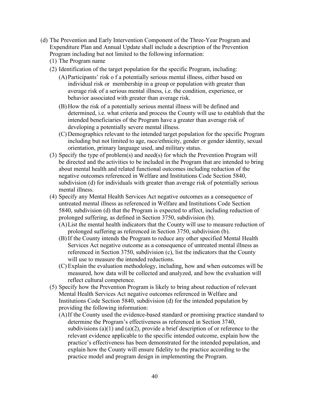- (d) The Prevention and Early Intervention Component of the Three-Year Program and Expenditure Plan and Annual Update shall include a description of the Prevention Program including but not limited to the following information:
	- (1) The Program name
	- (2) Identification of the target population for the specific Program, including:
		- (A)Participants' risk o f a potentially serious mental illness, either based on individual risk or membership in a group or population with greater than average risk of a serious mental illness, i.e. the condition, experience, or behavior associated with greater than average risk.
		- (B) How the risk of a potentially serious mental illness will be defined and determined, i.e. what criteria and process the County will use to establish that the intended beneficiaries of the Program have a greater than average risk of developing a potentially severe mental illness.
		- (C) Demographics relevant to the intended target population for the specific Program including but not limited to age, race/ethnicity, gender or gender identity, sexual orientation, primary language used, and military status.
	- (3) Specify the type of problem(s) and need(s) for which the Prevention Program will be directed and the activities to be included in the Program that are intended to bring about mental health and related functional outcomes including reduction of the negative outcomes referenced in Welfare and Institutions Code Section 5840, subdivision (d) for individuals with greater than average risk of potentially serious mental illness.
	- (4) Specify any Mental Health Services Act negative outcomes as a consequence of untreated mental illness as referenced in Welfare and Institutions Code Section 5840, subdivision (d) that the Program is expected to affect, including reduction of prolonged suffering, as defined in Section 3750, subdivision (b).
		- (A)List the mental health indicators that the County will use to measure reduction of prolonged suffering as referenced in Section 3750, subdivision (b).
		- (B) If the County intends the Program to reduce any other specified Mental Health Services Act negative outcome as a consequence of untreated mental illness as referenced in Section 3750, subdivision (c), list the indicators that the County will use to measure the intended reductions.
		- (C) Explain the evaluation methodology, including, how and when outcomes will be measured, how data will be collected and analyzed, and how the evaluation will reflect cultural competence.
	- (5) Specify how the Prevention Program is likely to bring about reduction of relevant Mental Health Services Act negative outcomes referenced in Welfare and Institutions Code Section 5840, subdivision (d) for the intended population by providing the following information:
		- (A)If the County used the evidence-based standard or promising practice standard to determine the Program's effectiveness as referenced in Section 3740, subdivisions (a)(1) and (a)(2), provide a brief description of or reference to the relevant evidence applicable to the specific intended outcome, explain how the practice's effectiveness has been demonstrated for the intended population, and explain how the County will ensure fidelity to the practice according to the practice model and program design in implementing the Program.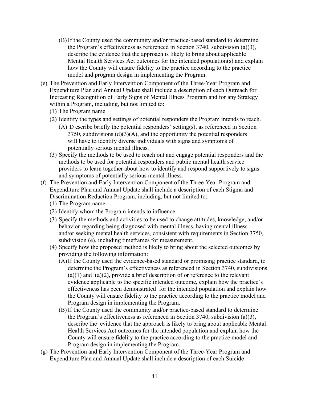- (B) If the County used the community and/or practice-based standard to determine the Program's effectiveness as referenced in Section 3740, subdivision (a)(3), describe the evidence that the approach is likely to bring about applicable Mental Health Services Act outcomes for the intended population(s) and explain how the County will ensure fidelity to the practice according to the practice model and program design in implementing the Program.
- (e) The Prevention and Early Intervention Component of the Three-Year Program and Expenditure Plan and Annual Update shall include a description of each Outreach for Increasing Recognition of Early Signs of Mental Illness Program and for any Strategy within a Program, including, but not limited to:
	- (1) The Program name
	- (2) Identify the types and settings of potential responders the Program intends to reach.
		- (A) D escribe briefly the potential responders' setting(s), as referenced in Section  $3750$ , subdivisions  $(d)(3)(A)$ , and the opportunity the potential responders will have to identify diverse individuals with signs and symptoms of potentially serious mental illness.
	- (3) Specify the methods to be used to reach out and engage potential responders and the methods to be used for potential responders and public mental health service providers to learn together about how to identify and respond supportively to signs and symptoms of potentially serious mental illness.
- (f) The Prevention and Early Intervention Component of the Three-Year Program and Expenditure Plan and Annual Update shall include a description of each Stigma and Discrimination Reduction Program, including, but not limited to:
	- (1) The Program name
	- (2) Identify whom the Program intends to influence.
	- (3) Specify the methods and activities to be used to change attitudes, knowledge, and/or behavior regarding being diagnosed with mental illness, having mental illness and/or seeking mental health services, consistent with requirements in Section 3750, subdivision (e), including timeframes for measurement.
	- (4) Specify how the proposed method is likely to bring about the selected outcomes by providing the following information:
		- (A)If the County used the evidence-based standard or promising practice standard, to determine the Program's effectiveness as referenced in Section 3740, subdivisions  $(a)(1)$  and  $(a)(2)$ , provide a brief description of or reference to the relevant evidence applicable to the specific intended outcome, explain how the practice's effectiveness has been demonstrated for the intended population and explain how the County will ensure fidelity to the practice according to the practice model and Program design in implementing the Program.
		- (B) If the County used the community and/or practice-based standard to determine the Program's effectiveness as referenced in Section 3740, subdivision (a)(3), describe the evidence that the approach is likely to bring about applicable Mental Health Services Act outcomes for the intended population and explain how the County will ensure fidelity to the practice according to the practice model and Program design in implementing the Program.
- (g) The Prevention and Early Intervention Component of the Three-Year Program and Expenditure Plan and Annual Update shall include a description of each Suicide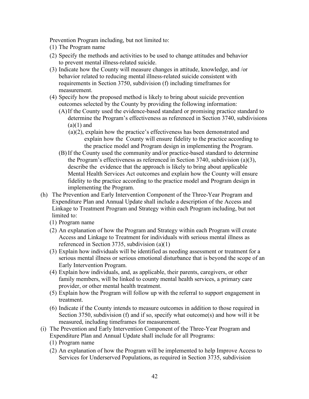Prevention Program including, but not limited to:

- (1) The Program name
- (2) Specify the methods and activities to be used to change attitudes and behavior to prevent mental illness-related suicide.
- (3) Indicate how the County will measure changes in attitude, knowledge, and /or behavior related to reducing mental illness-related suicide consistent with requirements in Section 3750, subdivision (f) including timeframes for measurement.
- (4) Specify how the proposed method is likely to bring about suicide prevention outcomes selected by the County by providing the following information:
	- (A)If the County used the evidence-based standard or promising practice standard to determine the Program's effectiveness as referenced in Section 3740, subdivisions  $(a)(1)$  and
		- (a)(2), explain how the practice's effectiveness has been demonstrated and explain how the County will ensure fidelity to the practice according to the practice model and Program design in implementing the Program.
	- (B) If the County used the community and/or practice-based standard to determine the Program's effectiveness as referenced in Section 3740, subdivision (a)(3), describe the evidence that the approach is likely to bring about applicable Mental Health Services Act outcomes and explain how the County will ensure fidelity to the practice according to the practice model and Program design in implementing the Program.
- (h) The Prevention and Early Intervention Component of the Three-Year Program and Expenditure Plan and Annual Update shall include a description of the Access and Linkage to Treatment Program and Strategy within each Program including, but not limited to:
	- (1) Program name
	- (2) An explanation of how the Program and Strategy within each Program will create Access and Linkage to Treatment for individuals with serious mental illness as referenced in Section 3735, subdivision (a)(1)
	- (3) Explain how individuals will be identified as needing assessment or treatment for a serious mental illness or serious emotional disturbance that is beyond the scope of an Early Intervention Program.
	- (4) Explain how individuals, and, as applicable, their parents, caregivers, or other family members, will be linked to county mental health services, a primary care provider, or other mental health treatment.
	- (5) Explain how the Program will follow up with the referral to support engagement in treatment.
	- (6) Indicate if the County intends to measure outcomes in addition to those required in Section 3750, subdivision (f) and if so, specify what outcome(s) and how will it be measured, including timeframes for measurement.
- (i) The Prevention and Early Intervention Component of the Three-Year Program and Expenditure Plan and Annual Update shall include for all Programs:
	- (1) Program name
	- (2) An explanation of how the Program will be implemented to help Improve Access to Services for Underserved Populations, as required in Section 3735, subdivision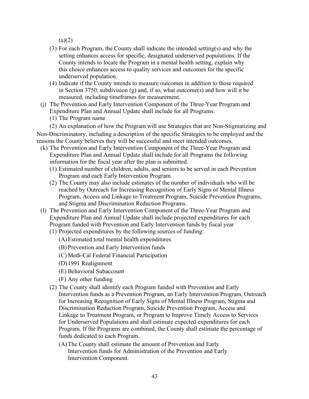$(a)(2)$ 

- (3) For each Program, the County shall indicate the intended setting(s) and why the setting enhances access for specific, designated underserved populations. If the County intends to locate the Program in a mental health setting, explain why this choice enhances access to quality services and outcomes for the specific underserved population.
- (4) Indicate if the County intends to measure outcomes in addition to those required in Section 3750, subdivision (g) and, if so, what outcome(s) and how will it be measured, including timeframes for measurement.
- (j) The Prevention and Early Intervention Component of the Three-Year Program and Expenditure Plan and Annual Update shall include for all Programs:

(1) The Program name

(2) An explanation of how the Program will use Strategies that are Non-Stigmatizing and Non-Discriminatory, including a description of the specific Strategies to be employed and the reasons the County believes they will be successful and meet intended outcomes.

- (k) The Prevention and Early Intervention Component of the Three-Year Program and Expenditure Plan and Annual Update shall include for all Programs the following information for the fiscal year after the plan is submitted.
	- (1) Estimated number of children, adults, and seniors to be served in each Prevention Program and each Early Intervention Program.
	- (2) The County may also include estimates of the number of individuals who will be reached by Outreach for Increasing Recognition of Early Signs of Mental Illness Program, Access and Linkage to Treatment Program, Suicide Prevention Programs, and Stigma and Discrimination Reduction Programs.
- (l) The Prevention and Early Intervention Component of the Three-Year Program and Expenditure Plan and Annual Update shall include projected expenditures for each Program funded with Prevention and Early Intervention funds by fiscal year
	- (1) Projected expenditures by the following sources of funding:
		- (A)Estimated total mental health expenditures
		- (B) Prevention and Early Intervention funds
		- (C) Medi-Cal Federal Financial Participation
		- (D)1991 Realignment
		- (E) Behavioral Subaccount
		- (F) Any other funding
	- (2) The County shall identify each Program funded with Prevention and Early Intervention funds as a Prevention Program, an Early Intervention Program, Outreach for Increasing Recognition of Early Signs of Mental Illness Program, Stigma and Discrimination Reduction Program, Suicide Prevention Program, Access and Linkage to Treatment Program, or Program to Improve Timely Access to Services for Underserved Populations and shall estimate expected expenditures for each Program. If the Programs are combined, the County shall estimate the percentage of funds dedicated to each Program.
		- (A)The County shall estimate the amount of Prevention and Early Intervention funds for Administration of the Prevention and Early Intervention Component.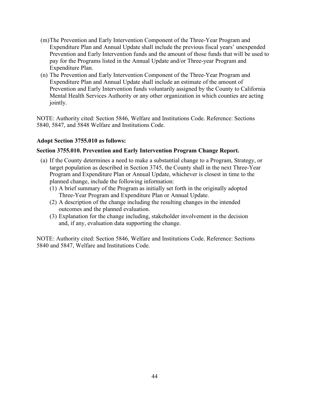- (m)The Prevention and Early Intervention Component of the Three-Year Program and Expenditure Plan and Annual Update shall include the previous fiscal years' unexpended Prevention and Early Intervention funds and the amount of those funds that will be used to pay for the Programs listed in the Annual Update and/or Three-year Program and Expenditure Plan.
- (n) The Prevention and Early Intervention Component of the Three-Year Program and Expenditure Plan and Annual Update shall include an estimate of the amount of Prevention and Early Intervention funds voluntarily assigned by the County to California Mental Health Services Authority or any other organization in which counties are acting jointly.

NOTE: Authority cited: Section 5846, Welfare and Institutions Code. Reference: Sections 5840, 5847, and 5848 Welfare and Institutions Code.

#### **Adopt Section 3755.010 as follows:**

#### **Section 3755.010. Prevention and Early Intervention Program Change Report.**

- (a) If the County determines a need to make a substantial change to a Program, Strategy, or target population as described in Section 3745, the County shall in the next Three-Year Program and Expenditure Plan or Annual Update, whichever is closest in time to the planned change, include the following information:
	- (1) A brief summary of the Program as initially set forth in the originally adopted Three-Year Program and Expenditure Plan or Annual Update.
	- (2) A description of the change including the resulting changes in the intended outcomes and the planned evaluation.
	- (3) Explanation for the change including, stakeholder involvement in the decision and, if any, evaluation data supporting the change.

NOTE: Authority cited: Section 5846, Welfare and Institutions Code. Reference: Sections 5840 and 5847, Welfare and Institutions Code.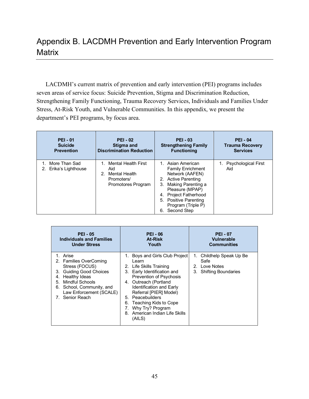# Appendix B. LACDMH Prevention and Early Intervention Program **Matrix**

LACDMH's current matrix of prevention and early intervention (PEI) programs includes seven areas of service focus: Suicide Prevention, Stigma and Discrimination Reduction, Strengthening Family Functioning, Trauma Recovery Services, Individuals and Families Under Stress, At-Risk Youth, and Vulnerable Communities. In this appendix, we present the department's PEI programs, by focus area.

| <b>PEI - 01</b>                        | <b>PEI - 02</b>                                                                                          | <b>PEI - 03</b>                                                                                                                                                                                                                            | <b>PEI - 04</b>               |
|----------------------------------------|----------------------------------------------------------------------------------------------------------|--------------------------------------------------------------------------------------------------------------------------------------------------------------------------------------------------------------------------------------------|-------------------------------|
| <b>Suicide</b>                         | Stigma and                                                                                               | <b>Strengthening Family</b>                                                                                                                                                                                                                | <b>Trauma Recovery</b>        |
| <b>Prevention</b>                      | <b>Discrimination Reduction</b>                                                                          | <b>Functioning</b>                                                                                                                                                                                                                         | <b>Services</b>               |
| 1. More Than Sad<br>Erika's Lighthouse | <b>Mental Health First</b><br>Aid<br>Mental Health<br>2 <sup>1</sup><br>Promoters/<br>Promotores Program | 1. Asian American<br><b>Family Enrichment</b><br>Network (AAFEN)<br>2. Active Parenting<br>3. Making Parenting a<br>Pleasure (MPAP)<br><b>Project Fatherhood</b><br>4.<br>5. Positive Parenting<br>Program (Triple P)<br>Second Step<br>6. | 1. Psychological First<br>Aid |

| <b>PEI - 05</b>                                                                                                                                                                                                   | <b>PEI - 06</b>                                                                                                                                                                                                                                                                                                                       | <b>PEI - 07</b>                                                                                      |  |
|-------------------------------------------------------------------------------------------------------------------------------------------------------------------------------------------------------------------|---------------------------------------------------------------------------------------------------------------------------------------------------------------------------------------------------------------------------------------------------------------------------------------------------------------------------------------|------------------------------------------------------------------------------------------------------|--|
| <b>Individuals and Families</b>                                                                                                                                                                                   | At-Risk                                                                                                                                                                                                                                                                                                                               | <b>Vulnerable</b>                                                                                    |  |
| <b>Under Stress</b>                                                                                                                                                                                               | Youth                                                                                                                                                                                                                                                                                                                                 | <b>Communities</b>                                                                                   |  |
| Arise<br>2. Families OverComing<br>Stress (FOCUS)<br><b>Guiding Good Choices</b><br>3.<br>Healthy Ideas<br>4.<br>Mindful Schools<br>5.<br>6. School, Community, and<br>Law Enforcement (SCALE)<br>7. Senior Reach | 1. Boys and Girls Club Project<br>Learn<br>2. Life Skills Training<br>3. Early Identification and<br>Prevention of Psychosis<br>4. Outreach (Portland<br><b>Identification and Early</b><br>Referral [PIER] Model)<br>5. Peacebuilders<br>6. Teaching Kids to Cope<br>7. Why Try? Program<br>8. American Indian Life Skills<br>(AILS) | Childhelp Speak Up Be<br>1.<br>Safe<br>Love Notes<br>$2^{\circ}$<br><b>Shifting Boundaries</b><br>3. |  |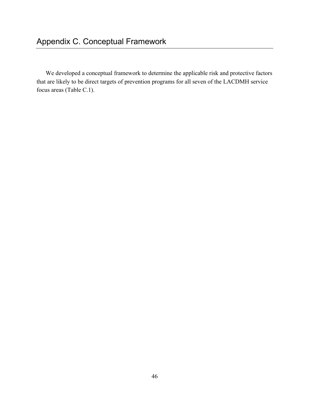We developed a conceptual framework to determine the applicable risk and protective factors that are likely to be direct targets of prevention programs for all seven of the LACDMH service focus areas (Table C.1).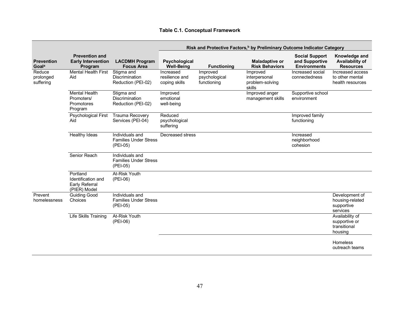|                                        |                                                                  |                                                             |                                              |                                          | Risk and Protective Factors, <sup>b</sup> by Preliminary Outcome Indicator Category |                                                                |                                                             |
|----------------------------------------|------------------------------------------------------------------|-------------------------------------------------------------|----------------------------------------------|------------------------------------------|-------------------------------------------------------------------------------------|----------------------------------------------------------------|-------------------------------------------------------------|
| <b>Prevention</b><br>Goal <sup>a</sup> | <b>Prevention and</b><br><b>Early Intervention</b><br>Program    | <b>LACDMH Program</b><br><b>Focus Area</b>                  | Psychological<br><b>Well-Being</b>           | <b>Functioning</b>                       | <b>Maladaptive or</b><br><b>Risk Behaviors</b>                                      | <b>Social Support</b><br>and Supportive<br><b>Environments</b> | Knowledge and<br>Availability of<br><b>Resources</b>        |
| Reduce<br>prolonged<br>suffering       | Mental Health First<br>Aid                                       | Stigma and<br>Discrimination<br>Reduction (PEI-02)          | Increased<br>resilience and<br>coping skills | Improved<br>psychological<br>functioning | Improved<br>interpersonal<br>problem-solving<br>skills                              | Increased social<br>connectedness                              | Increased access<br>to other mental<br>health resources     |
|                                        | <b>Mental Health</b><br>Promoters/<br>Promotores<br>Program      | Stigma and<br>Discrimination<br>Reduction (PEI-02)          | Improved<br>emotional<br>well-being          |                                          | Improved anger<br>management skills                                                 | Supportive school<br>environment                               |                                                             |
|                                        | <b>Psychological First</b><br>Aid                                | <b>Trauma Recovery</b><br>Services (PEI-04)                 | Reduced<br>psychological<br>suffering        |                                          |                                                                                     | Improved family<br>functioning                                 |                                                             |
|                                        | <b>Healthy Ideas</b>                                             | Individuals and<br><b>Families Under Stress</b><br>(PEI-05) | Decreased stress                             |                                          |                                                                                     | Increased<br>neighborhood<br>cohesion                          |                                                             |
|                                        | Senior Reach                                                     | Individuals and<br><b>Families Under Stress</b><br>(PEI-05) |                                              |                                          |                                                                                     |                                                                |                                                             |
|                                        | Portland<br>Identification and<br>Early Referral<br>(PIER) Model | <b>At-Risk Youth</b><br>(PEI-06)                            |                                              |                                          |                                                                                     |                                                                |                                                             |
| Prevent<br>homelessness                | <b>Guiding Good</b><br>Choices                                   | Individuals and<br><b>Families Under Stress</b><br>(PEI-05) |                                              |                                          |                                                                                     |                                                                | Development of<br>housing-related<br>supportive<br>services |
|                                        | Life Skills Training                                             | At-Risk Youth<br>$(PEI-06)$                                 |                                              |                                          |                                                                                     |                                                                | Availability of<br>supportive or<br>transitional<br>housing |
|                                        |                                                                  |                                                             |                                              |                                          |                                                                                     |                                                                | Homeless<br>outreach teams                                  |

#### **Table C.1. Conceptual Framework**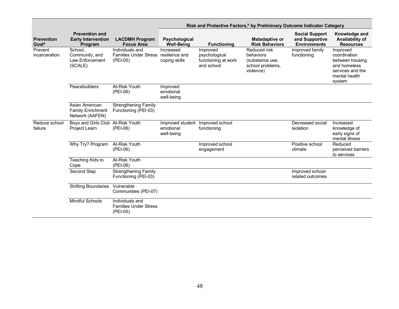|                                        |                                                               |                                                                     |                                                             |                                                                | Risk and Protective Factors, <sup>b</sup> by Preliminary Outcome Indicator Category |                                                                |                                                                                                            |
|----------------------------------------|---------------------------------------------------------------|---------------------------------------------------------------------|-------------------------------------------------------------|----------------------------------------------------------------|-------------------------------------------------------------------------------------|----------------------------------------------------------------|------------------------------------------------------------------------------------------------------------|
| <b>Prevention</b><br>Goal <sup>a</sup> | <b>Prevention and</b><br><b>Early Intervention</b><br>Program | <b>LACDMH Program</b><br><b>Focus Area</b>                          | Psychological<br><b>Well-Being</b>                          | <b>Functioning</b>                                             | <b>Maladaptive or</b><br><b>Risk Behaviors</b>                                      | <b>Social Support</b><br>and Supportive<br><b>Environments</b> | Knowledge and<br><b>Availability of</b><br><b>Resources</b>                                                |
| Prevent<br>incarceration               | School,<br>Community, and<br>Law Enforcement<br>(SCALE)       | Individuals and<br>Families Under Stress resilience and<br>(PEI-05) | Increased<br>coping skills                                  | Improved<br>psychological<br>functioning at work<br>and school | Reduced risk<br>behaviors<br>(substance use,<br>school problems,<br>violence)       | Improved family<br>functioning                                 | Improved<br>coordination<br>between housing<br>and homeless<br>services and the<br>mental health<br>system |
|                                        | Peacebuilders                                                 | At-Risk Youth<br>$(PEI-06)$                                         | Improved<br>emotional<br>well-being                         |                                                                |                                                                                     |                                                                |                                                                                                            |
|                                        | Asian American<br><b>Family Enrichment</b><br>Network (AAFEN) | <b>Strengthening Family</b><br>Functioning (PEI-03)                 |                                                             |                                                                |                                                                                     |                                                                |                                                                                                            |
| Reduce school<br>failure               | Boys and Girls Club At-Risk Youth<br>Project Learn            | $(PEI-06)$                                                          | Improved student Improved school<br>emotional<br>well-being | functioning                                                    |                                                                                     | Decreased social<br>isolation                                  | Increased<br>knowledge of<br>early signs of<br>mental illness                                              |
|                                        | Why Try? Program                                              | At-Risk Youth<br>(PEI-06)                                           |                                                             | Improved school<br>engagement                                  |                                                                                     | Positive school<br>climate                                     | Reduced<br>perceived barriers<br>to services                                                               |
|                                        | Teaching Kids to<br>Cope                                      | At-Risk Youth<br>(PEI-06)                                           |                                                             |                                                                |                                                                                     |                                                                |                                                                                                            |
|                                        | Second Step                                                   | Strengthening Family<br>Functioning (PEI-03)                        |                                                             |                                                                |                                                                                     | Improved school-<br>related outcomes                           |                                                                                                            |
|                                        | <b>Shifting Boundaries</b>                                    | Vulnerable<br>Communities (PEI-07)                                  |                                                             |                                                                |                                                                                     |                                                                |                                                                                                            |
|                                        | <b>Mindful Schools</b>                                        | Individuals and<br><b>Families Under Stress</b><br>(PEI-05)         |                                                             |                                                                |                                                                                     |                                                                |                                                                                                            |

Ξ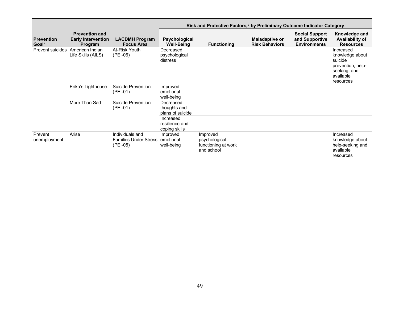|                                        |                                                               |                                                                       | Risk and Protective Factors, <sup>b</sup> by Preliminary Outcome Indicator Category |                                                                |                                                |                                                                |                                                                                                        |
|----------------------------------------|---------------------------------------------------------------|-----------------------------------------------------------------------|-------------------------------------------------------------------------------------|----------------------------------------------------------------|------------------------------------------------|----------------------------------------------------------------|--------------------------------------------------------------------------------------------------------|
| <b>Prevention</b><br>Goal <sup>a</sup> | <b>Prevention and</b><br><b>Early Intervention</b><br>Program | <b>LACDMH Program</b><br><b>Focus Area</b>                            | Psychological<br><b>Well-Being</b>                                                  | <b>Functioning</b>                                             | <b>Maladaptive or</b><br><b>Risk Behaviors</b> | <b>Social Support</b><br>and Supportive<br><b>Environments</b> | Knowledge and<br>Availability of<br><b>Resources</b>                                                   |
| Prevent suicides                       | American Indian<br>Life Skills (AILS)                         | At-Risk Youth<br>$(PEI-06)$                                           | Decreased<br>psychological<br>distress                                              |                                                                |                                                |                                                                | Increased<br>knowledge about<br>suicide<br>prevention, help-<br>seeking, and<br>available<br>resources |
|                                        | Erika's Lighthouse                                            | Suicide Prevention<br>$(PEI-01)$                                      | Improved<br>emotional<br>well-being                                                 |                                                                |                                                |                                                                |                                                                                                        |
|                                        | More Than Sad                                                 | Suicide Prevention<br>$(PEI-01)$                                      | Decreased<br>thoughts and<br>plans of suicide                                       |                                                                |                                                |                                                                |                                                                                                        |
|                                        |                                                               |                                                                       | Increased<br>resilience and<br>coping skills                                        |                                                                |                                                |                                                                |                                                                                                        |
| Prevent<br>unemployment                | Arise                                                         | Individuals and<br><b>Families Under Stress emotional</b><br>(PEI-05) | Improved<br>well-being                                                              | Improved<br>psychological<br>functioning at work<br>and school |                                                |                                                                | Increased<br>knowledge about<br>help-seeking and<br>available<br>resources                             |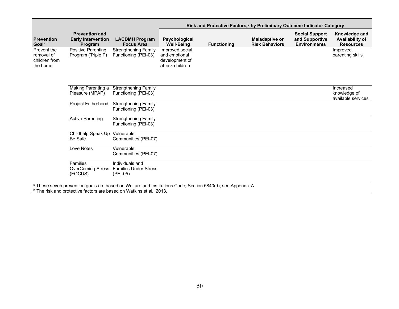|                                                        |                                                               |                                                                                                                                                                                                           | Risk and Protective Factors, <sup>b</sup> by Preliminary Outcome Indicator Category |                    |                                                |                                                                |                                                      |
|--------------------------------------------------------|---------------------------------------------------------------|-----------------------------------------------------------------------------------------------------------------------------------------------------------------------------------------------------------|-------------------------------------------------------------------------------------|--------------------|------------------------------------------------|----------------------------------------------------------------|------------------------------------------------------|
| <b>Prevention</b><br>Goal <sup>a</sup>                 | <b>Prevention and</b><br><b>Early Intervention</b><br>Program | <b>LACDMH Program</b><br><b>Focus Area</b>                                                                                                                                                                | Psychological<br><b>Well-Being</b>                                                  | <b>Functioning</b> | <b>Maladaptive or</b><br><b>Risk Behaviors</b> | <b>Social Support</b><br>and Supportive<br><b>Environments</b> | Knowledge and<br>Availability of<br><b>Resources</b> |
| Prevent the<br>removal of<br>children from<br>the home | <b>Positive Parenting</b><br>Program (Triple P)               | <b>Strengthening Family</b><br>Functioning (PEI-03)                                                                                                                                                       | Improved social<br>and emotional<br>development of<br>at-risk children              |                    |                                                |                                                                | Improved<br>parenting skills                         |
|                                                        | Making Parenting a<br>Pleasure (MPAP)                         | <b>Strengthening Family</b><br>Functioning (PEI-03)                                                                                                                                                       |                                                                                     |                    |                                                |                                                                | Increased<br>knowledge of<br>available services      |
|                                                        | Project Fatherhood                                            | Strengthening Family<br>Functioning (PEI-03)                                                                                                                                                              |                                                                                     |                    |                                                |                                                                |                                                      |
|                                                        | <b>Active Parenting</b>                                       | <b>Strengthening Family</b><br>Functioning (PEI-03)                                                                                                                                                       |                                                                                     |                    |                                                |                                                                |                                                      |
|                                                        | Childhelp Speak Up Vulnerable<br>Be Safe                      | Communities (PEI-07)                                                                                                                                                                                      |                                                                                     |                    |                                                |                                                                |                                                      |
|                                                        | Love Notes                                                    | Vulnerable<br>Communities (PEI-07)                                                                                                                                                                        |                                                                                     |                    |                                                |                                                                |                                                      |
|                                                        | Families<br><b>OverComing Stress</b><br>(FOCUS)               | Individuals and<br><b>Families Under Stress</b><br>(PEI-05)                                                                                                                                               |                                                                                     |                    |                                                |                                                                |                                                      |
|                                                        |                                                               | <sup>a</sup> These seven prevention goals are based on Welfare and Institutions Code, Section 5840(d); see Appendix A.<br><sup>b</sup> The risk and protective factors are based on Watkins et al., 2013. |                                                                                     |                    |                                                |                                                                |                                                      |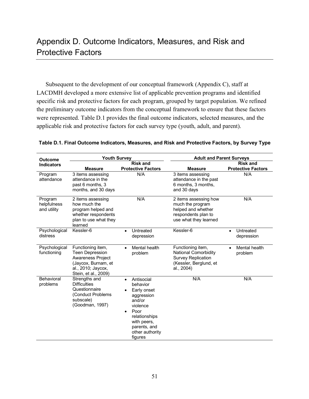# Appendix D. Outcome Indicators, Measures, and Risk and Protective Factors

Subsequent to the development of our conceptual framework (Appendix C), staff at LACDMH developed a more extensive list of applicable prevention programs and identified specific risk and protective factors for each program, grouped by target population. We refined the preliminary outcome indicators from the conceptual framework to ensure that these factors were represented. Table D.1 provides the final outcome indicators, selected measures, and the applicable risk and protective factors for each survey type (youth, adult, and parent).

| <b>Outcome</b>                        | <b>Youth Survey</b>                                                                                                                   |                                                                                                                                                                              | <b>Adult and Parent Surveys</b>                                                                                 |                                              |  |
|---------------------------------------|---------------------------------------------------------------------------------------------------------------------------------------|------------------------------------------------------------------------------------------------------------------------------------------------------------------------------|-----------------------------------------------------------------------------------------------------------------|----------------------------------------------|--|
| <b>Indicators</b>                     | <b>Measure</b>                                                                                                                        | <b>Risk and</b><br><b>Protective Factors</b>                                                                                                                                 | <b>Measure</b>                                                                                                  | <b>Risk and</b><br><b>Protective Factors</b> |  |
| Program<br>attendance                 | 3 items assessing<br>attendance in the<br>past 6 months, 3<br>months, and 30 days                                                     | N/A                                                                                                                                                                          | 3 items assessing<br>attendance in the past<br>6 months, 3 months,<br>and 30 days                               | N/A                                          |  |
| Program<br>helpfulness<br>and utility | 2 items assessing<br>how much the<br>program helped and<br>whether respondents<br>plan to use what they<br>learned                    | N/A                                                                                                                                                                          | 2 items assessing how<br>much the program<br>helped and whether<br>respondents plan to<br>use what they learned | N/A                                          |  |
| Psychological<br>distress             | Kessler-6                                                                                                                             | Untreated<br>$\bullet$<br>depression                                                                                                                                         | Kessler-6                                                                                                       | Untreated<br>$\bullet$<br>depression         |  |
| Psychological<br>functioning          | Functioning item,<br><b>Teen Depression</b><br>Awareness Project<br>(Jaycox, Burnam, et<br>al., 2010; Jaycox,<br>Stein, et al., 2009) | Mental health<br>$\bullet$<br>problem                                                                                                                                        | Functioning item,<br>National Comorbidity<br><b>Survey Replication</b><br>(Kessler, Berglund, et<br>al., 2004)  | Mental health<br>problem                     |  |
| Behavioral<br>problems                | Strengths and<br><b>Difficulties</b><br>Questionnaire<br>(Conduct Problems<br>subscale)<br>(Goodman, 1997)                            | Antisocial<br>$\bullet$<br>behavior<br>Early onset<br>aggression<br>and/or<br>violence<br>Poor<br>relationships<br>with peers,<br>parents, and<br>other authority<br>figures | N/A                                                                                                             | N/A                                          |  |

| Table D.1. Final Outcome Indicators, Measures, and Risk and Protective Factors, by Survey Type |  |  |  |
|------------------------------------------------------------------------------------------------|--|--|--|
|------------------------------------------------------------------------------------------------|--|--|--|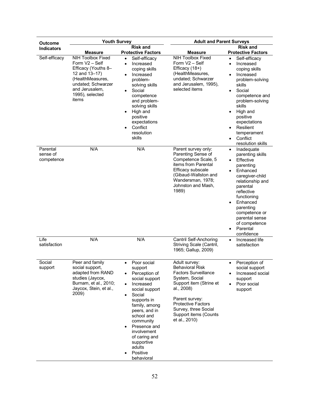| <b>Outcome</b>                     | <b>Youth Survey</b>                                                                                                                                                        |                                                                                                                                                                                                                                                                                                                         | <b>Adult and Parent Surveys</b>                                                                                                                                                                                                                    |                                                                                                                                                                                                                                                                                                                                   |
|------------------------------------|----------------------------------------------------------------------------------------------------------------------------------------------------------------------------|-------------------------------------------------------------------------------------------------------------------------------------------------------------------------------------------------------------------------------------------------------------------------------------------------------------------------|----------------------------------------------------------------------------------------------------------------------------------------------------------------------------------------------------------------------------------------------------|-----------------------------------------------------------------------------------------------------------------------------------------------------------------------------------------------------------------------------------------------------------------------------------------------------------------------------------|
| <b>Indicators</b>                  | <b>Measure</b>                                                                                                                                                             | <b>Risk and</b><br><b>Protective Factors</b>                                                                                                                                                                                                                                                                            | <b>Measure</b>                                                                                                                                                                                                                                     | <b>Risk and</b><br><b>Protective Factors</b>                                                                                                                                                                                                                                                                                      |
| Self-efficacy                      | <b>NIH Toolbox Fixed</b><br>Form V2 - Self<br>Efficacy (Youths 8-<br>12 and 13-17)<br>(HealthMeasures,<br>undated; Schwarzer<br>and Jerusalem,<br>1995), selected<br>items | Self-efficacy<br>$\bullet$<br>Increased<br>$\bullet$<br>coping skills<br>Increased<br>$\bullet$<br>problem-<br>solving skills<br>Social<br>competence<br>and problem-<br>solving skills<br>High and<br>positive<br>expectations<br>Conflict<br>resolution<br>skills                                                     | <b>NIH Toolbox Fixed</b><br>Form V2 - Self<br>Efficacy (18+)<br>(HealthMeasures,<br>undated; Schwarzer<br>and Jerusalem, 1995),<br>selected items                                                                                                  | Self-efficacy<br>$\bullet$<br>Increased<br>$\bullet$<br>coping skills<br>Increased<br>$\bullet$<br>problem-solving<br>skills<br>Social<br>$\bullet$<br>competence and<br>problem-solving<br>skills<br>High and<br>$\bullet$<br>positive<br>expectations<br>Resilient<br>temperament<br>Conflict<br>$\bullet$<br>resolution skills |
| Parental<br>sense of<br>competence | N/A                                                                                                                                                                        | N/A                                                                                                                                                                                                                                                                                                                     | Parent survey only:<br>Parenting Sense of<br>Competence Scale, 5<br>items from Parental<br>Efficacy subscale<br>(Gibaud-Wallston and<br>Wandersman, 1978;<br>Johnston and Mash,<br>1989)                                                           | Inadequate<br>$\bullet$<br>parenting skills<br>Effective<br>$\bullet$<br>parenting<br>Enhanced<br>$\bullet$<br>caregiver-child<br>relationship and<br>parental<br>reflective<br>functioning<br>Enhanced<br>$\bullet$<br>parenting<br>competence or<br>parental sense<br>of competence<br>Parental<br>$\bullet$<br>confidence      |
| Life<br>satisfaction               | N/A                                                                                                                                                                        | N/A                                                                                                                                                                                                                                                                                                                     | <b>Cantril Self-Anchoring</b><br>Striving Scale (Cantril,<br>1965; Gallup, 2009)                                                                                                                                                                   | Increased life<br>$\bullet$<br>satisfaction                                                                                                                                                                                                                                                                                       |
| Social<br>support                  | Peer and family<br>social support,<br>adapted from RAND<br>studies (Jaycox,<br>Burnam, et al., 2010;<br>Jaycox, Stein, et al.,<br>2009)                                    | Poor social<br>support<br>Perception of<br>social support<br>Increased<br>$\bullet$<br>social support<br>Social<br>$\bullet$<br>supports in<br>family, among<br>peers, and in<br>school and<br>community<br>Presence and<br>$\bullet$<br>involvement<br>of caring and<br>supportive<br>adults<br>Positive<br>behavioral | Adult survey:<br><b>Behavioral Risk</b><br><b>Factors Surveillance</b><br>System, Social<br>Support item (Strine et<br>al., 2008)<br>Parent survey:<br><b>Protective Factors</b><br>Survey, three Social<br>Support items (Counts<br>et al., 2010) | Perception of<br>social support<br>Increased social<br>$\bullet$<br>support<br>Poor social<br>$\bullet$<br>support                                                                                                                                                                                                                |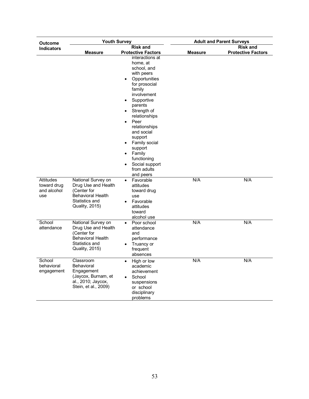| <b>Outcome</b>                     | <b>Youth Survey</b>                                                                                                      |                                                                                                                                                                                                                                                                                                                                                                                                                                        | <b>Adult and Parent Surveys</b> |                                  |  |
|------------------------------------|--------------------------------------------------------------------------------------------------------------------------|----------------------------------------------------------------------------------------------------------------------------------------------------------------------------------------------------------------------------------------------------------------------------------------------------------------------------------------------------------------------------------------------------------------------------------------|---------------------------------|----------------------------------|--|
| <b>Indicators</b>                  |                                                                                                                          | <b>Risk and</b>                                                                                                                                                                                                                                                                                                                                                                                                                        |                                 | <b>Risk and</b>                  |  |
| Attitudes<br>toward drug           | Measure<br>National Survey on<br>Drug Use and Health                                                                     | <b>Protective Factors</b><br>interactions at<br>home, at<br>school, and<br>with peers<br>Opportunities<br>٠<br>for prosocial<br>family<br>involvement<br>Supportive<br>parents<br>Strength of<br>٠<br>relationships<br>Peer<br>٠<br>relationships<br>and social<br>support<br>Family social<br>٠<br>support<br>Family<br>$\bullet$<br>functioning<br>Social support<br>from adults<br>and peers<br>Favorable<br>$\bullet$<br>attitudes | <b>Measure</b><br>N/A           | <b>Protective Factors</b><br>N/A |  |
| and alcohol<br>use                 | (Center for<br><b>Behavioral Health</b><br>Statistics and<br><b>Quality, 2015)</b>                                       | toward drug<br>use<br>Favorable<br>$\bullet$<br>attitudes<br>toward<br>alcohol use                                                                                                                                                                                                                                                                                                                                                     |                                 |                                  |  |
| School<br>attendance               | National Survey on<br>Drug Use and Health<br>(Center for<br><b>Behavioral Health</b><br>Statistics and<br>Quality, 2015) | Poor school<br>$\bullet$<br>attendance<br>and<br>performance<br>Truancy or<br>$\bullet$<br>frequent<br>absences                                                                                                                                                                                                                                                                                                                        | N/A                             | N/A                              |  |
| School<br>behavioral<br>engagement | Classroom<br>Behavioral<br>Engagement<br>(Jaycox, Burnam, et<br>al., 2010; Jaycox,<br>Stein, et al., 2009)               | High or low<br>$\bullet$<br>academic<br>achievement<br>School<br>٠<br>suspensions<br>or school<br>disciplinary<br>problems                                                                                                                                                                                                                                                                                                             | N/A                             | N/A                              |  |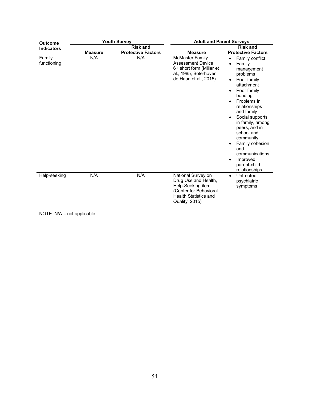| <b>Outcome</b>        |                | <b>Youth Survey</b>                          | <b>Adult and Parent Surveys</b>                                                                                                                    |                                                                                                                                                                                                                                                                                                                                                                                                                    |  |
|-----------------------|----------------|----------------------------------------------|----------------------------------------------------------------------------------------------------------------------------------------------------|--------------------------------------------------------------------------------------------------------------------------------------------------------------------------------------------------------------------------------------------------------------------------------------------------------------------------------------------------------------------------------------------------------------------|--|
| <b>Indicators</b>     | <b>Measure</b> | <b>Risk and</b><br><b>Protective Factors</b> | <b>Measure</b>                                                                                                                                     | <b>Risk and</b><br><b>Protective Factors</b>                                                                                                                                                                                                                                                                                                                                                                       |  |
| Family<br>functioning | N/A            | N/A                                          | <b>McMaster Family</b><br>Assessment Device,<br>6+ short form (Miller et<br>al., 1985; Boterhoven<br>de Haan et al., 2015)                         | Family conflict<br>$\bullet$<br>Family<br>$\bullet$<br>management<br>problems<br>Poor family<br>$\bullet$<br>attachment<br>Poor family<br>$\bullet$<br>bonding<br>Problems in<br>$\bullet$<br>relationships<br>and family<br>Social supports<br>in family, among<br>peers, and in<br>school and<br>community<br>Family cohesion<br>and<br>communications<br>Improved<br>$\bullet$<br>parent-child<br>relationships |  |
| Help-seeking          | N/A            | N/A                                          | National Survey on<br>Drug Use and Health,<br>Help-Seeking item<br>(Center for Behavioral<br><b>Health Statistics and</b><br><b>Quality, 2015)</b> | Untreated<br>$\bullet$<br>psychiatric<br>symptoms                                                                                                                                                                                                                                                                                                                                                                  |  |

NOTE: N/A = not applicable.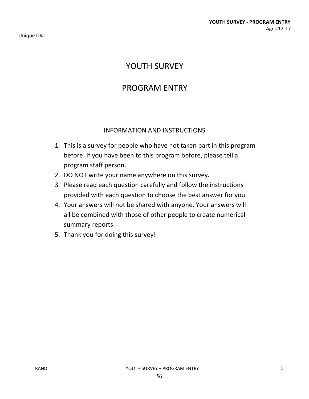Unique ID#:

# YOUTH SURVEY

## PROGRAM ENTRY

### INFORMATION AND INSTRUCTIONS

- 1. This is a survey for people who have not taken part in this program before. If you have been to this program before, please tell a program staff person.
- 2. DO NOT write your name anywhere on this survey.
- 3. Please read each question carefully and follow the instructions provided with each question to choose the best answer for you.
- 4. Your answers will not be shared with anyone. Your answers will all be combined with those of other people to create numerical summary reports.
- 5. Thank you for doing this survey!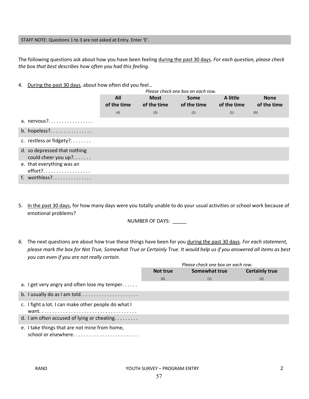#### STAFF NOTE: Questions 1 to 3 are not asked at Entry. Enter 'E'.

The following questions ask about how you have been feeling during the past 30 days. *For each question, please check the box that best describes how often you had this feeling.* 

4. During the past 30 days, about how often did you feel...

|                                                     |                    |                     | Please check one box on each row. |                         |                            |
|-----------------------------------------------------|--------------------|---------------------|-----------------------------------|-------------------------|----------------------------|
|                                                     | All<br>of the time | Most<br>of the time | Some<br>of the time               | A little<br>of the time | <b>None</b><br>of the time |
|                                                     | (4)                | (3)                 | (2)                               | (1)                     | (0)                        |
| a. nervous ?                                        |                    |                     |                                   |                         |                            |
| b. hopeless?                                        |                    |                     |                                   |                         |                            |
| c. restless or fidgety?                             |                    |                     |                                   |                         |                            |
| d. so depressed that nothing<br>could cheer you up? |                    |                     |                                   |                         |                            |
| e. that everything was an<br>effort?.               |                    |                     |                                   |                         |                            |
| f. worthless?                                       |                    |                     |                                   |                         |                            |

5. In the past 30 days, for how many days were you totally unable to do your usual activities or school work because of emotional problems?

NUMBER OF DAYS: \_\_\_\_\_

*6.* The next questions are about how true these things have been for you during the past 30 days. *For each statement, please mark the box for Not True, Somewhat True or Certainly True. It would help us if you answered all items as best you can even if you are not really certain.* 

|                                                     | Please check one box on each row.                  |     |     |  |  |
|-----------------------------------------------------|----------------------------------------------------|-----|-----|--|--|
|                                                     | Somewhat true<br><b>Certainly true</b><br>Not true |     |     |  |  |
|                                                     | (0)                                                | (1) | (2) |  |  |
| a. I get very angry and often lose my temper        |                                                    |     |     |  |  |
|                                                     |                                                    |     |     |  |  |
| c. I fight a lot. I can make other people do what I |                                                    |     |     |  |  |
| d. I am often accused of lying or cheating          |                                                    |     |     |  |  |
| e. I take things that are not mine from home,       |                                                    |     |     |  |  |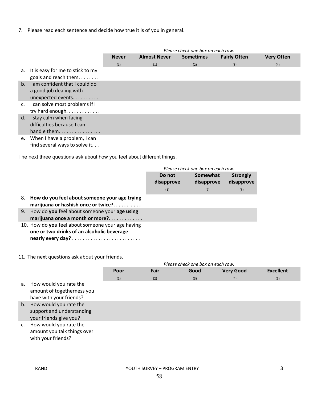7. Please read each sentence and decide how true it is of you in general.

|                |                                                                                 | Please check one box on each row.                       |     |     |                     |                   |
|----------------|---------------------------------------------------------------------------------|---------------------------------------------------------|-----|-----|---------------------|-------------------|
|                |                                                                                 | <b>Almost Never</b><br><b>Sometimes</b><br><b>Never</b> |     |     | <b>Fairly Often</b> | <b>Very Often</b> |
|                |                                                                                 | (1)                                                     | (1) | (2) | (3)                 | (4)               |
|                | a. It is easy for me to stick to my<br>goals and reach them                     |                                                         |     |     |                     |                   |
| $b_{\cdot}$    | I am confident that I could do<br>a good job dealing with<br>unexpected events. |                                                         |     |     |                     |                   |
| $\mathsf{C}$ . | I can solve most problems if I<br>try hard enough                               |                                                         |     |     |                     |                   |
|                | d. I stay calm when facing<br>difficulties because I can<br>handle them         |                                                         |     |     |                     |                   |
| e.             | When I have a problem, I can<br>find several ways to solve it                   |                                                         |     |     |                     |                   |

The next three questions ask about how you feel about different things.

|                      | Please check one box on each row. |                               |
|----------------------|-----------------------------------|-------------------------------|
| Do not<br>disapprove | Somewhat<br>disapprove            | <b>Strongly</b><br>disapprove |
| (1)                  | (2)                               | (3)                           |

- 8. **How do you feel about someone your age trying marijuana or hashish once or twice?. . . . . . . . . .**
- 9. How do **you** feel about someone your **age using marijuana once a month or more?**. . . . . . . . . . . . .
- 10. How do **you** feel about someone your age having **one or two drinks of an alcoholic beverage nearly every day?** . . . . . . . . . . . . . . . . . . . . . . . . . .

#### 11. The next questions ask about your friends.

|                |                                                                                 | Please check one box on each row. |      |      |                  |                  |
|----------------|---------------------------------------------------------------------------------|-----------------------------------|------|------|------------------|------------------|
|                |                                                                                 | Poor                              | Fair | Good | <b>Very Good</b> | <b>Excellent</b> |
|                |                                                                                 | (1)                               | (2)  | (3)  | (4)              | (5)              |
| а.             | How would you rate the<br>amount of togetherness you<br>have with your friends? |                                   |      |      |                  |                  |
| b.             | How would you rate the<br>support and understanding<br>your friends give you?   |                                   |      |      |                  |                  |
| $\mathsf{C}$ . | How would you rate the<br>amount you talk things over<br>with your friends?     |                                   |      |      |                  |                  |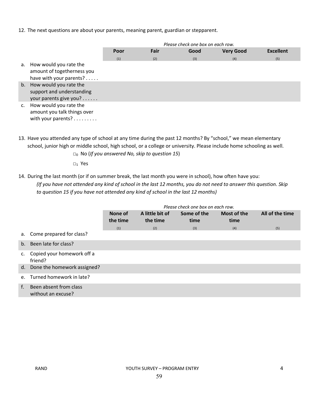12. The next questions are about your parents, meaning parent, guardian or stepparent.

|                                                                                    | Please check one box on each row.        |     |     |     |                  |
|------------------------------------------------------------------------------------|------------------------------------------|-----|-----|-----|------------------|
|                                                                                    | Fair<br>Good<br><b>Very Good</b><br>Poor |     |     |     | <b>Excellent</b> |
|                                                                                    | (1)                                      | (2) | (3) | (4) | (5)              |
| a. How would you rate the<br>amount of togetherness you<br>have with your parents? |                                          |     |     |     |                  |
| b. How would you rate the<br>support and understanding<br>your parents give you?   |                                          |     |     |     |                  |
| How would you rate the<br>amount you talk things over<br>with your parents?        |                                          |     |     |     |                  |

13. Have you attended any type of school at any time during the past 12 months? By "school," we mean elementary school, junior high or middle school, high school, or a college or university. Please include home schooling as well.

□0 No (*If you answered No, skip to question 15*)

 $\square_1$  Yes

14. During the last month (or if on summer break, the last month you were in school), how often have you: *(If you have not attended any kind of school in the last 12 months, you do not need to answer this question. Skip to question 15 if you have not attended any kind of school in the last 12 months)*

|    |                                              | Please check one box on each row. |                             |                     |                     |                 |
|----|----------------------------------------------|-----------------------------------|-----------------------------|---------------------|---------------------|-----------------|
|    |                                              | None of<br>the time               | A little bit of<br>the time | Some of the<br>time | Most of the<br>time | All of the time |
|    |                                              | (1)                               | (2)                         | (3)                 | (4)                 | (5)             |
|    | a. Come prepared for class?                  |                                   |                             |                     |                     |                 |
|    | b. Been late for class?                      |                                   |                             |                     |                     |                 |
| c. | Copied your homework off a<br>friend?        |                                   |                             |                     |                     |                 |
|    | d. Done the homework assigned?               |                                   |                             |                     |                     |                 |
|    | e. Turned homework in late?                  |                                   |                             |                     |                     |                 |
| f. | Been absent from class<br>without an excuse? |                                   |                             |                     |                     |                 |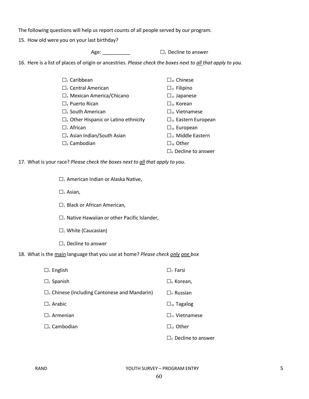The following questions will help us report counts of all people served by our program.

15. How old were you on your last birthday?

Age:  $\Box$   $\Box$  Decline to answer

16. Here is a list of places of origin or ancestries. *Please check the boxes next to all that apply to you.* 

| $\Box$ <sub>1</sub> Caribbean                  | $\Box_{10}$ Chinese           |
|------------------------------------------------|-------------------------------|
| $\Box$ , Central American                      | $\Box_{11}$ Filipino          |
| $\square$ <sub>3</sub> Mexican America/Chicano | $\Box_{12}$ Japanese          |
| $\Box$ Puerto Rican                            | $\Box_{13}$ Korean            |
| $\Box$ <sub>s</sub> South American             | $\Box_{14}$ Vietnamese        |
| $\Box$ Other Hispanic or Latino ethnicity      | $\Box_{15}$ Eastern European  |
| $\Box$ , African                               | $\Box_{16}$ European          |
| $\Box$ Asian Indian/South Asian                | $\Box_{17}$ Middle Eastern    |
| $\Box$ , Cambodian                             | $\square_{18}$ Other          |
|                                                | $\square$ . Decline to answer |

17. What is your race? *Please check the boxes next to all that apply to you.* 

 $\square_1$  American Indian or Alaska Native,

 $\square$ <sub>1</sub> Asian,

- $\square$ <sub>1</sub> Black or African American,
- $\square_1$  Native Hawaiian or other Pacific Islander,
- $\square_1$  White (Caucasian)
- $\square_1$  Decline to answer

18. What is the main language that you use at home? *Please check only one box*

| $\Box_1$ English                                     | $\square$ , Farsi                |
|------------------------------------------------------|----------------------------------|
| $\Box$ <sub>2</sub> Spanish                          | $\square_{s}$ Korean,            |
| $\square$ Chinese (including Cantonese and Mandarin) | $\square$ Russian                |
| $\Box$ Arabic                                        | $\square$ <sub>10</sub> Tagalog  |
| $\Box$ , Armenian                                    | $\Box_{\mathfrak{m}}$ Vietnamese |
| $\Box$ Cambodian                                     | $\Box_{v}$ Other                 |
|                                                      | $\Box$ Decline to answer         |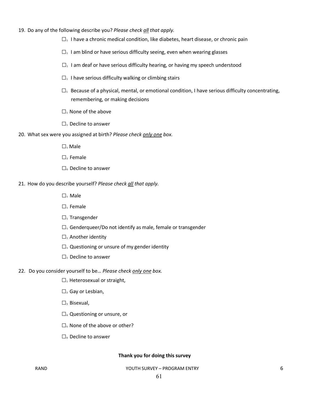- 19. Do any of the following describe you? *Please check all that apply.*
	- $\square_1$  I have a chronic medical condition, like diabetes, heart disease, or chronic pain
	- $\square_1$  I am blind or have serious difficulty seeing, even when wearing glasses
	- $\square_1$  I am deaf or have serious difficulty hearing, or having my speech understood
	- $\square_1$  I have serious difficulty walking or climbing stairs
	- $\square_1$  Because of a physical, mental, or emotional condition, I have serious difficulty concentrating, remembering, or making decisions
	- $\square_1$  None of the above
	- □1 Decline to answer
- 20. What sex were you assigned at birth? *Please check only one box.*
	- □1 Male
	- $\square$ , Female
	- $\square$ . Decline to answer
- 21. How do you describe yourself? *Please check all that apply.*
	- □1 Male
	- $\square$ <sub>1</sub> Female
	- $\square$ <sub>1</sub> Transgender
	- $\square$ <sub>1</sub> Genderqueer/Do not identify as male, female or transgender
	- $\square$ <sub>1</sub> Another identity
	- $\square_1$  Questioning or unsure of my gender identity
	- $\square$ <sub>1</sub> Decline to answer
- 22. Do you consider yourself to be… *Please check only one box.* 
	- $\square$ <sub>1</sub> Heterosexual or straight,
	- $\square$ <sub>2</sub> Gay or Lesbian,
	- $\square$ <sub>3</sub> Bisexual,
	- □4 Questioning or unsure, or
	- $\square$ <sub>5</sub> None of the above or other?
	- $\square$ <sub>0</sub> Decline to answer

#### **Thank you for doing this survey**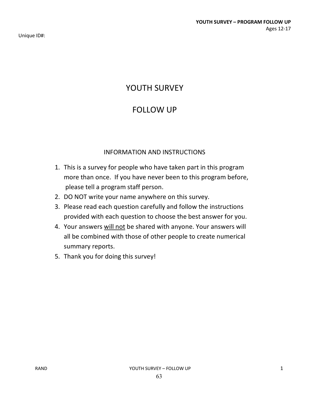Unique ID#:

# YOUTH SURVEY

# FOLLOW UP

## INFORMATION AND INSTRUCTIONS

- 1. This is a survey for people who have taken part in this program more than once. If you have never been to this program before, please tell a program staff person.
- 2. DO NOT write your name anywhere on this survey.
- 3. Please read each question carefully and follow the instructions provided with each question to choose the best answer for you.
- 4. Your answers will not be shared with anyone. Your answers will all be combined with those of other people to create numerical summary reports.
- 5. Thank you for doing this survey!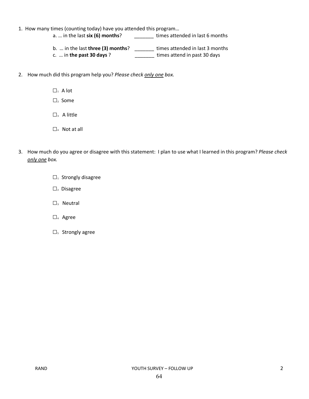- 1. How many times (counting today) have you attended this program…
	- a. ... in the last **six (6) months**? \_\_\_\_\_\_\_\_ times attended in last 6 months
	- b. … in the last **three (3) months**? \_\_\_\_\_\_\_ times attended in last 3 months c. … in **the past 30 days** ? \_\_\_\_\_\_\_ times attend in past 30 days
- 2. How much did this program help you? *Please check only one box.*
	- $\square_1$  A lot
	- □2 Some
	- $\square$ <sub>3</sub> A little
	- $\square$ <sub>4</sub> Not at all
- 3. How much do you agree or disagree with this statement: I plan to use what I learned in this program? *Please check only one box.*
	- $\square$ <sub>1</sub> Strongly disagree
	- $\square$ <sub>2</sub> Disagree
	- $\square$ <sub>3</sub> Neutral
	- □4 Agree
	- □5 Strongly agree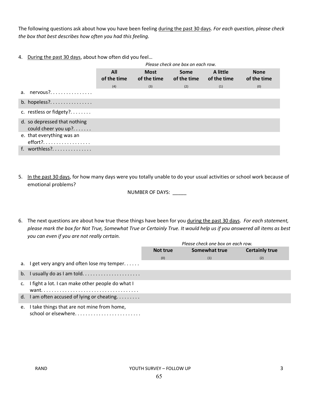The following questions ask about how you have been feeling during the past 30 days. *For each question, please check the box that best describes how often you had this feeling.* 

4. During the past 30 days, about how often did you feel…

|                                                     |                    | Please check one box on each row. |                            |                         |                            |  |  |  |  |
|-----------------------------------------------------|--------------------|-----------------------------------|----------------------------|-------------------------|----------------------------|--|--|--|--|
|                                                     | All<br>of the time | <b>Most</b><br>of the time        | <b>Some</b><br>of the time | A little<br>of the time | <b>None</b><br>of the time |  |  |  |  |
|                                                     | (4)                | (3)                               | (2)                        | (1)                     | (0)                        |  |  |  |  |
| a. $nervous?$                                       |                    |                                   |                            |                         |                            |  |  |  |  |
| b. hopeless?                                        |                    |                                   |                            |                         |                            |  |  |  |  |
| c. restless or fidgety?                             |                    |                                   |                            |                         |                            |  |  |  |  |
| d. so depressed that nothing<br>could cheer you up? |                    |                                   |                            |                         |                            |  |  |  |  |
| e. that everything was an<br>$effort?$              |                    |                                   |                            |                         |                            |  |  |  |  |
| f. worthless?                                       |                    |                                   |                            |                         |                            |  |  |  |  |

5. In the past 30 days, for how many days were you totally unable to do your usual activities or school work because of emotional problems?

NUMBER OF DAYS: \_\_\_\_\_

6. The next questions are about how true these things have been for you during the past 30 days. *For each statement, please mark the box for Not True, Somewhat True or Certainly True. It would help us if you answered all items as best you can even if you are not really certain.* 

|    |                                                     |          | Please check one box on each row. |                       |
|----|-----------------------------------------------------|----------|-----------------------------------|-----------------------|
|    |                                                     | Not true | Somewhat true                     | <b>Certainly true</b> |
|    |                                                     | (0)      | (1)                               | (2)                   |
|    | a. I get very angry and often lose my temper        |          |                                   |                       |
|    | b. I usually do as I am told                        |          |                                   |                       |
|    | c. I fight a lot. I can make other people do what I |          |                                   |                       |
|    | d. I am often accused of lying or cheating          |          |                                   |                       |
| e. | I take things that are not mine from home,          |          |                                   |                       |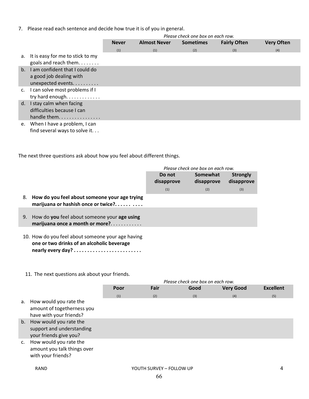7. Please read each sentence and decide how true it is of you in general.

|                |                                                                                 | Please check one box on each row. |                     |                  |                     |                   |  |  |  |
|----------------|---------------------------------------------------------------------------------|-----------------------------------|---------------------|------------------|---------------------|-------------------|--|--|--|
|                |                                                                                 | <b>Never</b>                      | <b>Almost Never</b> | <b>Sometimes</b> | <b>Fairly Often</b> | <b>Very Often</b> |  |  |  |
|                |                                                                                 | (1)                               | (1)                 | (2)              | (3)                 | (4)               |  |  |  |
|                | a. It is easy for me to stick to my<br>goals and reach them                     |                                   |                     |                  |                     |                   |  |  |  |
| $h_{-}$        | I am confident that I could do<br>a good job dealing with<br>unexpected events. |                                   |                     |                  |                     |                   |  |  |  |
| $\mathsf{C}$ . | I can solve most problems if I<br>try hard enough                               |                                   |                     |                  |                     |                   |  |  |  |
| d.             | I stay calm when facing<br>difficulties because I can<br>handle them.           |                                   |                     |                  |                     |                   |  |  |  |
| e.             | When I have a problem, I can<br>find several ways to solve it                   |                                   |                     |                  |                     |                   |  |  |  |

The next three questions ask about how you feel about different things.

|    |                                                                                                 |                      | Please check one box on each row. |                               |
|----|-------------------------------------------------------------------------------------------------|----------------------|-----------------------------------|-------------------------------|
|    |                                                                                                 | Do not<br>disapprove | Somewhat<br>disapprove            | <b>Strongly</b><br>disapprove |
|    |                                                                                                 | (1)                  | (2)                               | (3)                           |
| 8. | How do you feel about someone your age trying<br>marijuana or hashish once or twice?            |                      |                                   |                               |
| 9. | How do you feel about someone your age using<br>marijuana once a month or more?                 |                      |                                   |                               |
|    | 10. How do you feel about someone your age having<br>one or two drinks of an alcoholic beverage |                      |                                   |                               |

11. The next questions ask about your friends.

**nearly every day? . . . . . . . . . . . . . . . . . . . . . . . . .** 

|             |                                                                                  |      |              | Please check one box on each row. |                  |                  |
|-------------|----------------------------------------------------------------------------------|------|--------------|-----------------------------------|------------------|------------------|
|             |                                                                                  | Poor | Fair<br>Good |                                   | <b>Very Good</b> | <b>Excellent</b> |
|             |                                                                                  | (1)  | (2)          | (3)                               | (4)              | (5)              |
| а.          | How would you rate the<br>amount of togetherness you<br>have with your friends?  |      |              |                                   |                  |                  |
|             | b. How would you rate the<br>support and understanding<br>your friends give you? |      |              |                                   |                  |                  |
| $C_{\rm r}$ | How would you rate the<br>amount you talk things over<br>with your friends?      |      |              |                                   |                  |                  |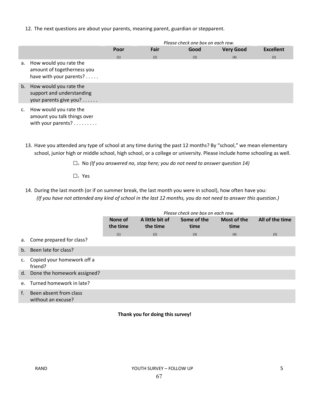12. The next questions are about your parents, meaning parent, guardian or stepparent.

|    |                                                                                 | Please check one box on each row. |      |      |                  |                  |  |
|----|---------------------------------------------------------------------------------|-----------------------------------|------|------|------------------|------------------|--|
|    |                                                                                 | Poor                              | Fair | Good | <b>Very Good</b> | <b>Excellent</b> |  |
|    |                                                                                 | (1)                               | (2)  | (3)  | (4)              | (5)              |  |
| a. | How would you rate the<br>amount of togetherness you<br>have with your parents? |                                   |      |      |                  |                  |  |
| b. | How would you rate the<br>support and understanding<br>your parents give you?   |                                   |      |      |                  |                  |  |
| c. | How would you rate the<br>amount you talk things over<br>with your parents?     |                                   |      |      |                  |                  |  |

13. Have you attended any type of school at any time during the past 12 months? By "school," we mean elementary school, junior high or middle school, high school, or a college or university. Please include home schooling as well.

□0 No *(If you answered no, stop here; you do not need to answer question 14)*

□1 Yes

14. During the last month (or if on summer break, the last month you were in school), how often have you: *(If you have not attended any kind of school in the last 12 months, you do not need to answer this question.)*

|    |                                              | Please check one box on each row. |                             |                     |                     |                 |  |  |  |
|----|----------------------------------------------|-----------------------------------|-----------------------------|---------------------|---------------------|-----------------|--|--|--|
|    |                                              | None of<br>the time               | A little bit of<br>the time | Some of the<br>time | Most of the<br>time | All of the time |  |  |  |
|    |                                              | (1)                               | (2)                         | (3)                 | (4)                 | (5)             |  |  |  |
|    | a. Come prepared for class?                  |                                   |                             |                     |                     |                 |  |  |  |
|    | b. Been late for class?                      |                                   |                             |                     |                     |                 |  |  |  |
|    | c. Copied your homework off a<br>friend?     |                                   |                             |                     |                     |                 |  |  |  |
|    | d. Done the homework assigned?               |                                   |                             |                     |                     |                 |  |  |  |
|    | e. Turned homework in late?                  |                                   |                             |                     |                     |                 |  |  |  |
| f. | Been absent from class<br>without an excuse? |                                   |                             |                     |                     |                 |  |  |  |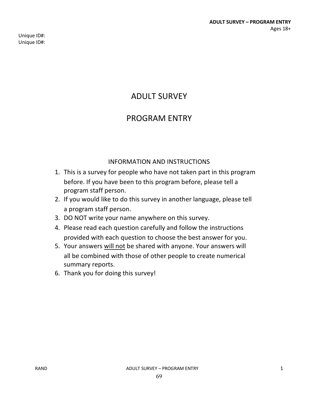Unique ID#: Unique ID#:

# ADULT SURVEY

## PROGRAM ENTRY

## INFORMATION AND INSTRUCTIONS

- 1. This is a survey for people who have not taken part in this program before. If you have been to this program before, please tell a program staff person.
- 2. If you would like to do this survey in another language, please tell a program staff person.
- 3. DO NOT write your name anywhere on this survey.
- 4. Please read each question carefully and follow the instructions provided with each question to choose the best answer for you.
- 5. Your answers will not be shared with anyone. Your answers will all be combined with those of other people to create numerical summary reports.
- 6. Thank you for doing this survey!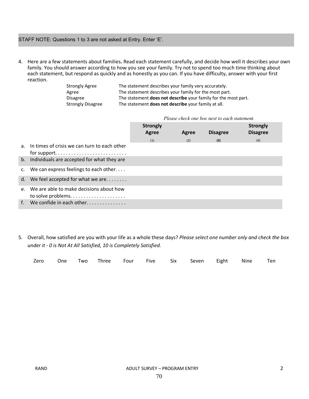### STAFF NOTE: Questions 1 to 3 are not asked at Entry. Enter 'E'.

4. Here are a few statements about families**.** Read each statement carefully, and decide how well it describes your own family. You should answer according to how you see your family. Try not to spend too much time thinking about each statement, but respond as quickly and as honestly as you can. If you have difficulty, answer with your first reaction.

| Strongly Agree    | The statement describes your family very accurately.                  |
|-------------------|-----------------------------------------------------------------------|
| Agree             | The statement describes your family for the most part.                |
| Disagree          | The statement <b>does not describe</b> your family for the most part. |
| Strongly Disagree | The statement does not describe your family at all.                   |

 *Please check one box next to each statement.*

|    |                                                 | <b>Strongly</b><br>Agree | Agree | <b>Disagree</b> | <b>Strongly</b><br><b>Disagree</b> |  |
|----|-------------------------------------------------|--------------------------|-------|-----------------|------------------------------------|--|
|    |                                                 | (1)                      | (2)   | (3)             | (4)                                |  |
|    | a. In times of crisis we can turn to each other |                          |       |                 |                                    |  |
|    | b. Individuals are accepted for what they are   |                          |       |                 |                                    |  |
|    | c. We can express feelings to each other        |                          |       |                 |                                    |  |
|    | d. We feel accepted for what we are             |                          |       |                 |                                    |  |
| e. | We are able to make decisions about how         |                          |       |                 |                                    |  |
|    | f. We confide in each other                     |                          |       |                 |                                    |  |

5. Overall, how satisfied are you with your life as a whole these days? *Please select one number only and check the box under it - 0 is Not At All Satisfied, 10 is Completely Satisfied.* 

|  |  |  | Zero One Two Three Four Five Six Seven Eight Nine Ten |  |  |
|--|--|--|-------------------------------------------------------|--|--|
|  |  |  |                                                       |  |  |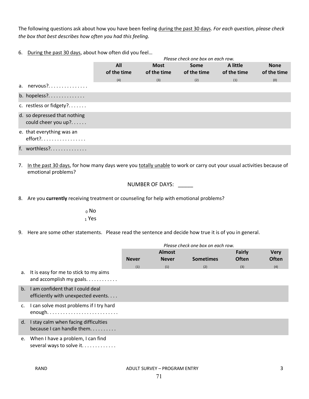The following questions ask about how you have been feeling during the past 30 days. *For each question, please check the box that best describes how often you had this feeling.* 

6. During the past 30 days, about how often did you feel…

|                                                     |                    |                            | Please check one box on each row. |                         |                            |
|-----------------------------------------------------|--------------------|----------------------------|-----------------------------------|-------------------------|----------------------------|
|                                                     | All<br>of the time | <b>Most</b><br>of the time | Some<br>of the time               | A little<br>of the time | <b>None</b><br>of the time |
|                                                     | (4)                | (3)                        | (2)                               | (1)                     | (0)                        |
| a. $nervous?$                                       |                    |                            |                                   |                         |                            |
| b. hopeless?                                        |                    |                            |                                   |                         |                            |
| c. restless or fidgety?                             |                    |                            |                                   |                         |                            |
| d. so depressed that nothing<br>could cheer you up? |                    |                            |                                   |                         |                            |
| e. that everything was an<br>effort?                |                    |                            |                                   |                         |                            |
| f. worthless?                                       |                    |                            |                                   |                         |                            |

7. In the past 30 days, for how many days were you totally unable to work or carry out your usual activities because of emotional problems?

NUMBER OF DAYS: \_\_\_\_\_

8. Are you **currently** receiving treatment or counseling for help with emotional problems?

<sup>0</sup> No <sup>1</sup> Yes

9. Here are some other statements. Please read the sentence and decide how true it is of you in general.

|             |                                                                               | Please check one box on each row. |               |                  |              |              |
|-------------|-------------------------------------------------------------------------------|-----------------------------------|---------------|------------------|--------------|--------------|
|             |                                                                               |                                   | <b>Almost</b> |                  | Fairly       | <b>Very</b>  |
|             |                                                                               | <b>Never</b>                      | <b>Never</b>  | <b>Sometimes</b> | <b>Often</b> | <b>Often</b> |
|             |                                                                               | (1)                               | (1)           | (2)              | (3)          | (4)          |
| а.          | It is easy for me to stick to my aims                                         |                                   |               |                  |              |              |
| $b_{1}$     | I am confident that I could deal<br>efficiently with unexpected events        |                                   |               |                  |              |              |
| $C_{\star}$ | I can solve most problems if I try hard<br>enough                             |                                   |               |                  |              |              |
| d.          | I stay calm when facing difficulties<br>because I can handle them. $\ldots$ , |                                   |               |                  |              |              |
| e.          | When I have a problem, I can find<br>several ways to solve it                 |                                   |               |                  |              |              |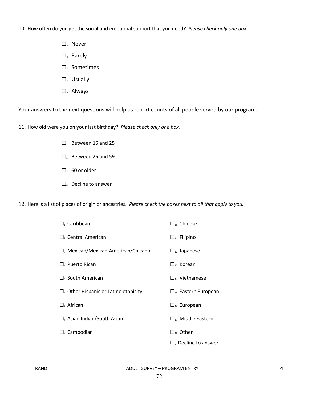10. How often do you get the social and emotional support that you need? *Please check only one box*.

- $\square$ <sub>1</sub> Never
- $\square$ <sub>2</sub> Rarely
- □3 Sometimes
- $\square$ <sub>4</sub> Usually
- □5 Always

Your answers to the next questions will help us report counts of all people served by our program.

11. How old were you on your last birthday? *Please check only one box.*

- $\square$ <sub>1</sub> Between 16 and 25
- $\square$ <sub>2</sub> Between 26 and 59
- $\square$ <sub>3</sub> 60 or older
- $\square$ <sub>0</sub> Decline to answer

12. Here is a list of places of origin or ancestries. *Please check the boxes next to all that apply to you.* 

| $\Box$ Caribbean                                     | $\Box_{10}$ Chinese             |
|------------------------------------------------------|---------------------------------|
| $\Box$ <sub>2</sub> Central American                 | $\Box_{11}$ Filipino            |
| $\Box$ <sub>3</sub> Mexican/Mexican-American/Chicano | $\Box_{12}$ Japanese            |
| $\Box$ Puerto Rican                                  | $\Box_{13}$ Korean              |
| $\Box$ <sub>5</sub> South American                   | $\Box_{14}$ Vietnamese          |
| $\Box$ Other Hispanic or Latino ethnicity            | $\square_{15}$ Eastern European |
| $\Box$ , African                                     | $\Box_{16}$ European            |
| $\Box_{8}$ Asian Indian/South Asian                  | $\Box_{17}$ Middle Eastern      |
| $\square$ , Cambodian                                | $\square_{18}$ Other            |
|                                                      | $\square$ Decline to answer     |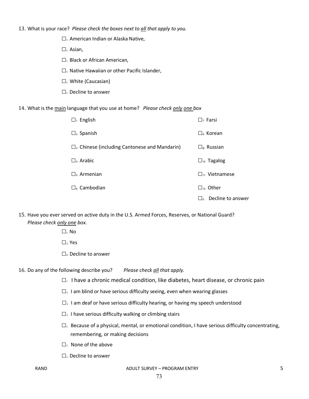13. What is your race? *Please check the boxes next to all that apply to you.* 

 $\square_1$  American Indian or Alaska Native,

 $\square_1$  Asian,

 $\square_1$  Black or African American,

 $\square_1$  Native Hawaiian or other Pacific Islander,

 $\square_1$  White (Caucasian)

 $\square_1$  Decline to answer

14. What is the main language that you use at home? *Please check only one box*

| $\Box_1$ English                                                  | $\Box$ Farsi                    |
|-------------------------------------------------------------------|---------------------------------|
| $\Box$ <sub>2</sub> Spanish                                       | $\square$ Korean                |
| $\square$ <sub>3</sub> Chinese (including Cantonese and Mandarin) | $\square$ <sub>9</sub> Russian  |
| $\Box$ Arabic                                                     | $\square$ <sub>10</sub> Tagalog |
| $\square$ <sub>5</sub> Armenian                                   | $\Box_{11}$ Vietnamese          |
| $\Box$ Cambodian                                                  | $\Box_{12}$ Other               |
|                                                                   | Decline to answer<br>⊣ه         |

15. Have you ever served on active duty in the U.S. Armed Forces, Reserves, or National Guard? *Please check only one box.*

 $\square_1$  No

 $\square$ <sub>2</sub> Yes

 $\square$ <sub>0</sub> Decline to answer

16. Do any of the following describe you? *Please check all that apply.*

- $\square$ <sub>1</sub> I have a chronic medical condition, like diabetes, heart disease, or chronic pain
- $\square_1$  I am blind or have serious difficulty seeing, even when wearing glasses
- $\square_1$  I am deaf or have serious difficulty hearing, or having my speech understood
- $\square_1$  I have serious difficulty walking or climbing stairs
- $\square_1$  Because of a physical, mental, or emotional condition, I have serious difficulty concentrating, remembering, or making decisions
- $\square$ <sub>1</sub> None of the above
- $\square$ <sub>1</sub> Decline to answer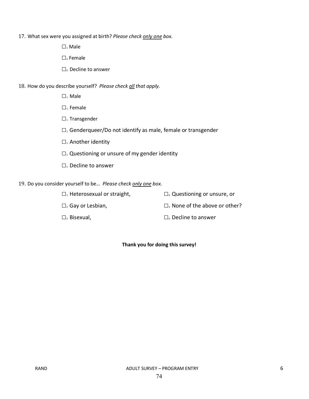17. What sex were you assigned at birth? *Please check only one box.*

 $\square_1$  Male

 $\square$ <sub>2</sub> Female

□0 Decline to answer

18. How do you describe yourself? *Please check all that apply.*

 $\square_1$  Male

 $\square$ <sub>1</sub> Female

 $\square$ <sub>1</sub> Transgender

 $\square_1$  Genderqueer/Do not identify as male, female or transgender

 $\square_1$  Another identity

 $\square$ <sub>1</sub> Questioning or unsure of my gender identity

□<sub>1</sub> Decline to answer

19. Do you consider yourself to be… *Please check only one box.* 

 $\square_1$  Heterosexual or straight,  $\square_4$  Questioning or unsure, or  $\square$ <sub>2</sub> Gay or Lesbian,  $\square$ <sub>5</sub> None of the above or other?  $\square$ <sub>3</sub> Bisexual,  $\square$ <sub>0</sub> Decline to answer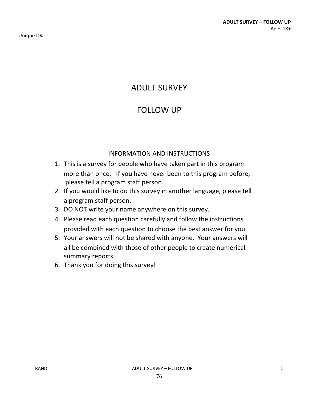Unique ID#:

# ADULT SURVEY

## FOLLOW UP

### INFORMATION AND INSTRUCTIONS

- 1. This is a survey for people who have taken part in this program more than once. If you have never been to this program before, please tell a program staff person.
- 2. If you would like to do this survey in another language, please tell a program staff person.
- 3. DO NOT write your name anywhere on this survey.
- 4. Please read each question carefully and follow the instructions provided with each question to choose the best answer for you.
- 5. Your answers will not be shared with anyone. Your answers will all be combined with those of other people to create numerical summary reports.
- 6. Thank you for doing this survey!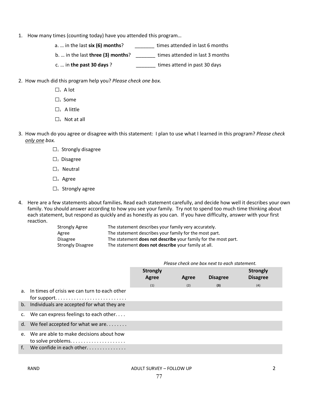- 1. How many times (counting today) have you attended this program…
	- a. ... in the last **six (6) months**? \_\_\_\_\_\_\_\_ times attended in last 6 months
	- b. … in the last **three (3) months**? \_\_\_\_\_\_\_ times attended in last 3 months
	- c. … in **the past 30 days** ? \_\_\_\_\_\_\_ times attend in past 30 days
- 2. How much did this program help you? *Please check one box.*
	- $\square_1$  A lot
	- □2 Some
	- $\square$ <sub>3</sub> A little
	- $\square$ <sub>4</sub> Not at all
- 3. How much do you agree or disagree with this statement: I plan to use what I learned in this program? *Please check only one box.*
	- $\square$ <sup>1</sup> Strongly disagree
	- $\square$ <sub>2</sub> Disagree
	- $\square$ <sub>3</sub> Neutral
	- □4 Agree
	- $\square$ <sub>5</sub> Strongly agree
- 4. Here are a few statements about families**.** Read each statement carefully, and decide how well it describes your own family. You should answer according to how you see your family. Try not to spend too much time thinking about each statement, but respond as quickly and as honestly as you can. If you have difficulty, answer with your first reaction.

| <b>Strongly Agree</b>    | The statement describes your family very accurately.                  |
|--------------------------|-----------------------------------------------------------------------|
| Agree                    | The statement describes your family for the most part.                |
| <b>Disagree</b>          | The statement <b>does not describe</b> your family for the most part. |
| <b>Strongly Disagree</b> | The statement <b>does not describe</b> your family at all.            |

|                |                                                                                                                         | <b>Strongly</b><br>Agree | Agree | <b>Disagree</b> | <b>Strongly</b><br><b>Disagree</b> |
|----------------|-------------------------------------------------------------------------------------------------------------------------|--------------------------|-------|-----------------|------------------------------------|
|                |                                                                                                                         | (1)                      | (2)   | (3)             | (4)                                |
|                | a. In times of crisis we can turn to each other<br>for support. $\dots \dots \dots \dots \dots \dots \dots \dots \dots$ |                          |       |                 |                                    |
|                | b. Individuals are accepted for what they are                                                                           |                          |       |                 |                                    |
| $\mathsf{C}$ . | We can express feelings to each other. $\dots$                                                                          |                          |       |                 |                                    |
|                | d. We feel accepted for what we are                                                                                     |                          |       |                 |                                    |
| $e_{1}$        | We are able to make decisions about how                                                                                 |                          |       |                 |                                    |
| $f_{\cdot}$    | We confide in each other                                                                                                |                          |       |                 |                                    |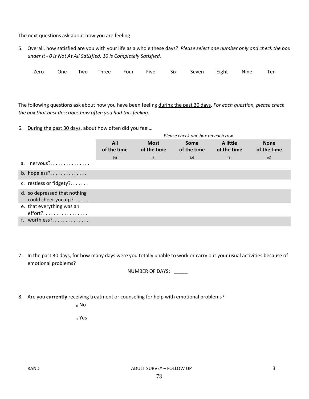The next questions ask about how you are feeling:

5. Overall, how satisfied are you with your life as a whole these days? *Please select one number only and check the box under it - 0 is Not At All Satisfied, 10 is Completely Satisfied.* 

|  |  |  | Zero One Two Three Four Five Six Seven Eight Nine Ten |  |  |
|--|--|--|-------------------------------------------------------|--|--|
|  |  |  |                                                       |  |  |

The following questions ask about how you have been feeling during the past 30 days. *For each question, please check the box that best describes how often you had this feeling.* 

6. During the past 30 days, about how often did you feel…

|                                                       |                    |                            | Please check one box on each row. |                         |                            |
|-------------------------------------------------------|--------------------|----------------------------|-----------------------------------|-------------------------|----------------------------|
|                                                       | All<br>of the time | <b>Most</b><br>of the time | <b>Some</b><br>of the time        | A little<br>of the time | <b>None</b><br>of the time |
|                                                       | (4)                | (3)                        | (2)                               | (1)                     | (0)                        |
| a. nervous?                                           |                    |                            |                                   |                         |                            |
| b. hopeless?                                          |                    |                            |                                   |                         |                            |
| c. restless or fidgety?                               |                    |                            |                                   |                         |                            |
| d. so depressed that nothing<br>could cheer you $up?$ |                    |                            |                                   |                         |                            |
| e. that everything was an<br>effort?                  |                    |                            |                                   |                         |                            |
| f. worthless?                                         |                    |                            |                                   |                         |                            |

7. In the past 30 days, for how many days were you totally unable to work or carry out your usual activities because of emotional problems?

NUMBER OF DAYS: \_\_\_\_\_

8. Are you **currently** receiving treatment or counseling for help with emotional problems?

<sup>0</sup> No

<sup>1</sup> Yes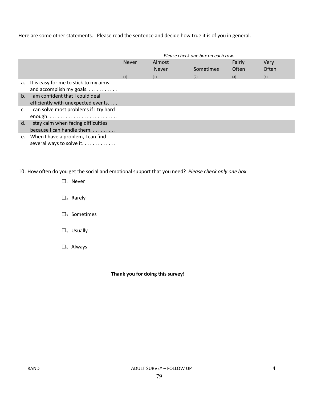Here are some other statements. Please read the sentence and decide how true it is of you in general.

|         |                                                                      | Please check one box on each row. |                        |           |                 |               |  |  |
|---------|----------------------------------------------------------------------|-----------------------------------|------------------------|-----------|-----------------|---------------|--|--|
|         |                                                                      | <b>Never</b>                      | Almost<br><b>Never</b> | Sometimes | Fairly<br>Often | Very<br>Often |  |  |
|         |                                                                      | (1)                               | (1)                    | (2)       | (3)             | (4)           |  |  |
|         | a. It is easy for me to stick to my aims<br>and accomplish my goals. |                                   |                        |           |                 |               |  |  |
| $h_{-}$ | I am confident that I could deal                                     |                                   |                        |           |                 |               |  |  |
|         | efficiently with unexpected events                                   |                                   |                        |           |                 |               |  |  |
| C.      | I can solve most problems if I try hard                              |                                   |                        |           |                 |               |  |  |
|         | enough                                                               |                                   |                        |           |                 |               |  |  |
| d.      | I stay calm when facing difficulties                                 |                                   |                        |           |                 |               |  |  |
|         | because I can handle them. $\ldots$ ,                                |                                   |                        |           |                 |               |  |  |
| e.      | When I have a problem, I can find                                    |                                   |                        |           |                 |               |  |  |
|         | several ways to solve it                                             |                                   |                        |           |                 |               |  |  |

10. How often do you get the social and emotional support that you need? *Please check only one box*.

- $\square$ <sub>1</sub> Never  $\square$ <sub>2</sub> Rarely  $\square$ <sub>3</sub> Sometimes
- $\square$ <sub>4</sub> Usually
- □5 Always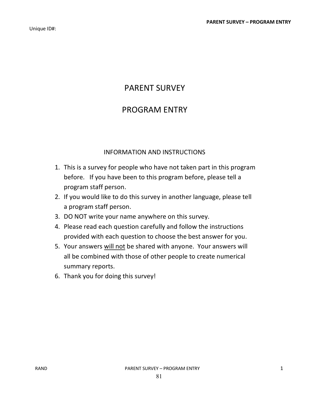# PARENT SURVEY

## PROGRAM ENTRY

## INFORMATION AND INSTRUCTIONS

- 1. This is a survey for people who have not taken part in this program before. If you have been to this program before, please tell a program staff person.
- 2. If you would like to do this survey in another language, please tell a program staff person.
- 3. DO NOT write your name anywhere on this survey.
- 4. Please read each question carefully and follow the instructions provided with each question to choose the best answer for you.
- 5. Your answers will not be shared with anyone. Your answers will all be combined with those of other people to create numerical summary reports.
- 6. Thank you for doing this survey!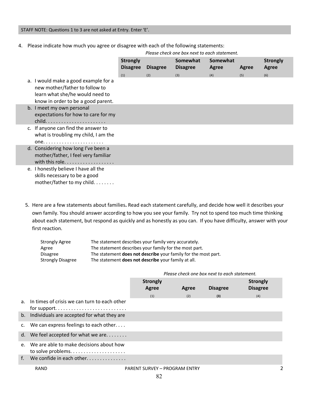### STAFF NOTE: Questions 1 to 3 are not asked at Entry. Enter 'E'.

4. Please indicate how much you agree or disagree with each of the following statements:

|                                                                                                                                                 | Please check one box hext to each statement. |                 |                             |                   |       |                          |
|-------------------------------------------------------------------------------------------------------------------------------------------------|----------------------------------------------|-----------------|-----------------------------|-------------------|-------|--------------------------|
|                                                                                                                                                 | <b>Strongly</b><br><b>Disagree</b>           | <b>Disagree</b> | Somewhat<br><b>Disagree</b> | Somewhat<br>Agree | Agree | <b>Strongly</b><br>Agree |
| a. I would make a good example for a<br>new mother/father to follow to<br>learn what she/he would need to<br>know in order to be a good parent. | (1)                                          | (2)             | (3)                         | (4)               | (5)   | (6)                      |
| b. I meet my own personal<br>expectations for how to care for my<br>$child.$                                                                    |                                              |                 |                             |                   |       |                          |
| c. If anyone can find the answer to<br>what is troubling my child, I am the                                                                     |                                              |                 |                             |                   |       |                          |
| d. Considering how long I've been a<br>mother/father, I feel very familiar<br>with this role.                                                   |                                              |                 |                             |                   |       |                          |
| e. I honestly believe I have all the<br>skills necessary to be a good<br>mother/father to my child.                                             |                                              |                 |                             |                   |       |                          |

*Please check one box next to each statement.* 

5. Here are a few statements about families**.** Read each statement carefully, and decide how well it describes your own family. You should answer according to how you see your family. Try not to spend too much time thinking about each statement, but respond as quickly and as honestly as you can. If you have difficulty, answer with your first reaction.

| <b>Strongly Agree</b>    | The statement describes your family very accurately.                  |
|--------------------------|-----------------------------------------------------------------------|
| Agree                    | The statement describes your family for the most part.                |
| <b>Disagree</b>          | The statement <b>does not describe</b> your family for the most part. |
| <b>Strongly Disagree</b> | The statement <b>does not describe</b> your family at all.            |

|         |                                                                                                                   | <b>Strongly</b><br>Agree | Agree | <b>Disagree</b> | <b>Strongly</b><br><b>Disagree</b> |
|---------|-------------------------------------------------------------------------------------------------------------------|--------------------------|-------|-----------------|------------------------------------|
|         |                                                                                                                   | (1)                      | (2)   | (3)             | (4)                                |
|         | a. In times of crisis we can turn to each other<br>for support. $\dots \dots \dots \dots \dots \dots \dots \dots$ |                          |       |                 |                                    |
|         | b. Individuals are accepted for what they are                                                                     |                          |       |                 |                                    |
|         | c. We can express feelings to each other                                                                          |                          |       |                 |                                    |
|         | d. We feel accepted for what we are $\dots\dots$                                                                  |                          |       |                 |                                    |
| $e_{1}$ | We are able to make decisions about how                                                                           |                          |       |                 |                                    |
| f.      | We confide in each other. $\ldots$ , $\ldots$                                                                     |                          |       |                 |                                    |
|         |                                                                                                                   |                          |       |                 |                                    |

### *Please check one box next to each statement.*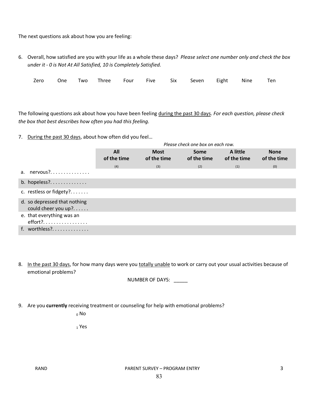The next questions ask about how you are feeling:

6. Overall, how satisfied are you with your life as a whole these days? *Please select one number only and check the box under it - 0 is Not At All Satisfied, 10 is Completely Satisfied.* 

|  |  |  | Zero One Two Three Four Five Six Seven Eight Nine Ten |  |  |
|--|--|--|-------------------------------------------------------|--|--|
|  |  |  |                                                       |  |  |

The following questions ask about how you have been feeling during the past 30 days. *For each question, please check the box that best describes how often you had this feeling.* 

7. During the past 30 days, about how often did you feel…

|                                       |                    |                            | Please check one box on each row. |                         |                            |
|---------------------------------------|--------------------|----------------------------|-----------------------------------|-------------------------|----------------------------|
|                                       | All<br>of the time | <b>Most</b><br>of the time | Some<br>of the time               | A little<br>of the time | <b>None</b><br>of the time |
|                                       | (4)                | (3)                        | (2)                               | (1)                     | (0)                        |
| a. nervous?                           |                    |                            |                                   |                         |                            |
| $b.$ hopeless?                        |                    |                            |                                   |                         |                            |
| c. restless or fidgety?               |                    |                            |                                   |                         |                            |
| d. so depressed that nothing          |                    |                            |                                   |                         |                            |
| could cheer you up?                   |                    |                            |                                   |                         |                            |
| e. that everything was an<br>effort?. |                    |                            |                                   |                         |                            |
| f. worthless?                         |                    |                            |                                   |                         |                            |

8. In the past 30 days, for how many days were you totally unable to work or carry out your usual activities because of emotional problems?

NUMBER OF DAYS: \_\_\_\_\_

9. Are you **currently** receiving treatment or counseling for help with emotional problems?

<sup>0</sup> No

<sup>1</sup> Yes

RAND **PARENT SURVEY – PROGRAM ENTRY** 3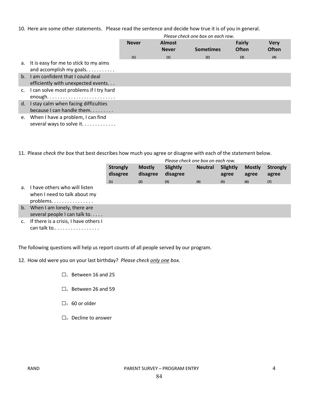10. Here are some other statements. Please read the sentence and decide how true it is of you in general.

|                |                                                                        |              |                               | Please check one box on each row. |                        |                             |
|----------------|------------------------------------------------------------------------|--------------|-------------------------------|-----------------------------------|------------------------|-----------------------------|
|                |                                                                        | <b>Never</b> | <b>Almost</b><br><b>Never</b> | <b>Sometimes</b>                  | Fairly<br><b>Often</b> | <b>Very</b><br><b>Often</b> |
|                |                                                                        | (1)          | (1)                           | (2)                               | (3)                    | (4)                         |
|                | a. It is easy for me to stick to my aims<br>and accomplish my goals.   |              |                               |                                   |                        |                             |
| $h_{-}$        | I am confident that I could deal<br>efficiently with unexpected events |              |                               |                                   |                        |                             |
| $\mathsf{C}$ . | I can solve most problems if I try hard<br>enough                      |              |                               |                                   |                        |                             |
| d.             | I stay calm when facing difficulties<br>because I can handle them      |              |                               |                                   |                        |                             |
|                | e. When I have a problem, I can find<br>several ways to solve it       |              |                               |                                   |                        |                             |

11. Please *check the box* that best describes how much you agree or disagree with each of the statement below.

|        |                             |                           | Please check one box on each row. |                |                   |                        |                          |  |  |  |  |
|--------|-----------------------------|---------------------------|-----------------------------------|----------------|-------------------|------------------------|--------------------------|--|--|--|--|
|        | <b>Strongly</b><br>disagree | <b>Mostly</b><br>disagree | Slightly<br>disagree              | <b>Neutral</b> | Slightly<br>agree | <b>Mostly</b><br>agree | <b>Strongly</b><br>agree |  |  |  |  |
| listen | (1)                         | (2)                       | (3)                               | (4)            | (5)               | (6)                    | (7)                      |  |  |  |  |

- a. I have others who will when I need to talk about my problems. . . . . . . . . . . . . . . .
- b. When I am lonely, there are several people I can talk to. . . . .
- c. If there is a crisis, I have others I can talk to.. . . . . . . . . . . . . . . . .

The following questions will help us report counts of all people served by our program.

12. How old were you on your last birthday? *Please check only one box.*

- $\square$ <sub>1</sub> Between 16 and 25
- $\square$ , Between 26 and 59
- $\square$ <sub>3</sub> 60 or older
- $\square$  Decline to answer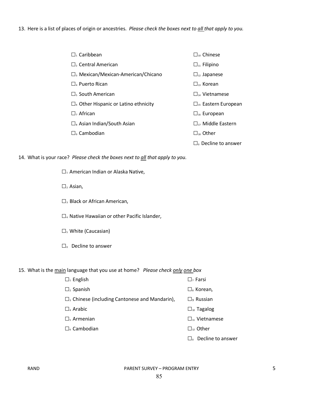13. Here is a list of places of origin or ancestries. *Please check the boxes next to all that apply to you.* 

| $\Box_1$ Caribbean                                   | $\square$ <sub>10</sub> Chinese  |
|------------------------------------------------------|----------------------------------|
| $\Box$ , Central American                            | $\Box_{11}$ Filipino             |
| $\Box$ <sub>3</sub> Mexican/Mexican-American/Chicano | $\Box_{12}$ Japanese             |
| $\Box$ Puerto Rican                                  | $\Box_{13}$ Korean               |
| $\Box_{s}$ South American                            | $\prod_{\mathcal{U}}$ Vietnamese |
| $\Box$ Other Hispanic or Latino ethnicity            | $\Box_{15}$ Eastern European     |
| $\Box$ , African                                     | $\Box_{16}$ European             |
| $\Box_{s}$ Asian Indian/South Asian                  | $\Box_{17}$ Middle Eastern       |
| $\Box$ , Cambodian                                   | $\Box_{18}$ Other                |
|                                                      | $\Box$ Decline to answer         |

14. What is your race? *Please check the boxes next to all that apply to you.* 

 $\square_1$  American Indian or Alaska Native,

- $\square$ <sub>2</sub> Asian,
- □<sub>3</sub> Black or African American,
- $\square$ <sub>4</sub> Native Hawaiian or other Pacific Islander,
- $\square$ <sub>5</sub> White (Caucasian)
- □0 Decline to answer

15. What is the main language that you use at home? *Please check only one box*

- $\square_1$  English  $\square_7$  Farsi  $\square$ <sub>2</sub> Spanish  $\square$ 8 Korean,
- $\square$ <sub>3</sub> Chinese (including Cantonese and Mandarin),  $\square$ <sub>9</sub> Russian
- $\square$ <sub>4</sub> Arabic  $\square$ <sub>10</sub> Tagalog
- $\square$ <sub>5</sub> Armenian  $\square$ <sub>11</sub> Vietnamese
- $\square_6$  Cambodian  $\square_{12}$  Other

 $\square$ <sub>0</sub> Decline to answer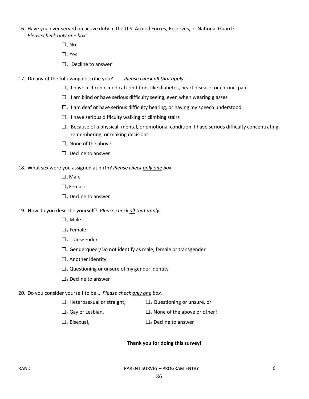- 16. Have you ever served on active duty in the U.S. Armed Forces, Reserves, or National Guard? *Please check only one box.*
	- $\square_1$  No
	- □2 Yes
	- □0 Decline to answer
- 17. Do any of the following describe you? *Please check all that apply.*
	- $\square_1$  I have a chronic medical condition, like diabetes, heart disease, or chronic pain
	- $\square$ <sup>1</sup> I am blind or have serious difficulty seeing, even when wearing glasses
	- $\square_1$  I am deaf or have serious difficulty hearing, or having my speech understood
	- $\square_1$  I have serious difficulty walking or climbing stairs
	- $\square_1$  Because of a physical, mental, or emotional condition, I have serious difficulty concentrating, remembering, or making decisions
	- $\square_1$  None of the above
	- $\square$ <sub>1</sub> Decline to answer

#### 18. What sex were you assigned at birth? *Please check only one box.*

- $\square_1$  Male
- $\square$ , Female
- □0 Decline to answer
- 19. How do you describe yourself? *Please check all that apply.*
	- □1 Male
	- $\square$ <sub>2</sub> Female
	- $\square$ <sub>3</sub> Transgender
	- $\square$ 4 Genderqueer/Do not identify as male, female or transgender
	- $\square$ <sub>5</sub> Another identity
	- $\square$ <sub>6</sub> Questioning or unsure of my gender identity
	- $\square$  Decline to answer

#### 20. Do you consider yourself to be… *Please check only one box.*

- $\square$ <sub>1</sub> Heterosexual or straight,  $\square$ <sub>4</sub> Questioning or unsure, or
- $\square$ <sub>2</sub> Gay or Lesbian,  $\square$ <sub>5</sub> None of the above or other?
- $\square$ <sub>3</sub> Bisexual,  $\square$ <sub>0</sub> Decline to answer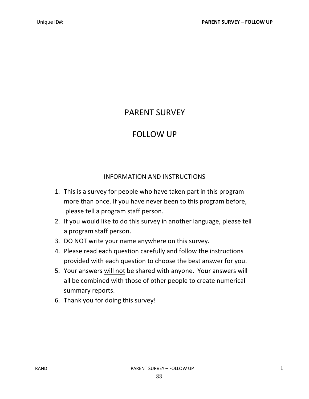# PARENT SURVEY

## FOLLOW UP

## INFORMATION AND INSTRUCTIONS

- 1. This is a survey for people who have taken part in this program more than once. If you have never been to this program before, please tell a program staff person.
- 2. If you would like to do this survey in another language, please tell a program staff person.
- 3. DO NOT write your name anywhere on this survey.
- 4. Please read each question carefully and follow the instructions provided with each question to choose the best answer for you.
- 5. Your answers will not be shared with anyone. Your answers will all be combined with those of other people to create numerical summary reports.
- 6. Thank you for doing this survey!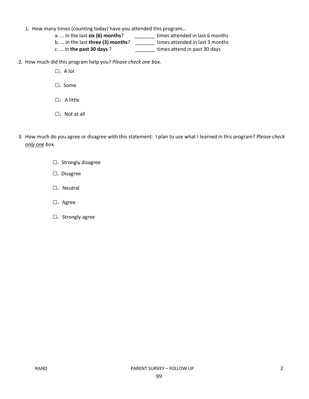- 1. How many times (counting today) have you attended this program…
	- a. ... in the last **six (6) months**? \_\_\_\_\_\_\_\_\_ times attended in last 6 months
	- b. … in the last **three (3) months**? \_\_\_\_\_\_\_ times attended in last 3 months
	- c. … in **the past 30 days** ? \_\_\_\_\_\_\_ times attend in past 30 days
- 2. How much did this program help you? *Please check one box.* 
	- $\square_1$  A lot
	- $\square$ <sub>2</sub> Some
	- $\square$ <sub>3</sub> A little
	- $\square$ <sub>4</sub> Not at all
- 3. How much do you agree or disagree with this statement: I plan to use what I learned in this program? *Please check only one box.*
	- $\square$ <sub>1</sub> Strongly disagree
	- $\square$ <sub>2</sub> Disagree
	- $\square$ <sub>3</sub> Neutral
	- □4 Agree
	- $\square$ <sub>5</sub> Strongly agree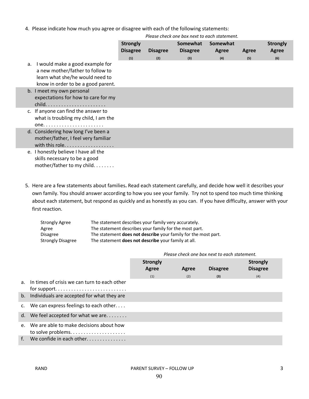4. Please indicate how much you agree or disagree with each of the following statements:

|    |                                                                                                                                              | <b>Strongly</b><br><b>Disagree</b> | <b>Disagree</b> | Somewhat<br><b>Disagree</b> | Somewhat<br>Agree | Agree | <b>Strongly</b><br><b>Agree</b> |
|----|----------------------------------------------------------------------------------------------------------------------------------------------|------------------------------------|-----------------|-----------------------------|-------------------|-------|---------------------------------|
|    |                                                                                                                                              | (1)                                | (2)             | (3)                         | (4)               | (5)   | (6)                             |
| a. | I would make a good example for<br>a new mother/father to follow to<br>learn what she/he would need to<br>know in order to be a good parent. |                                    |                 |                             |                   |       |                                 |
|    | b. I meet my own personal<br>expectations for how to care for my<br>$child.$                                                                 |                                    |                 |                             |                   |       |                                 |
|    | c. If anyone can find the answer to<br>what is troubling my child, I am the                                                                  |                                    |                 |                             |                   |       |                                 |
|    | d. Considering how long I've been a<br>mother/father, I feel very familiar<br>with this role.                                                |                                    |                 |                             |                   |       |                                 |
|    | e. I honestly believe I have all the<br>skills necessary to be a good<br>mother/father to my child.                                          |                                    |                 |                             |                   |       |                                 |

*Please check one box next to each statement.* 

5. Here are a few statements about families**.** Read each statement carefully, and decide how well it describes your own family. You should answer according to how you see your family. Try not to spend too much time thinking about each statement, but respond as quickly and as honestly as you can. If you have difficulty, answer with your first reaction.

| <b>Strongly Agree</b>    | The statement describes your family very accurately.           |
|--------------------------|----------------------------------------------------------------|
| Agree                    | The statement describes your family for the most part.         |
| <b>Disagree</b>          | The statement does not describe your family for the most part. |
| <b>Strongly Disagree</b> | The statement <b>does not describe</b> your family at all.     |

 *Please check one box next to each statement.*

|         |                                                  | <b>Strongly</b><br>Agree | Agree | <b>Disagree</b> | <b>Strongly</b><br><b>Disagree</b> |
|---------|--------------------------------------------------|--------------------------|-------|-----------------|------------------------------------|
|         |                                                  | (1)                      | (2)   | (3)             | (4)                                |
|         | a. In times of crisis we can turn to each other  |                          |       |                 |                                    |
|         | b. Individuals are accepted for what they are    |                          |       |                 |                                    |
|         | c. We can express feelings to each other         |                          |       |                 |                                    |
|         | d. We feel accepted for what we are $\dots\dots$ |                          |       |                 |                                    |
| $e_{1}$ | We are able to make decisions about how          |                          |       |                 |                                    |
|         | f. We confide in each other                      |                          |       |                 |                                    |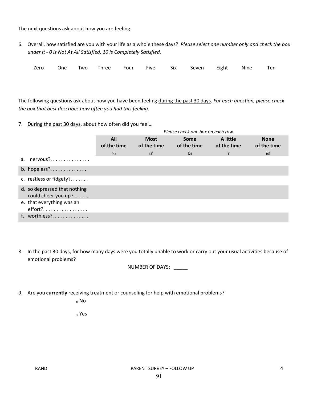The next questions ask about how you are feeling:

6. Overall, how satisfied are you with your life as a whole these days? *Please select one number only and check the box under it - 0 is Not At All Satisfied, 10 is Completely Satisfied.* 

|  |  |  |  |  |  |  |  | Zero One Two Three Four Five Six Seven Eight Nine Ten |  |  |  |
|--|--|--|--|--|--|--|--|-------------------------------------------------------|--|--|--|
|--|--|--|--|--|--|--|--|-------------------------------------------------------|--|--|--|

The following questions ask about how you have been feeling during the past 30 days. *For each question, please check the box that best describes how often you had this feeling.* 

7. During the past 30 days, about how often did you feel...

|                                                     |                    |                            | Please check one box on each row. |                         |                            |
|-----------------------------------------------------|--------------------|----------------------------|-----------------------------------|-------------------------|----------------------------|
|                                                     | All<br>of the time | <b>Most</b><br>of the time | <b>Some</b><br>of the time        | A little<br>of the time | <b>None</b><br>of the time |
|                                                     | (4)                | (3)                        | (2)                               | (1)                     | (0)                        |
| a. $nervous?$                                       |                    |                            |                                   |                         |                            |
| b. hopeless?                                        |                    |                            |                                   |                         |                            |
| c. restless or fidgety?                             |                    |                            |                                   |                         |                            |
| d. so depressed that nothing<br>could cheer you up? |                    |                            |                                   |                         |                            |
| e. that everything was an<br>$effort?$              |                    |                            |                                   |                         |                            |
| f. worthless?                                       |                    |                            |                                   |                         |                            |

8. In the past 30 days, for how many days were you totally unable to work or carry out your usual activities because of emotional problems?

NUMBER OF DAYS: \_\_\_\_\_

9. Are you **currently** receiving treatment or counseling for help with emotional problems?

<sup>0</sup> No

<sup>1</sup> Yes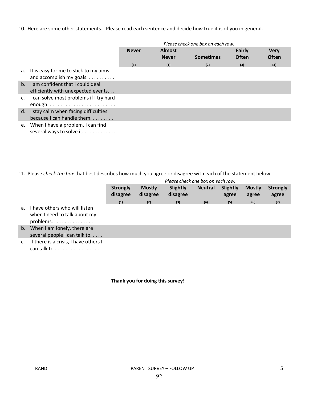10. Here are some other statements. Please read each sentence and decide how true it is of you in general.

|                |                                                                              |              |                               | Please check one box on each row. |                        |                             |
|----------------|------------------------------------------------------------------------------|--------------|-------------------------------|-----------------------------------|------------------------|-----------------------------|
|                |                                                                              | <b>Never</b> | <b>Almost</b><br><b>Never</b> | <b>Sometimes</b>                  | Fairly<br><b>Often</b> | <b>Very</b><br><b>Often</b> |
|                |                                                                              | (1)          | (1)                           | (2)                               | (3)                    | (4)                         |
|                | a. It is easy for me to stick to my aims<br>and accomplish my goals. $\dots$ |              |                               |                                   |                        |                             |
| $h_{-}$        | I am confident that I could deal<br>efficiently with unexpected events       |              |                               |                                   |                        |                             |
| $\mathsf{C}$ . | I can solve most problems if I try hard<br>enough                            |              |                               |                                   |                        |                             |
| d.             | I stay calm when facing difficulties<br>because I can handle them            |              |                               |                                   |                        |                             |
| e.             | When I have a problem, I can find<br>several ways to solve it                |              |                               |                                   |                        |                             |

11. Please *check the box* that best describes how much you agree or disagree with each of the statement below.

|                |                                                                          |                             |                           | Please check one box on each row. |                |                   |                        |                          |
|----------------|--------------------------------------------------------------------------|-----------------------------|---------------------------|-----------------------------------|----------------|-------------------|------------------------|--------------------------|
|                |                                                                          | <b>Strongly</b><br>disagree | <b>Mostly</b><br>disagree | Slightly<br>disagree              | <b>Neutral</b> | Slightly<br>agree | <b>Mostly</b><br>agree | <b>Strongly</b><br>agree |
|                |                                                                          | (1)                         | (2)                       | (3)                               | (4)            | (5)               | (6)                    | (7)                      |
| a <sub>z</sub> | have others who will listen<br>when I need to talk about my<br>problems. |                             |                           |                                   |                |                   |                        |                          |
| $b_{\cdot}$    | When I am lonely, there are<br>several people I can talk to              |                             |                           |                                   |                |                   |                        |                          |
| $\mathsf{C}$ . | If there is a crisis, I have others I<br>can talk to                     |                             |                           |                                   |                |                   |                        |                          |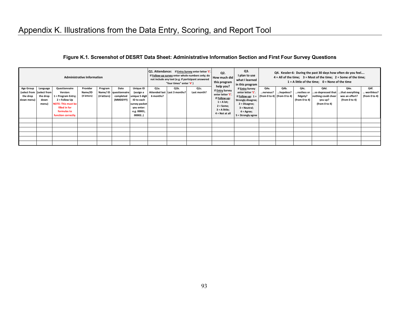### **Figure K.1. Screenshot of DESRT Data Sheet: Administrative Information Section and First Four Survey Questions**

| <b>Administrative Information</b>          |                                                                      |                                                                                                                                                             |                                    |                        |                                                           | Q1. Attendance: If Entry Survey enter letter 'E'.<br>If Follow-up survey enter whole numbers only; do<br>not include any text (e.g. if participant answered<br>"four times" enter '4') |                   | Q2.<br>How much did<br>this program  | Q3.<br>I plan to use<br>what I learned<br>in this program | Q4. Kessler-6: During the past 30 days how often do you feel<br>$4 =$ All of the time; $3 =$ Most of the time; $2 =$ Some of the time;<br>$1 = A$ little of the time; $0 = None$ of the time |                                                                                                                     |                                                                                                    |                   |                                                         |                                                                                        |                                                             |                                     |
|--------------------------------------------|----------------------------------------------------------------------|-------------------------------------------------------------------------------------------------------------------------------------------------------------|------------------------------------|------------------------|-----------------------------------------------------------|----------------------------------------------------------------------------------------------------------------------------------------------------------------------------------------|-------------------|--------------------------------------|-----------------------------------------------------------|----------------------------------------------------------------------------------------------------------------------------------------------------------------------------------------------|---------------------------------------------------------------------------------------------------------------------|----------------------------------------------------------------------------------------------------|-------------------|---------------------------------------------------------|----------------------------------------------------------------------------------------|-------------------------------------------------------------|-------------------------------------|
| <b>Age Group</b><br>the drop<br>down menu) | Language<br>(select from   (select from<br>the drop<br>down<br>menu) | <b>Questionnaire</b><br>Version:<br>1 = Program Entry;<br>2 = Follow Up<br><b>NOTE: This must be</b><br>filled in for<br>formulas to<br>function correctly. | Provider<br>Name/ID<br>(4 letters) | Program<br>(4 letters) | Date<br>Name/ ID   questionnaire<br>completed<br>(MMDDYY) | <b>Unique ID</b><br>(assign a<br>unique 5 digit<br>ID to each<br>survey packet<br>you enter:<br>e.g. 00001,<br>00002)                                                                  | Q1a.<br>6 months? | Q1b.<br>Attended last Last 3 months? | Q1c.<br>Last month?                                       | help you?<br>If <b>Entry Survey</b><br>enter letter 'E'.<br>If Follow-up:<br>$1 = A lot;$<br>$2 = Some;$<br>$3 = A$ little;<br>$4 = Not at all$                                              | If Entry Survey<br>enter letter 'E'.<br>2 = Disagree;<br>3 = Neutral;<br>$4 = \text{Agree}$ ;<br>5 = Strongly agree | Q4a.<br>nervous?<br>If Follow-up: $1 =  $ (from 0 to 4) (from 0 to 4)<br><b>Strongly disagree;</b> | Q4b.<br>hopeless? | Q4c.<br>restless or 丨<br>fidgety?<br>(from $0$ to $4$ ) | Q4d.<br>$$ so depressed that $\mid$<br>nothing could cheer<br>you up?<br>(from 0 to 4) | Q4e.<br>.that everything<br>was an effort?<br>(from 0 to 4) | Q4f.<br>worthless?<br>(from 0 to 4) |
|                                            |                                                                      |                                                                                                                                                             |                                    |                        |                                                           |                                                                                                                                                                                        |                   |                                      |                                                           |                                                                                                                                                                                              |                                                                                                                     |                                                                                                    |                   |                                                         |                                                                                        |                                                             |                                     |
|                                            |                                                                      |                                                                                                                                                             |                                    |                        |                                                           |                                                                                                                                                                                        |                   |                                      |                                                           |                                                                                                                                                                                              |                                                                                                                     |                                                                                                    |                   |                                                         |                                                                                        |                                                             |                                     |
|                                            |                                                                      |                                                                                                                                                             |                                    |                        |                                                           |                                                                                                                                                                                        |                   |                                      |                                                           |                                                                                                                                                                                              |                                                                                                                     |                                                                                                    |                   |                                                         |                                                                                        |                                                             |                                     |
|                                            |                                                                      |                                                                                                                                                             |                                    |                        |                                                           |                                                                                                                                                                                        |                   |                                      |                                                           |                                                                                                                                                                                              |                                                                                                                     |                                                                                                    |                   |                                                         |                                                                                        |                                                             |                                     |
|                                            |                                                                      |                                                                                                                                                             |                                    |                        |                                                           |                                                                                                                                                                                        |                   |                                      |                                                           |                                                                                                                                                                                              |                                                                                                                     |                                                                                                    |                   |                                                         |                                                                                        |                                                             |                                     |
|                                            |                                                                      |                                                                                                                                                             |                                    |                        |                                                           |                                                                                                                                                                                        |                   |                                      |                                                           |                                                                                                                                                                                              |                                                                                                                     |                                                                                                    |                   |                                                         |                                                                                        |                                                             |                                     |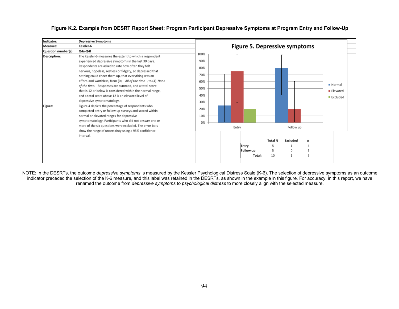| Indicator:          | <b>Depressive Symptoms</b>                                                                                                                                                                                                                                                                                                                                                                                                                                                                                                           |                                                |       |           |                |           |          |                                               |  |
|---------------------|--------------------------------------------------------------------------------------------------------------------------------------------------------------------------------------------------------------------------------------------------------------------------------------------------------------------------------------------------------------------------------------------------------------------------------------------------------------------------------------------------------------------------------------|------------------------------------------------|-------|-----------|----------------|-----------|----------|-----------------------------------------------|--|
| Measure:            | Kessler-6                                                                                                                                                                                                                                                                                                                                                                                                                                                                                                                            | <b>Figure 5. Depressive symptoms</b>           |       |           |                |           |          |                                               |  |
| Question number(s): | $Q4a-Q4f$                                                                                                                                                                                                                                                                                                                                                                                                                                                                                                                            |                                                |       |           |                |           |          |                                               |  |
| <b>Description:</b> | The Kessler-6 measures the extent to which a respondent<br>experienced depressive symptoms in the last 30 days.<br>Respondents are asked to rate how often they felt<br>nervous, hopeless, restless or fidgety, so depressed that<br>nothing could cheer them up, that everything was an<br>effort, and worthless, from (0) All of the time, to (4) None<br>of the time. Responses are summed, and a total score<br>that is 12 or below is considered within the normal range,<br>and a total score above 12 is an elevated level of | 100%<br>90%<br>80%<br>70%<br>60%<br>50%<br>40% |       |           |                |           |          | Normal<br>Elevated<br>$\blacksquare$ Excluded |  |
| Figure:             | depressive symptomatology.<br>Figure 4 depicts the percentage of respondents who<br>completed entry or follow up surveys and scored within<br>normal or elevated ranges for depressive<br>symptomatology. Participants who did not answer one or<br>more of the six questions were excluded. The error bars<br>show the range of uncertainty using a 95% confidence                                                                                                                                                                  | 30%<br>20%<br>10%<br>0%                        | Entry |           |                | Follow up |          |                                               |  |
|                     | interval.                                                                                                                                                                                                                                                                                                                                                                                                                                                                                                                            |                                                |       |           |                |           |          |                                               |  |
|                     |                                                                                                                                                                                                                                                                                                                                                                                                                                                                                                                                      |                                                |       |           | <b>Total N</b> | Excluded  | n        |                                               |  |
|                     |                                                                                                                                                                                                                                                                                                                                                                                                                                                                                                                                      |                                                |       | Entry     | 5              |           | $\Delta$ |                                               |  |
|                     |                                                                                                                                                                                                                                                                                                                                                                                                                                                                                                                                      |                                                |       | Follow-up | 5              | 0         | 5        |                                               |  |
|                     |                                                                                                                                                                                                                                                                                                                                                                                                                                                                                                                                      |                                                |       | Total:    | 10             |           | 9        |                                               |  |
|                     |                                                                                                                                                                                                                                                                                                                                                                                                                                                                                                                                      |                                                |       |           |                |           |          |                                               |  |

### **Figure K.2. Example from DESRT Report Sheet: Program Participant Depressive Symptoms at Program Entry and Follow-Up**

NOTE: In the DESRTs, the outcome *depressive symptoms* is measured by the Kessler Psychological Distress Scale (K-6). The selection of depressive symptoms as an outcome indicator preceded the selection of the K-6 measure, and this label was retained in the DESRTs, as shown in the example in this figure. For accuracy, in this report, we have renamed the outcome from *depressive symptoms* to *psychological distress* to more closely align with the selected measure.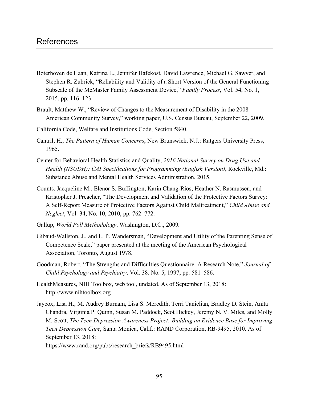- Boterhoven de Haan, Katrina L., Jennifer Hafekost, David Lawrence, Michael G. Sawyer, and Stephen R. Zubrick, "Reliability and Validity of a Short Version of the General Functioning Subscale of the McMaster Family Assessment Device," *Family Process*, Vol. 54, No. 1, 2015, pp. 116–123.
- Brault, Matthew W., "Review of Changes to the Measurement of Disability in the 2008 American Community Survey," working paper, U.S. Census Bureau, September 22, 2009.
- California Code, Welfare and Institutions Code, Section 5840.
- Cantril, H., *The Pattern of Human Concerns*, New Brunswick, N.J.: Rutgers University Press, 1965.
- Center for Behavioral Health Statistics and Quality, *2016 National Survey on Drug Use and Health (NSUDH): CAI Specifications for Programming (English Version)*, Rockville, Md.: Substance Abuse and Mental Health Services Administration, 2015.
- Counts, Jacqueline M., Elenor S. Buffington, Karin Chang-Rios, Heather N. Rasmussen, and Kristopher J. Preacher, "The Development and Validation of the Protective Factors Survey: A Self-Report Measure of Protective Factors Against Child Maltreatment," *Child Abuse and Neglect*, Vol. 34, No. 10, 2010, pp. 762–772.
- Gallup, *World Poll Methodology*, Washington, D.C., 2009.
- Gibaud-Wallston, J., and L. P. Wandersman, "Development and Utility of the Parenting Sense of Competence Scale," paper presented at the meeting of the American Psychological Association, Toronto, August 1978.
- Goodman, Robert, "The Strengths and Difficulties Questionnaire: A Research Note," *Journal of Child Psychology and Psychiatry*, Vol. 38, No. 5, 1997, pp. 581–586.
- HealthMeasures, NIH Toolbox, web tool, undated. As of September 13, 2018: <http://www.nihtoolbox.org>
- Jaycox, Lisa H., M. Audrey Burnam, Lisa S. Meredith, Terri Tanielian, Bradley D. Stein, Anita Chandra, Virginia P. Quinn, Susan M. Paddock, Scot Hickey, Jeremy N. V. Miles, and Molly M. Scott, *The Teen Depression Awareness Project: Building an Evidence Base for Improving Teen Depression Care*, Santa Monica, Calif.: RAND Corporation, RB-9495, 2010. As of September 13, 2018:

[https://www.rand.org/pubs/research\\_briefs/RB9495.html](https://www.rand.org/pubs/research_briefs/RB9495.html)